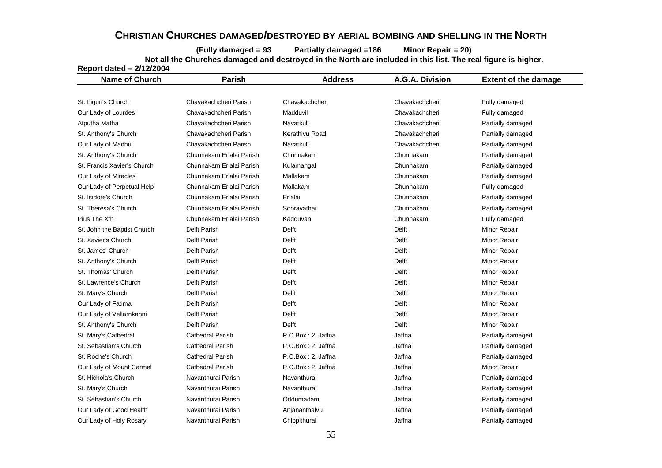### **CHRISTIAN CHURCHES DAMAGED/DESTROYED BY AERIAL BOMBING AND SHELLING IN THE NORTH**

**(Fully damaged = 93 Partially damaged =186 Minor Repair = 20)**

 **Not all the Churches damaged and destroyed in the North are included in this list. The real figure is higher.**

**Report dated – 2/12/2004**

| <b>Name of Church</b>       | <b>Parish</b>            | <b>Address</b>     | A.G.A. Division | <b>Extent of the damage</b> |
|-----------------------------|--------------------------|--------------------|-----------------|-----------------------------|
|                             |                          |                    |                 |                             |
| St. Liguri's Church         | Chavakachcheri Parish    | Chavakachcheri     | Chavakachcheri  | Fully damaged               |
| Our Lady of Lourdes         | Chavakachcheri Parish    | Madduvil           | Chavakachcheri  | Fully damaged               |
| Atputha Matha               | Chavakachcheri Parish    | Navatkuli          | Chavakachcheri  | Partially damaged           |
| St. Anthony's Church        | Chavakachcheri Parish    | Kerathivu Road     | Chavakachcheri  | Partially damaged           |
| Our Lady of Madhu           | Chavakachcheri Parish    | Navatkuli          | Chavakachcheri  | Partially damaged           |
| St. Anthony's Church        | Chunnakam Erlalai Parish | Chunnakam          | Chunnakam       | Partially damaged           |
| St. Francis Xavier's Church | Chunnakam Erlalai Parish | Kulamangal         | Chunnakam       | Partially damaged           |
| Our Lady of Miracles        | Chunnakam Erlalai Parish | Mallakam           | Chunnakam       | Partially damaged           |
| Our Lady of Perpetual Help  | Chunnakam Erlalai Parish | Mallakam           | Chunnakam       | Fully damaged               |
| St. Isidore's Church        | Chunnakam Erlalai Parish | Erlalai            | Chunnakam       | Partially damaged           |
| St. Theresa's Church        | Chunnakam Erlalai Parish | Sooravathai        | Chunnakam       | Partially damaged           |
| Pius The Xth                | Chunnakam Erlalai Parish | Kadduvan           | Chunnakam       | Fully damaged               |
| St. John the Baptist Church | Delft Parish             | Delft              | Delft           | Minor Repair                |
| St. Xavier's Church         | Delft Parish             | Delft              | Delft           | Minor Repair                |
| St. James' Church           | Delft Parish             | Delft              | Delft           | Minor Repair                |
| St. Anthony's Church        | Delft Parish             | Delft              | Delft           | Minor Repair                |
| St. Thomas' Church          | Delft Parish             | Delft              | Delft           | Minor Repair                |
| St. Lawrence's Church       | Delft Parish             | <b>Delft</b>       | <b>Delft</b>    | Minor Repair                |
| St. Mary's Church           | <b>Delft Parish</b>      | <b>Delft</b>       | <b>Delft</b>    | Minor Repair                |
| Our Lady of Fatima          | Delft Parish             | <b>Delft</b>       | <b>Delft</b>    | Minor Repair                |
| Our Lady of Vellarnkanni    | Delft Parish             | <b>Delft</b>       | Delft           | Minor Repair                |
| St. Anthony's Church        | Delft Parish             | Delft              | Delft           | Minor Repair                |
| St. Mary's Cathedral        | <b>Cathedral Parish</b>  | P.O.Box: 2, Jaffna | Jaffna          | Partially damaged           |
| St. Sebastian's Church      | Cathedral Parish         | P.O.Box: 2, Jaffna | Jaffna          | Partially damaged           |
| St. Roche's Church          | <b>Cathedral Parish</b>  | P.O.Box: 2, Jaffna | Jaffna          | Partially damaged           |
| Our Lady of Mount Carmel    | <b>Cathedral Parish</b>  | P.O.Box: 2, Jaffna | Jaffna          | Minor Repair                |
| St. Hichola's Church        | Navanthurai Parish       | Navanthurai        | Jaffna          | Partially damaged           |
| St. Mary's Church           | Navanthurai Parish       | Navanthurai        | Jaffna          | Partially damaged           |
| St. Sebastian's Church      | Navanthurai Parish       | Oddumadam          | Jaffna          | Partially damaged           |
| Our Lady of Good Health     | Navanthurai Parish       | Anjananthalvu      | Jaffna          | Partially damaged           |
| Our Lady of Holy Rosary     | Navanthurai Parish       | Chippithurai       | Jaffna          | Partially damaged           |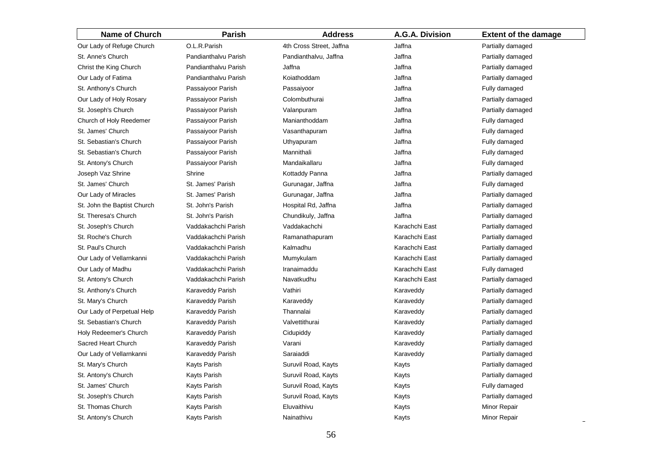| Name of Church              | <b>Parish</b>           | <b>Address</b>           | A.G.A. Division | <b>Extent of the damage</b> |
|-----------------------------|-------------------------|--------------------------|-----------------|-----------------------------|
| Our Lady of Refuge Church   | O.L.R.Parish            | 4th Cross Street, Jaffna | Jaffna          | Partially damaged           |
| St. Anne's Church           | Pandianthalvu Parish    | Pandianthalvu, Jaffna    | Jaffna          | Partially damaged           |
| Christ the King Church      | Pandianthalvu Parish    | Jaffna                   | Jaffna          | Partially damaged           |
| Our Lady of Fatima          | Pandianthalvu Parish    | Koiathoddam              | Jaffna          | Partially damaged           |
| St. Anthony's Church        | Passaiyoor Parish       | Passaiyoor               | Jaffna          | Fully damaged               |
| Our Lady of Holy Rosary     | Passaiyoor Parish       | Colombuthurai            | Jaffna          | Partially damaged           |
| St. Joseph's Church         | Passaiyoor Parish       | Valanpuram               | Jaffna          | Partially damaged           |
| Church of Holy Reedemer     | Passaiyoor Parish       | Manianthoddam            | Jaffna          | Fully damaged               |
| St. James' Church           | Passaiyoor Parish       | Vasanthapuram            | Jaffna          | Fully damaged               |
| St. Sebastian's Church      | Passaiyoor Parish       | Uthyapuram               | Jaffna          | Fully damaged               |
| St. Sebastian's Church      | Passaiyoor Parish       | Mannithali               | Jaffna          | Fully damaged               |
| St. Antony's Church         | Passaiyoor Parish       | Mandaikallaru            | Jaffna          | Fully damaged               |
| Joseph Vaz Shrine           | Shrine                  | Kottaddy Panna           | Jaffna          | Partially damaged           |
| St. James' Church           | St. James' Parish       | Gurunagar, Jaffna        | Jaffna          | Fully damaged               |
| Our Lady of Miracles        | St. James' Parish       | Gurunagar, Jaffna        | Jaffna          | Partially damaged           |
| St. John the Baptist Church | St. John's Parish       | Hospital Rd, Jaffna      | Jaffna          | Partially damaged           |
| St. Theresa's Church        | St. John's Parish       | Chundikuly, Jaffna       | Jaffna          | Partially damaged           |
| St. Joseph's Church         | Vaddakachchi Parish     | Vaddakachchi             | Karachchi East  | Partially damaged           |
| St. Roche's Church          | Vaddakachchi Parish     | Ramanathapuram           | Karachchi East  | Partially damaged           |
| St. Paul's Church           | Vaddakachchi Parish     | Kalmadhu                 | Karachchi East  | Partially damaged           |
| Our Lady of Vellarnkanni    | Vaddakachchi Parish     | Mumykulam                | Karachchi East  | Partially damaged           |
| Our Lady of Madhu           | Vaddakachchi Parish     | Iranaimaddu              | Karachchi East  | Fully damaged               |
| St. Antony's Church         | Vaddakachchi Parish     | Navatkudhu               | Karachchi East  | Partially damaged           |
| St. Anthony's Church        | Karaveddy Parish        | Vathiri                  | Karaveddy       | Partially damaged           |
| St. Mary's Church           | <b>Karaveddy Parish</b> | Karaveddy                | Karaveddy       | Partially damaged           |
| Our Lady of Perpetual Help  | Karaveddy Parish        | Thannalai                | Karaveddy       | Partially damaged           |
| St. Sebastian's Church      | Karaveddy Parish        | Valvettithurai           | Karaveddy       | Partially damaged           |
| Holy Redeemer's Church      | Karaveddy Parish        | Cidupiddy                | Karaveddy       | Partially damaged           |
| Sacred Heart Church         | Karaveddy Parish        | Varani                   | Karaveddy       | Partially damaged           |
| Our Lady of Vellarnkanni    | Karaveddy Parish        | Saraiaddi                | Karaveddy       | Partially damaged           |
| St. Mary's Church           | Kayts Parish            | Suruvil Road, Kayts      | Kayts           | Partially damaged           |
| St. Antony's Church         | Kayts Parish            | Suruvil Road, Kayts      | Kayts           | Partially damaged           |
| St. James' Church           | Kayts Parish            | Suruvil Road, Kayts      | Kayts           | Fully damaged               |
| St. Joseph's Church         | Kayts Parish            | Suruvil Road, Kayts      | Kayts           | Partially damaged           |
| St. Thomas Church           | Kayts Parish            | Eluvaithivu              | Kayts           | Minor Repair                |
| St. Antony's Church         | Kayts Parish            | Nainathivu               | Kayts           | Minor Repair                |
|                             |                         | 56                       |                 |                             |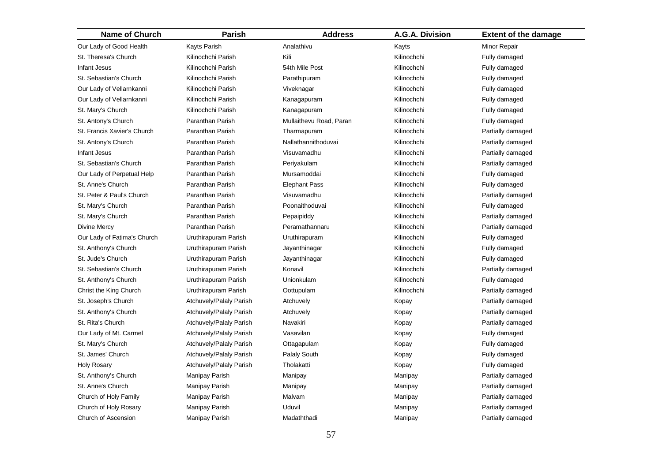| <b>Name of Church</b>       | <b>Parish</b>           | <b>Address</b>          | A.G.A. Division | <b>Extent of the damage</b> |
|-----------------------------|-------------------------|-------------------------|-----------------|-----------------------------|
| Our Lady of Good Health     | Kayts Parish            | Analathivu              | Kayts           | Minor Repair                |
| St. Theresa's Church        | Kilinochchi Parish      | Kili                    | Kilinochchi     | Fully damaged               |
| Infant Jesus                | Kilinochchi Parish      | 54th Mile Post          | Kilinochchi     | Fully damaged               |
| St. Sebastian's Church      | Kilinochchi Parish      | Parathipuram            | Kilinochchi     | Fully damaged               |
| Our Lady of Vellarnkanni    | Kilinochchi Parish      | Viveknagar              | Kilinochchi     | Fully damaged               |
| Our Lady of Vellarnkanni    | Kilinochchi Parish      | Kanagapuram             | Kilinochchi     | Fully damaged               |
| St. Mary's Church           | Kilinochchi Parish      | Kanagapuram             | Kilinochchi     | Fully damaged               |
| St. Antony's Church         | Paranthan Parish        | Mullaithevu Road, Paran | Kilinochchi     | Fully damaged               |
| St. Francis Xavier's Church | Paranthan Parish        | Tharmapuram             | Kilinochchi     | Partially damaged           |
| St. Antony's Church         | Paranthan Parish        | Nallathannithoduvai     | Kilinochchi     | Partially damaged           |
| Infant Jesus                | Paranthan Parish        | Visuvamadhu             | Kilinochchi     | Partially damaged           |
| St. Sebastian's Church      | Paranthan Parish        | Periyakulam             | Kilinochchi     | Partially damaged           |
| Our Lady of Perpetual Help  | Paranthan Parish        | Mursamoddai             | Kilinochchi     | Fully damaged               |
| St. Anne's Church           | Paranthan Parish        | <b>Elephant Pass</b>    | Kilinochchi     | Fully damaged               |
| St. Peter & Paul's Church   | Paranthan Parish        | Visuvamadhu             | Kilinochchi     | Partially damaged           |
| St. Mary's Church           | Paranthan Parish        | Poonaithoduvai          | Kilinochchi     | Fully damaged               |
| St. Mary's Church           | Paranthan Parish        | Pepaipiddy              | Kilinochchi     | Partially damaged           |
| Divine Mercy                | Paranthan Parish        | Peramathannaru          | Kilinochchi     | Partially damaged           |
| Our Lady of Fatima's Church | Uruthirapuram Parish    | Uruthirapuram           | Kilinochchi     | Fully damaged               |
| St. Anthony's Church        | Uruthirapuram Parish    | Jayanthinagar           | Kilinochchi     | Fully damaged               |
| St. Jude's Church           | Uruthirapuram Parish    | Jayanthinagar           | Kilinochchi     | Fully damaged               |
| St. Sebastian's Church      | Uruthirapuram Parish    | Konavil                 | Kilinochchi     | Partially damaged           |
| St. Anthony's Church        | Uruthirapuram Parish    | Unionkulam              | Kilinochchi     | Fully damaged               |
| Christ the King Church      | Uruthirapuram Parish    | Oottupulam              | Kilinochchi     | Partially damaged           |
| St. Joseph's Church         | Atchuvely/Palaly Parish | Atchuvely               | Kopay           | Partially damaged           |
| St. Anthony's Church        | Atchuvely/Palaly Parish | Atchuvely               | Kopay           | Partially damaged           |
| St. Rita's Church           | Atchuvely/Palaly Parish | Navakiri                | Kopay           | Partially damaged           |
| Our Lady of Mt. Carmel      | Atchuvely/Palaly Parish | Vasavilan               | Kopay           | Fully damaged               |
| St. Mary's Church           | Atchuvely/Palaly Parish | Ottagapulam             | Kopay           | Fully damaged               |
| St. James' Church           | Atchuvely/Palaly Parish | Palaly South            | Kopay           | Fully damaged               |
| <b>Holy Rosary</b>          | Atchuvely/Palaly Parish | Tholakatti              | Kopay           | Fully damaged               |
| St. Anthony's Church        | Manipay Parish          | Manipay                 | Manipay         | Partially damaged           |
| St. Anne's Church           | Manipay Parish          | Manipay                 | Manipay         | Partially damaged           |
| Church of Holy Family       | Manipay Parish          | Malvam                  | Manipay         | Partially damaged           |
| Church of Holy Rosary       | Manipay Parish          | Uduvil                  | Manipay         | Partially damaged           |
| Church of Ascension         | Manipay Parish          | Madaththadi             | Manipay         | Partially damaged           |
|                             |                         |                         |                 |                             |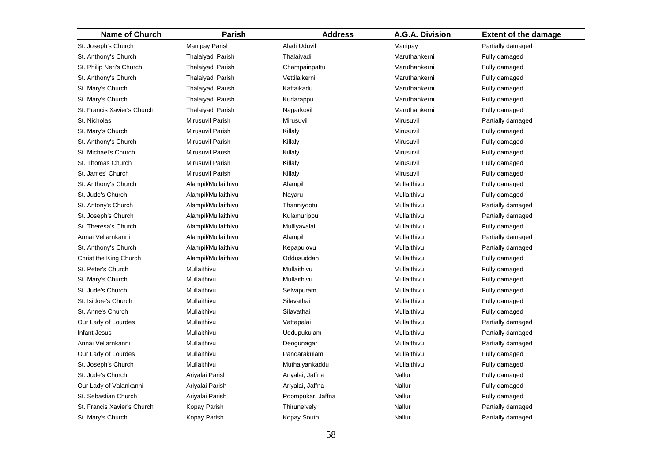| Name of Church              | Parish              | <b>Address</b>    | A.G.A. Division | <b>Extent of the damage</b> |
|-----------------------------|---------------------|-------------------|-----------------|-----------------------------|
| St. Joseph's Church         | Manipay Parish      | Aladi Uduvil      | Manipay         | Partially damaged           |
| St. Anthony's Church        | Thalaiyadi Parish   | Thalaiyadi        | Maruthankerni   | Fully damaged               |
| St. Philip Neri's Church    | Thalaiyadi Parish   | Champainpattu     | Maruthankerni   | Fully damaged               |
| St. Anthony's Church        | Thalaiyadi Parish   | Vettilaikerni     | Maruthankerni   | Fully damaged               |
| St. Mary's Church           | Thalaiyadi Parish   | Kattaikadu        | Maruthankerni   | Fully damaged               |
| St. Mary's Church           | Thalaiyadi Parish   | Kudarappu         | Maruthankerni   | Fully damaged               |
| St. Francis Xavier's Church | Thalaiyadi Parish   | Nagarkovil        | Maruthankerni   | Fully damaged               |
| St. Nicholas                | Mirusuvil Parish    | Mirusuvil         | Mirusuvil       | Partially damaged           |
| St. Mary's Church           | Mirusuvil Parish    | Killaly           | Mirusuvil       | Fully damaged               |
| St. Anthony's Church        | Mirusuvil Parish    | Killaly           | Mirusuvil       | Fully damaged               |
| St. Michael's Church        | Mirusuvil Parish    | Killaly           | Mirusuvil       | Fully damaged               |
| St. Thomas Church           | Mirusuvil Parish    | Killaly           | Mirusuvil       | Fully damaged               |
| St. James' Church           | Mirusuvil Parish    | Killaly           | Mirusuvil       | Fully damaged               |
| St. Anthony's Church        | Alampil/Mullaithivu | Alampil           | Mullaithivu     | Fully damaged               |
| St. Jude's Church           | Alampil/Mullaithivu | Nayaru            | Mullaithivu     | Fully damaged               |
| St. Antony's Church         | Alampil/Mullaithivu | Thanniyootu       | Mullaithivu     | Partially damaged           |
| St. Joseph's Church         | Alampil/Mullaithivu | Kulamurippu       | Mullaithivu     | Partially damaged           |
| St. Theresa's Church        | Alampil/Mullaithivu | Mulliyavalai      | Mullaithivu     | Fully damaged               |
| Annai Vellarnkanni          | Alampil/Mullaithivu | Alampil           | Mullaithivu     | Partially damaged           |
| St. Anthony's Church        | Alampil/Mullaithivu | Kepapulovu        | Mullaithivu     | Partially damaged           |
| Christ the King Church      | Alampil/Mullaithivu | Oddusuddan        | Mullaithivu     | Fully damaged               |
| St. Peter's Church          | Mullaithivu         | Mullaithivu       | Mullaithivu     | Fully damaged               |
| St. Mary's Church           | Mullaithivu         | Mullaithivu       | Mullaithivu     | Fully damaged               |
| St. Jude's Church           | Mullaithivu         | Selvapuram        | Mullaithivu     | Fully damaged               |
| St. Isidore's Church        | Mullaithivu         | Silavathai        | Mullaithivu     | Fully damaged               |
| St. Anne's Church           | Mullaithivu         | Silavathai        | Mullaithivu     | Fully damaged               |
| Our Lady of Lourdes         | Mullaithivu         | Vattapalai        | Mullaithivu     | Partially damaged           |
| Infant Jesus                | Mullaithivu         | Uddupukulam       | Mullaithivu     | Partially damaged           |
| Annai Vellarnkanni          | Mullaithivu         | Deogunagar        | Mullaithivu     | Partially damaged           |
| Our Lady of Lourdes         | Mullaithivu         | Pandarakulam      | Mullaithivu     | Fully damaged               |
| St. Joseph's Church         | Mullaithivu         | Muthaiyankaddu    | Mullaithivu     | Fully damaged               |
| St. Jude's Church           | Ariyalai Parish     | Ariyalai, Jaffna  | Nallur          | Fully damaged               |
| Our Lady of Valankanni      | Ariyalai Parish     | Ariyalai, Jaffna  | Nallur          | Fully damaged               |
| St. Sebastian Church        | Ariyalai Parish     | Poompukar, Jaffna | Nallur          | Fully damaged               |
| St. Francis Xavier's Church | Kopay Parish        | Thirunelvely      | Nallur          | Partially damaged           |
| St. Mary's Church           | Kopay Parish        | Kopay South       | Nallur          | Partially damaged           |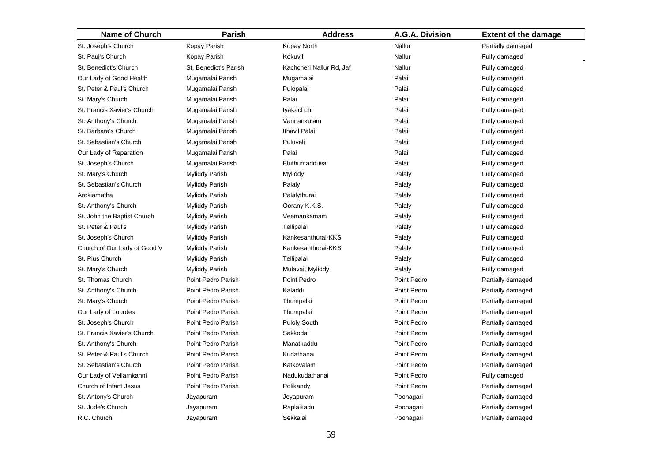| Name of Church               | Parish                | <b>Address</b>           | A.G.A. Division | <b>Extent of the damage</b> |
|------------------------------|-----------------------|--------------------------|-----------------|-----------------------------|
| St. Joseph's Church          | Kopay Parish          | Kopay North              | Nallur          | Partially damaged           |
| St. Paul's Church            | Kopay Parish          | Kokuvil                  | Nallur          | Fully damaged               |
| St. Benedict's Church        | St. Benedict's Parish | Kachcheri Nallur Rd, Jaf | Nallur          | Fully damaged               |
| Our Lady of Good Health      | Mugamalai Parish      | Mugamalai                | Palai           | Fully damaged               |
| St. Peter & Paul's Church    | Mugamalai Parish      | Pulopalai                | Palai           | Fully damaged               |
| St. Mary's Church            | Mugamalai Parish      | Palai                    | Palai           | Fully damaged               |
| St. Francis Xavier's Church  | Mugamalai Parish      | lyakachchi               | Palai           | Fully damaged               |
| St. Anthony's Church         | Mugamalai Parish      | Vannankulam              | Palai           | Fully damaged               |
| St. Barbara's Church         | Mugamalai Parish      | Ithavil Palai            | Palai           | Fully damaged               |
| St. Sebastian's Church       | Mugamalai Parish      | Puluveli                 | Palai           | Fully damaged               |
| Our Lady of Reparation       | Mugamalai Parish      | Palai                    | Palai           | Fully damaged               |
| St. Joseph's Church          | Mugamalai Parish      | Eluthumadduval           | Palai           | Fully damaged               |
| St. Mary's Church            | Myliddy Parish        | Myliddy                  | Palaly          | Fully damaged               |
| St. Sebastian's Church       | Myliddy Parish        | Palaly                   | Palaly          | Fully damaged               |
| Arokiamatha                  | Myliddy Parish        | Palalythurai             | Palaly          | Fully damaged               |
| St. Anthony's Church         | Myliddy Parish        | Oorany K.K.S.            | Palaly          | Fully damaged               |
| St. John the Baptist Church  | Myliddy Parish        | Veemankamam              | Palaly          | Fully damaged               |
| St. Peter & Paul's           | Myliddy Parish        | Tellipalai               | Palaly          | Fully damaged               |
| St. Joseph's Church          | Myliddy Parish        | Kankesanthurai-KKS       | Palaly          | Fully damaged               |
| Church of Our Lady of Good V | Myliddy Parish        | Kankesanthurai-KKS       | Palaly          | Fully damaged               |
| St. Pius Church              | Myliddy Parish        | Tellipalai               | Palaly          | Fully damaged               |
| St. Mary's Church            | Myliddy Parish        | Mulavai, Myliddy         | Palaly          | Fully damaged               |
| St. Thomas Church            | Point Pedro Parish    | Point Pedro              | Point Pedro     | Partially damaged           |
| St. Anthony's Church         | Point Pedro Parish    | Kaladdi                  | Point Pedro     | Partially damaged           |
| St. Mary's Church            | Point Pedro Parish    | Thumpalai                | Point Pedro     | Partially damaged           |
| Our Lady of Lourdes          | Point Pedro Parish    | Thumpalai                | Point Pedro     | Partially damaged           |
| St. Joseph's Church          | Point Pedro Parish    | <b>Puloly South</b>      | Point Pedro     | Partially damaged           |
| St. Francis Xavier's Church  | Point Pedro Parish    | Sakkodai                 | Point Pedro     | Partially damaged           |
| St. Anthony's Church         | Point Pedro Parish    | Manatkaddu               | Point Pedro     | Partially damaged           |
| St. Peter & Paul's Church    | Point Pedro Parish    | Kudathanai               | Point Pedro     | Partially damaged           |
| St. Sebastian's Church       | Point Pedro Parish    | Katkovalam               | Point Pedro     | Partially damaged           |
| Our Lady of Vellarnkanni     | Point Pedro Parish    | Nadukudathanai           | Point Pedro     | Fully damaged               |
| Church of Infant Jesus       | Point Pedro Parish    | Polikandy                | Point Pedro     | Partially damaged           |
| St. Antony's Church          | Jayapuram             | Jeyapuram                | Poonagari       | Partially damaged           |
| St. Jude's Church            | Jayapuram             | Raplaikadu               | Poonagari       | Partially damaged           |
| R.C. Church                  | Jayapuram             | Sekkalai                 | Poonagari       | Partially damaged           |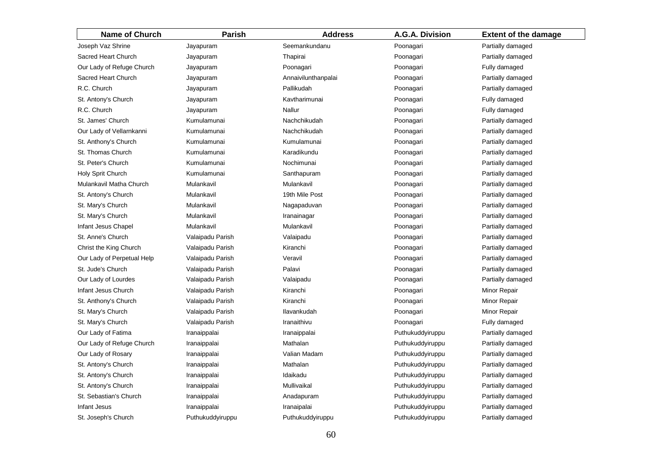| <b>Name of Church</b>      | <b>Parish</b>    | <b>Address</b>      | A.G.A. Division  | <b>Extent of the damage</b> |
|----------------------------|------------------|---------------------|------------------|-----------------------------|
| Joseph Vaz Shrine          | Jayapuram        | Seemankundanu       | Poonagari        | Partially damaged           |
| Sacred Heart Church        | Jayapuram        | Thapirai            | Poonagari        | Partially damaged           |
| Our Lady of Refuge Church  | Jayapuram        | Poonagari           | Poonagari        | Fully damaged               |
| Sacred Heart Church        | Jayapuram        | Annaivilunthanpalai | Poonagari        | Partially damaged           |
| R.C. Church                | Jayapuram        | Pallikudah          | Poonagari        | Partially damaged           |
| St. Antony's Church        | Jayapuram        | Kavtharimunai       | Poonagari        | Fully damaged               |
| R.C. Church                | Jayapuram        | Nallur              | Poonagari        | Fully damaged               |
| St. James' Church          | Kumulamunai      | Nachchikudah        | Poonagari        | Partially damaged           |
| Our Lady of Vellarnkanni   | Kumulamunai      | Nachchikudah        | Poonagari        | Partially damaged           |
| St. Anthony's Church       | Kumulamunai      | Kumulamunai         | Poonagari        | Partially damaged           |
| St. Thomas Church          | Kumulamunai      | Karadikundu         | Poonagari        | Partially damaged           |
| St. Peter's Church         | Kumulamunai      | Nochimunai          | Poonagari        | Partially damaged           |
| Holy Sprit Church          | Kumulamunai      | Santhapuram         | Poonagari        | Partially damaged           |
| Mulankavil Matha Church    | Mulankavil       | Mulankavil          | Poonagari        | Partially damaged           |
| St. Antony's Church        | Mulankavil       | 19th Mile Post      | Poonagari        | Partially damaged           |
| St. Mary's Church          | Mulankavil       | Nagapaduvan         | Poonagari        | Partially damaged           |
| St. Mary's Church          | Mulankavil       | Iranainagar         | Poonagari        | Partially damaged           |
| Infant Jesus Chapel        | Mulankavil       | Mulankavil          | Poonagari        | Partially damaged           |
| St. Anne's Church          | Valaipadu Parish | Valaipadu           | Poonagari        | Partially damaged           |
| Christ the King Church     | Valaipadu Parish | Kiranchi            | Poonagari        | Partially damaged           |
| Our Lady of Perpetual Help | Valaipadu Parish | Veravil             | Poonagari        | Partially damaged           |
| St. Jude's Church          | Valaipadu Parish | Palavi              | Poonagari        | Partially damaged           |
| Our Lady of Lourdes        | Valaipadu Parish | Valaipadu           | Poonagari        | Partially damaged           |
| Infant Jesus Church        | Valaipadu Parish | Kiranchi            | Poonagari        | Minor Repair                |
| St. Anthony's Church       | Valaipadu Parish | Kiranchi            | Poonagari        | Minor Repair                |
| St. Mary's Church          | Valaipadu Parish | Ilavankudah         | Poonagari        | Minor Repair                |
| St. Mary's Church          | Valaipadu Parish | Iranaithivu         | Poonagari        | Fully damaged               |
| Our Lady of Fatima         | Iranaippalai     | Iranaippalai        | Puthukuddyiruppu | Partially damaged           |
| Our Lady of Refuge Church  | Iranaippalai     | Mathalan            | Puthukuddyiruppu | Partially damaged           |
| Our Lady of Rosary         | Iranaippalai     | Valian Madam        | Puthukuddyiruppu | Partially damaged           |
| St. Antony's Church        | Iranaippalai     | Mathalan            | Puthukuddyiruppu | Partially damaged           |
| St. Antony's Church        | Iranaippalai     | Idaikadu            | Puthukuddyiruppu | Partially damaged           |
| St. Antony's Church        | Iranaippalai     | Mullivaikal         | Puthukuddyiruppu | Partially damaged           |
| St. Sebastian's Church     | Iranaippalai     | Anadapuram          | Puthukuddyiruppu | Partially damaged           |
| Infant Jesus               | Iranaippalai     | Iranaipalai         | Puthukuddyiruppu | Partially damaged           |
| St. Joseph's Church        | Puthukuddyiruppu | Puthukuddyiruppu    | Puthukuddyiruppu | Partially damaged           |
|                            |                  | 60                  |                  |                             |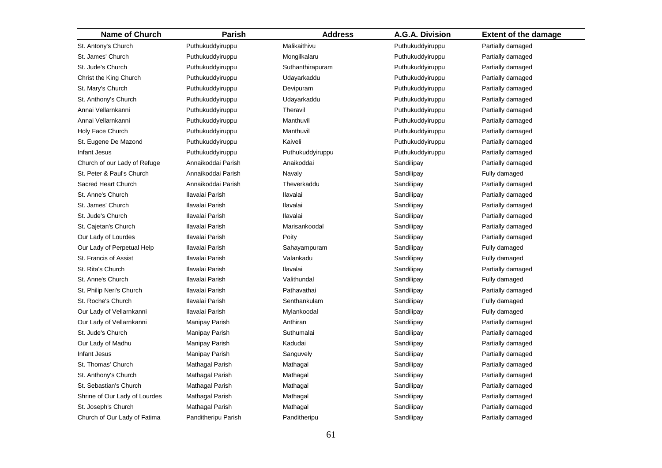| Name of Church                | Parish              | <b>Address</b>   | A.G.A. Division  | <b>Extent of the damage</b> |
|-------------------------------|---------------------|------------------|------------------|-----------------------------|
| St. Antony's Church           | Puthukuddyiruppu    | Malikaithivu     | Puthukuddyiruppu | Partially damaged           |
| St. James' Church             | Puthukuddyiruppu    | Mongilkalaru     | Puthukuddyiruppu | Partially damaged           |
| St. Jude's Church             | Puthukuddyiruppu    | Suthanthirapuram | Puthukuddyiruppu | Partially damaged           |
| Christ the King Church        | Puthukuddyiruppu    | Udayarkaddu      | Puthukuddyiruppu | Partially damaged           |
| St. Mary's Church             | Puthukuddyiruppu    | Devipuram        | Puthukuddyiruppu | Partially damaged           |
| St. Anthony's Church          | Puthukuddyiruppu    | Udayarkaddu      | Puthukuddyiruppu | Partially damaged           |
| Annai Vellarnkanni            | Puthukuddyiruppu    | Theravil         | Puthukuddyiruppu | Partially damaged           |
| Annai Vellarnkanni            | Puthukuddyiruppu    | Manthuvil        | Puthukuddyiruppu | Partially damaged           |
| Holy Face Church              | Puthukuddyiruppu    | Manthuvil        | Puthukuddyiruppu | Partially damaged           |
| St. Eugene De Mazond          | Puthukuddyiruppu    | Kaiveli          | Puthukuddyiruppu | Partially damaged           |
| Infant Jesus                  | Puthukuddyiruppu    | Puthukuddyiruppu | Puthukuddyiruppu | Partially damaged           |
| Church of our Lady of Refuge  | Annaikoddai Parish  | Anaikoddai       | Sandilipay       | Partially damaged           |
| St. Peter & Paul's Church     | Annaikoddai Parish  | Navaly           | Sandilipay       | Fully damaged               |
| Sacred Heart Church           | Annaikoddai Parish  | Theverkaddu      | Sandilipay       | Partially damaged           |
| St. Anne's Church             | Ilavalai Parish     | Ilavalai         | Sandilipay       | Partially damaged           |
| St. James' Church             | Ilavalai Parish     | Ilavalai         | Sandilipay       | Partially damaged           |
| St. Jude's Church             | Ilavalai Parish     | Ilavalai         | Sandilipay       | Partially damaged           |
| St. Cajetan's Church          | Ilavalai Parish     | Marisankoodal    | Sandilipay       | Partially damaged           |
| Our Lady of Lourdes           | Ilavalai Parish     | Poity            | Sandilipay       | Partially damaged           |
| Our Lady of Perpetual Help    | Ilavalai Parish     | Sahayampuram     | Sandilipay       | Fully damaged               |
| St. Francis of Assist         | Ilavalai Parish     | Valankadu        | Sandilipay       | Fully damaged               |
| St. Rita's Church             | Ilavalai Parish     | Ilavalai         | Sandilipay       | Partially damaged           |
| St. Anne's Church             | Ilavalai Parish     | Valithundal      | Sandilipay       | Fully damaged               |
| St. Philip Neri's Church      | Ilavalai Parish     | Pathavathai      | Sandilipay       | Partially damaged           |
| St. Roche's Church            | Ilavalai Parish     | Senthankulam     | Sandilipay       | Fully damaged               |
| Our Lady of Vellarnkanni      | Ilavalai Parish     | Mylankoodal      | Sandilipay       | Fully damaged               |
| Our Lady of Vellarnkanni      | Manipay Parish      | Anthiran         | Sandilipay       | Partially damaged           |
| St. Jude's Church             | Manipay Parish      | Suthumalai       | Sandilipay       | Partially damaged           |
| Our Lady of Madhu             | Manipay Parish      | Kadudai          | Sandilipay       | Partially damaged           |
| Infant Jesus                  | Manipay Parish      | Sanguvely        | Sandilipay       | Partially damaged           |
| St. Thomas' Church            | Mathagal Parish     | Mathagal         | Sandilipay       | Partially damaged           |
| St. Anthony's Church          | Mathagal Parish     | Mathagal         | Sandilipay       | Partially damaged           |
| St. Sebastian's Church        | Mathagal Parish     | Mathagal         | Sandilipay       | Partially damaged           |
| Shrine of Our Lady of Lourdes | Mathagal Parish     | Mathagal         | Sandilipay       | Partially damaged           |
| St. Joseph's Church           | Mathagal Parish     | Mathagal         | Sandilipay       | Partially damaged           |
| Church of Our Lady of Fatima  | Panditheripu Parish | Panditheripu     | Sandilipay       | Partially damaged           |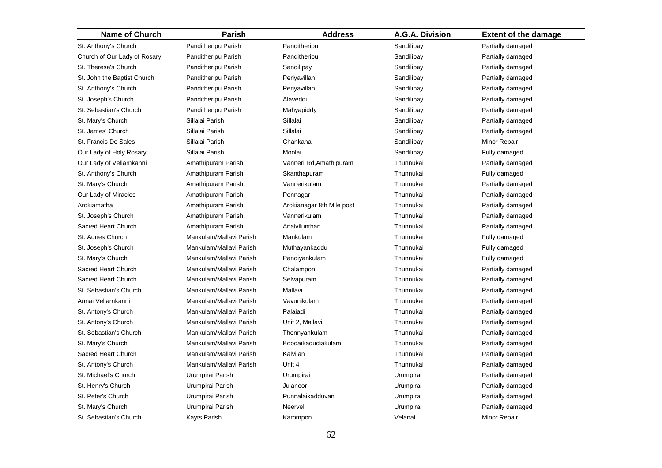| Name of Church               | Parish                  | <b>Address</b>            | A.G.A. Division | <b>Extent of the damage</b> |
|------------------------------|-------------------------|---------------------------|-----------------|-----------------------------|
| St. Anthony's Church         | Panditheripu Parish     | Panditheripu              | Sandilipay      | Partially damaged           |
| Church of Our Lady of Rosary | Panditheripu Parish     | Panditheripu              | Sandilipay      | Partially damaged           |
| St. Theresa's Church         | Panditheripu Parish     | Sandilipay                | Sandilipay      | Partially damaged           |
| St. John the Baptist Church  | Panditheripu Parish     | Periyavillan              | Sandilipay      | Partially damaged           |
| St. Anthony's Church         | Panditheripu Parish     | Periyavillan              | Sandilipay      | Partially damaged           |
| St. Joseph's Church          | Panditheripu Parish     | Alaveddi                  | Sandilipay      | Partially damaged           |
| St. Sebastian's Church       | Panditheripu Parish     | Mahyapiddy                | Sandilipay      | Partially damaged           |
| St. Mary's Church            | Sillalai Parish         | Sillalai                  | Sandilipay      | Partially damaged           |
| St. James' Church            | Sillalai Parish         | Sillalai                  | Sandilipay      | Partially damaged           |
| St. Francis De Sales         | Sillalai Parish         | Chankanai                 | Sandilipay      | Minor Repair                |
| Our Lady of Holy Rosary      | Sillalai Parish         | Moolai                    | Sandilipay      | Fully damaged               |
| Our Lady of Vellarnkanni     | Amathipuram Parish      | Vanneri Rd, Amathipuram   | Thunnukai       | Partially damaged           |
| St. Anthony's Church         | Amathipuram Parish      | Skanthapuram              | Thunnukai       | Fully damaged               |
| St. Mary's Church            | Amathipuram Parish      | Vannerikulam              | Thunnukai       | Partially damaged           |
| Our Lady of Miracles         | Amathipuram Parish      | Ponnagar                  | Thunnukai       | Partially damaged           |
| Arokiamatha                  | Amathipuram Parish      | Arokianagar 8th Mile post | Thunnukai       | Partially damaged           |
| St. Joseph's Church          | Amathipuram Parish      | Vannerikulam              | Thunnukai       | Partially damaged           |
| Sacred Heart Church          | Amathipuram Parish      | Anaivilunthan             | Thunnukai       | Partially damaged           |
| St. Agnes Church             | Mankulam/Mallavi Parish | Mankulam                  | Thunnukai       | Fully damaged               |
| St. Joseph's Church          | Mankulam/Mallavi Parish | Muthayankaddu             | Thunnukai       | Fully damaged               |
| St. Mary's Church            | Mankulam/Mallavi Parish | Pandiyankulam             | Thunnukai       | Fully damaged               |
| Sacred Heart Church          | Mankulam/Mallavi Parish | Chalampon                 | Thunnukai       | Partially damaged           |
| Sacred Heart Church          | Mankulam/Mallavi Parish | Selvapuram                | Thunnukai       | Partially damaged           |
| St. Sebastian's Church       | Mankulam/Mallavi Parish | Mallavi                   | Thunnukai       | Partially damaged           |
| Annai Vellarnkanni           | Mankulam/Mallavi Parish | Vavunikulam               | Thunnukai       | Partially damaged           |
| St. Antony's Church          | Mankulam/Mallavi Parish | Palaiadi                  | Thunnukai       | Partially damaged           |
| St. Antony's Church          | Mankulam/Mallavi Parish | Unit 2, Mallavi           | Thunnukai       | Partially damaged           |
| St. Sebastian's Church       | Mankulam/Mallavi Parish | Thennyankulam             | Thunnukai       | Partially damaged           |
| St. Mary's Church            | Mankulam/Mallavi Parish | Koodaikadudiakulam        | Thunnukai       | Partially damaged           |
| Sacred Heart Church          | Mankulam/Mallavi Parish | Kalvilan                  | Thunnukai       | Partially damaged           |
| St. Antony's Church          | Mankulam/Mallavi Parish | Unit 4                    | Thunnukai       | Partially damaged           |
| St. Michael's Church         | Urumpirai Parish        | Urumpirai                 | Urumpirai       | Partially damaged           |
| St. Henry's Church           | Urumpirai Parish        | Julanoor                  | Urumpirai       | Partially damaged           |
| St. Peter's Church           | Urumpirai Parish        | Punnalaikadduvan          | Urumpirai       | Partially damaged           |
| St. Mary's Church            | Urumpirai Parish        | Neerveli                  | Urumpirai       | Partially damaged           |
| St. Sebastian's Church       | <b>Kayts Parish</b>     | Karompon                  | Velanai         | Minor Repair                |
|                              |                         |                           |                 |                             |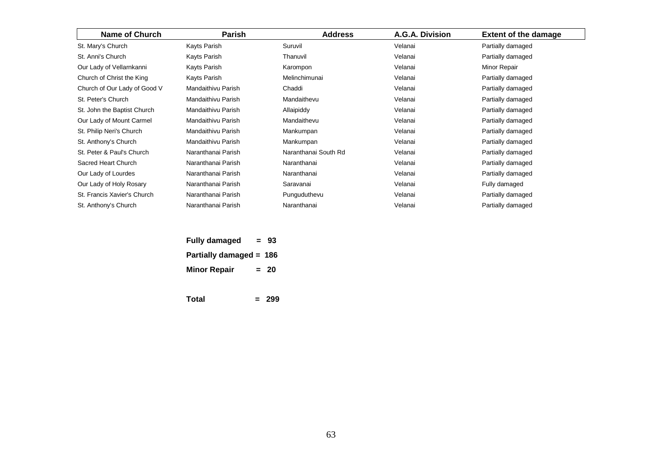| <b>Name of Church</b>        | <b>Parish</b>      | <b>Address</b>       | A.G.A. Division | <b>Extent of the damage</b> |
|------------------------------|--------------------|----------------------|-----------------|-----------------------------|
| St. Mary's Church            | Kayts Parish       | Suruvil              | Velanai         | Partially damaged           |
| St. Anni's Church            | Kayts Parish       | Thanuvil             | Velanai         | Partially damaged           |
| Our Lady of Vellarnkanni     | Kayts Parish       | Karompon             | Velanai         | Minor Repair                |
| Church of Christ the King    | Kayts Parish       | Melinchimunai        | Velanai         | Partially damaged           |
| Church of Our Lady of Good V | Mandaithivu Parish | Chaddi               | Velanai         | Partially damaged           |
| St. Peter's Church           | Mandaithivu Parish | Mandaithevu          | Velanai         | Partially damaged           |
| St. John the Baptist Church  | Mandaithivu Parish | Allaipiddy           | Velanai         | Partially damaged           |
| Our Lady of Mount Carmel     | Mandaithivu Parish | Mandaithevu          | Velanai         | Partially damaged           |
| St. Philip Neri's Church     | Mandaithivu Parish | Mankumpan            | Velanai         | Partially damaged           |
| St. Anthony's Church         | Mandaithivu Parish | Mankumpan            | Velanai         | Partially damaged           |
| St. Peter & Paul's Church    | Naranthanai Parish | Naranthanai South Rd | Velanai         | Partially damaged           |
| Sacred Heart Church          | Naranthanai Parish | Naranthanai          | Velanai         | Partially damaged           |
| Our Lady of Lourdes          | Naranthanai Parish | Naranthanai          | Velanai         | Partially damaged           |
| Our Lady of Holy Rosary      | Naranthanai Parish | Saravanai            | Velanai         | Fully damaged               |
| St. Francis Xavier's Church  | Naranthanai Parish | Punguduthevu         | Velanai         | Partially damaged           |
| St. Anthony's Church         | Naranthanai Parish | Naranthanai          | Velanai         | Partially damaged           |

| <b>Fully damaged</b>    | $=$ | 93     |
|-------------------------|-----|--------|
| Partially damaged = 186 |     |        |
| <b>Minor Repair</b>     |     | $= 20$ |

**Total = 299**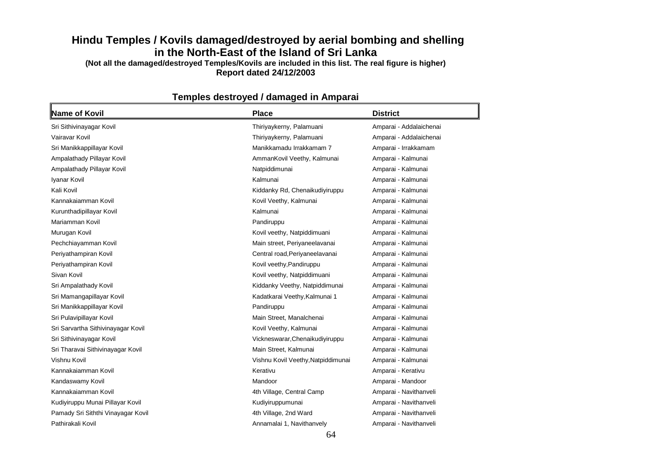### **Hindu Temples / Kovils damaged/destroyed by aerial bombing and shelling in the North-East of the Island of Sri Lanka**

**(Not all the damaged/destroyed Temples/Kovils are included in this list. The real figure is higher) Report dated 24/12/2003**

| <b>Name of Kovil</b>               | <b>Place</b>                       | <b>District</b>         |
|------------------------------------|------------------------------------|-------------------------|
| Sri Sithivinayagar Kovil           | Thiriyaykerny, Palamuani           | Amparai - Addalaichenai |
| Vairavar Kovil                     | Thiriyaykerny, Palamuani           | Amparai - Addalaichenai |
| Sri Manikkappillayar Kovil         | Manikkamadu Irrakkamam 7           | Amparai - Irrakkamam    |
| Ampalathady Pillayar Kovil         | AmmanKovil Veethy, Kalmunai        | Amparai - Kalmunai      |
| Ampalathady Pillayar Kovil         | Natpiddimunai                      | Amparai - Kalmunai      |
| Iyanar Kovil                       | Kalmunai                           | Amparai - Kalmunai      |
| Kali Kovil                         | Kiddanky Rd, Chenaikudiyiruppu     | Amparai - Kalmunai      |
| Kannakaiamman Kovil                | Kovil Veethy, Kalmunai             | Amparai - Kalmunai      |
| Kurunthadipillayar Kovil           | Kalmunai                           | Amparai - Kalmunai      |
| Mariamman Kovil                    | Pandiruppu                         | Amparai - Kalmunai      |
| Murugan Kovil                      | Kovil veethy, Natpiddimuani        | Amparai - Kalmunai      |
| Pechchiayamman Kovil               | Main street, Periyaneelavanai      | Amparai - Kalmunai      |
| Periyathampiran Kovil              | Central road, Periyaneelavanai     | Amparai - Kalmunai      |
| Periyathampiran Kovil              | Kovil veethy, Pandiruppu           | Amparai - Kalmunai      |
| Sivan Kovil                        | Kovil veethy, Natpiddimuani        | Amparai - Kalmunai      |
| Sri Ampalathady Kovil              | Kiddanky Veethy, Natpiddimunai     | Amparai - Kalmunai      |
| Sri Mamangapillayar Kovil          | Kadatkarai Veethy, Kalmunai 1      | Amparai - Kalmunai      |
| Sri Manikkappillayar Kovil         | Pandiruppu                         | Amparai - Kalmunai      |
| Sri Pulavipillayar Kovil           | Main Street, Manalchenai           | Amparai - Kalmunai      |
| Sri Sarvartha Sithivinayagar Kovil | Kovil Veethy, Kalmunai             | Amparai - Kalmunai      |
| Sri Sithivinayagar Kovil           | Vickneswarar, Chenaikudiyiruppu    | Amparai - Kalmunai      |
| Sri Tharavai Sithivinayagar Kovil  | Main Street, Kalmunai              | Amparai - Kalmunai      |
| Vishnu Kovil                       | Vishnu Kovil Veethy, Natpiddimunai | Amparai - Kalmunai      |
| Kannakaiamman Kovil                | Kerativu                           | Amparai - Kerativu      |
| Kandaswamy Kovil                   | Mandoor                            | Amparai - Mandoor       |
| Kannakaiamman Kovil                | 4th Village, Central Camp          | Amparai - Navithanveli  |
| Kudiyiruppu Munai Pillayar Kovil   | Kudiyiruppumunai                   | Amparai - Navithanveli  |
| Pamady Sri Siththi Vinayagar Kovil | 4th Village, 2nd Ward              | Amparai - Navithanveli  |
| Pathirakali Kovil                  | Annamalai 1, Navithanvely          | Amparai - Navithanveli  |

### **Temples destroyed / damaged in Amparai**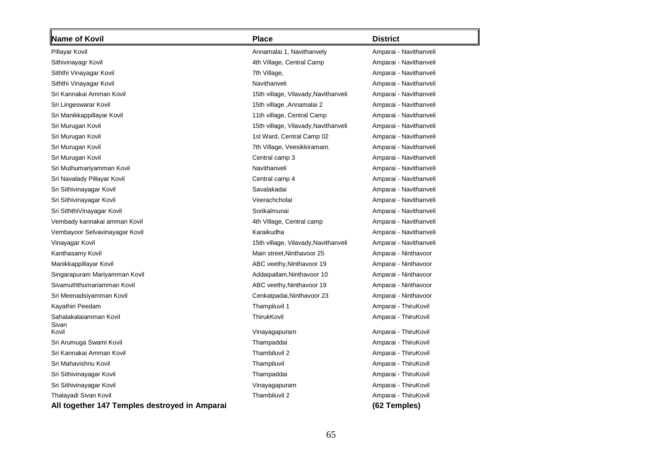| <b>Name of Kovil</b>                          | <b>Place</b>                         | <b>District</b>        |
|-----------------------------------------------|--------------------------------------|------------------------|
| Pillayar Kovil                                | Annamalai 1, Navithanvely            | Amparai - Navithanveli |
| Sithivinayagr Kovil                           | 4th Village, Central Camp            | Amparai - Navithanveli |
| Siththi Vinayagar Kovil                       | 7th Village,                         | Amparai - Navithanveli |
| Siththi Vinayagar Kovil                       | Navithanveli                         | Amparai - Navithanveli |
| Sri Kannakai Amman Kovil                      | 15th village, Vilavady, Navithanveli | Amparai - Navithanveli |
| Sri Lingeswarar Kovil                         | 15th village, Annamalai 2            | Amparai - Navithanveli |
| Sri Manikkappillayar Kovil                    | 11th village, Central Camp           | Amparai - Navithanveli |
| Sri Murugan Kovil                             | 15th village, Vilavady, Navithanveli | Amparai - Navithanveli |
| Sri Murugan Kovil                             | 1st Ward, Central Camp 02            | Amparai - Navithanveli |
| Sri Murugan Kovil                             | 7th Village, Veesikkiramam.          | Amparai - Navithanveli |
| Sri Murugan Kovil                             | Central camp 3                       | Amparai - Navithanveli |
| Sri Muthumariyamman Kovil                     | Navithanveli                         | Amparai - Navithanveli |
| Sri Navalady Pillayar Kovil                   | Central camp 4                       | Amparai - Navithanveli |
| Sri Sithivinayagar Kovil                      | Savalakadai                          | Amparai - Navithanveli |
| Sri Sithivinayagar Kovil                      | Veerachcholai                        | Amparai - Navithanveli |
| Sri SiththiVinayagar Kovil                    | Sorikalmunai                         | Amparai - Navithanveli |
| Vembady kannakai amman Kovil                  | 4th Village, Central camp            | Amparai - Navithanveli |
| Vembayoor Selvavinayagar Kovil                | Karaikudha                           | Amparai - Navithanveli |
| Vinayagar Kovil                               | 15th village, Vilavady, Navithanveli | Amparai - Navithanveli |
| Kanthasamy Kovil                              | Main street, Ninthavoor 25           | Amparai - Ninthavoor   |
| Manikkappillayar Kovil                        | ABC veethy, Ninthavoor 19            | Amparai - Ninthavoor   |
| Singarapuram Mariyamman Kovil                 | Addaipallam, Ninthavoor 10           | Amparai - Ninthavoor   |
| Sivamuththumariamman Kovil                    | ABC veethy, Ninthavoor 19            | Amparai - Ninthavoor   |
| Sri Meenadsiyamman Kovil                      | Cenkatpadai, Ninthavoor 23           | Amparai - Ninthavoor   |
| Kayathiri Peedam                              | Thampiluvil 1                        | Amparai - ThiruKovil   |
| Sahalakalaiamman Kovil<br>Sivan               | ThirukKovil                          | Amparai - ThiruKovil   |
| Kovil                                         | Vinayagapuram                        | Amparai - ThiruKovil   |
| Sri Arumuga Swami Kovil                       | Thampaddai                           | Amparai - ThiruKovil   |
| Sri Kannakai Amman Kovil                      | Thambiluvil 2                        | Amparai - ThiruKovil   |
| Sri Mahavishnu Kovil                          | Thampiluvil                          | Amparai - ThiruKovil   |
| Sri Sithivinayagar Kovil                      | Thampaddai                           | Amparai - ThiruKovil   |
| Sri Sithivinayagar Kovil                      | Vinayagapuram                        | Amparai - ThiruKovil   |
| Thalayadi Sivan Kovil                         | Thambiluvil 2                        | Amparai - ThiruKovil   |
| All together 147 Temples destroyed in Amparai |                                      | (62 Temples)           |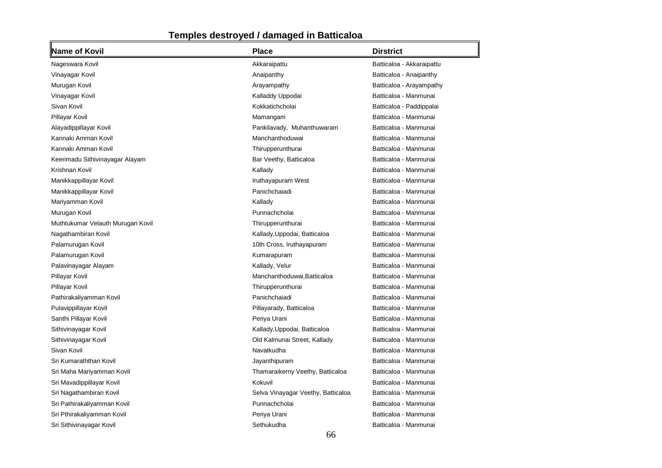# **Temples destroyed / damaged in Batticaloa**

| Name of Kovil                     | <b>Place</b>                       | <b>Dirstrict</b>          |
|-----------------------------------|------------------------------------|---------------------------|
| Nageswara Kovil                   | Akkaraipattu                       | Batticaloa - Akkaraipattu |
| Vinayagar Kovil                   | Anaipanthy                         | Batticaloa - Anaipanthy   |
| Murugan Kovil                     | Arayampathy                        | Batticaloa - Arayampathy  |
| Vinayagar Kovil                   | Kalladdy Uppodai                   | Batticaloa - Manmunai     |
| Sivan Kovil                       | Kokkatichcholai                    | Batticaloa - Paddippalai  |
| Pillayar Kovil                    | Mamangam                           | Batticaloa - Manmunai     |
| Alayadippillayar Kovil            | Pankilavady, Muhanthuwaram         | Batticaloa - Manmunai     |
| Kannaki Amman Kovil               | Manchanthoduwai                    | Batticaloa - Manmunai     |
| Kannaki Amman Kovil               | Thirupperunthurai                  | Batticaloa - Manmunai     |
| Keerimadu Sithivinayagar Alayam   | Bar Veethy, Batticaloa             | Batticaloa - Manmunai     |
| Krishnan Kovil                    | Kallady                            | Batticaloa - Manmunai     |
| Manikkappillayar Kovil            | Iruthayapuram West                 | Batticaloa - Manmunai     |
| Manikkappillayar Kovil            | Panichchaiadi                      | Batticaloa - Manmunai     |
| Mariyamman Kovil                  | Kallady                            | Batticaloa - Manmunai     |
| Murugan Kovil                     | Punnachcholai                      | Batticaloa - Manmunai     |
| Muthtukumar Velauth Murugan Kovil | Thirupperunthurai                  | Batticaloa - Manmunai     |
| Nagathambiran Kovil               | Kallady, Uppodai, Batticaloa       | Batticaloa - Manmunai     |
| Palamurugan Kovil                 | 10th Cross, Iruthayapuram          | Batticaloa - Manmunai     |
| Palamurugan Kovil                 | Kumarapuram                        | Batticaloa - Manmunai     |
| Palavinayagar Alayam              | Kallady, Velur                     | Batticaloa - Manmunai     |
| Pillayar Kovil                    | Manchanthoduwai, Batticaloa        | Batticaloa - Manmunai     |
| Pillayar Kovil                    | Thirupperunthurai                  | Batticaloa - Manmunai     |
| Pathirakaliyamman Kovil           | Panichchaiadi                      | Batticaloa - Manmunai     |
| Pulavippillayar Kovil             | Pillayarady, Batticaloa            | Batticaloa - Manmunai     |
| Santhi Pillayar Kovil             | Periya Urani                       | Batticaloa - Manmunai     |
| Sithivinayagar Kovil              | Kallady, Uppodai, Batticaloa       | Batticaloa - Manmunai     |
| Sithivinayagar Kovil              | Old Kalmunai Street, Kallady       | Batticaloa - Manmunai     |
| Sivan Kovil                       | Navatkudha                         | Batticaloa - Manmunai     |
| Sri Kumaraththan Kovil            | Jayanthipuram                      | Batticaloa - Manmunai     |
| Sri Maha Mariyamman Kovil         | Thamaraikerny Veethy, Batticaloa   | Batticaloa - Manmunai     |
| Sri Mavadippillayar Kovil         | Kokuvil                            | Batticaloa - Manmunai     |
| Sri Nagathambiran Kovil           | Selva Vinayagar Veethy, Batticaloa | Batticaloa - Manmunai     |
| Sri Pathirakaliyamman Kovil       | Punnachcholai                      | Batticaloa - Manmunai     |
| Sri Pthirakaliyamman Kovil        | Periya Urani                       | Batticaloa - Manmunai     |
| Sri Sithivinayagar Kovil          | Sethukudha                         | Batticaloa - Manmunai     |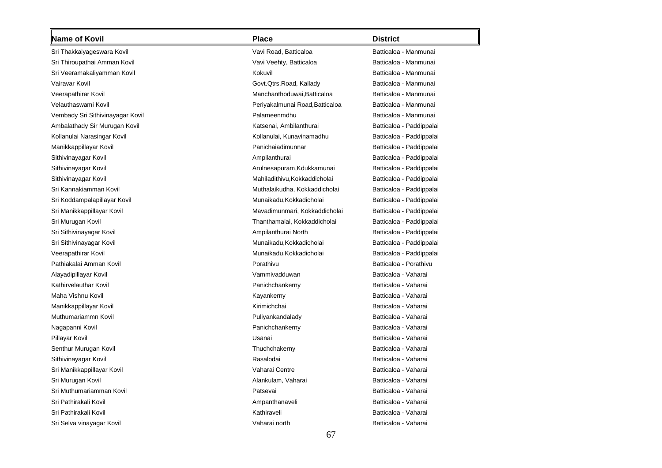| Name of Kovil                    | <b>Place</b>                    | <b>District</b>          |
|----------------------------------|---------------------------------|--------------------------|
| Sri Thakkaiyageswara Kovil       | Vavi Road, Batticaloa           | Batticaloa - Manmunai    |
| Sri Thiroupathai Amman Kovil     | Vavi Veehty, Batticaloa         | Batticaloa - Manmunai    |
| Sri Veeramakaliyamman Kovil      | Kokuvil                         | Batticaloa - Manmunai    |
| Vairavar Kovil                   | Govt. Qtrs. Road, Kallady       | Batticaloa - Manmunai    |
| Veerapathirar Kovil              | Manchanthoduwai, Batticaloa     | Batticaloa - Manmunai    |
| Velauthaswami Kovil              | Periyakalmunai Road, Batticaloa | Batticaloa - Manmunai    |
| Vembady Sri Sithivinayagar Kovil | Palameenmdhu                    | Batticaloa - Manmunai    |
| Ambalathady Sir Murugan Kovil    | Katsenai, Ambilanthurai         | Batticaloa - Paddippalai |
| Kollanulai Narasingar Kovil      | Kollanulai, Kunavinamadhu       | Batticaloa - Paddippalai |
| Manikkappillayar Kovil           | Panichaiadimunnar               | Batticaloa - Paddippalai |
| Sithivinayagar Kovil             | Ampilanthurai                   | Batticaloa - Paddippalai |
| Sithivinayagar Kovil             | Arulnesapuram, Kdukkamunai      | Batticaloa - Paddippalai |
| Sithivinayagar Kovil             | Mahiladithivu, Kokkaddicholai   | Batticaloa - Paddippalai |
| Sri Kannakiamman Kovil           | Muthalaikudha, Kokkaddicholai   | Batticaloa - Paddippalai |
| Sri Koddampalapillayar Kovil     | Munaikadu, Kokkadicholai        | Batticaloa - Paddippalai |
| Sri Manikkappillayar Kovil       | Mavadimunmari, Kokkaddicholai   | Batticaloa - Paddippalai |
| Sri Murugan Kovil                | Thanthamalai, Kokkaddicholai    | Batticaloa - Paddippalai |
| Sri Sithivinayagar Kovil         | Ampilanthurai North             | Batticaloa - Paddippalai |
| Sri Sithivinayagar Kovil         | Munaikadu, Kokkadicholai        | Batticaloa - Paddippalai |
| Veerapathirar Kovil              | Munaikadu, Kokkadicholai        | Batticaloa - Paddippalai |
| Pathiakalai Amman Kovil          | Porathivu                       | Batticaloa - Porathivu   |
| Alayadipillayar Kovil            | Vammivadduwan                   | Batticaloa - Vaharai     |
| Kathirvelauthar Kovil            | Panichchankerny                 | Batticaloa - Vaharai     |
| Maha Vishnu Kovil                | Kayankerny                      | Batticaloa - Vaharai     |
| Manikkappillayar Kovil           | Kirimichchai                    | Batticaloa - Vaharai     |
| Muthumariammn Kovil              | Puliyankandalady                | Batticaloa - Vaharai     |
| Nagapanni Kovil                  | Panichchankerny                 | Batticaloa - Vaharai     |
| Pillayar Kovil                   | Usanai                          | Batticaloa - Vaharai     |
| Senthur Murugan Kovil            | Thuchchakerny                   | Batticaloa - Vaharai     |
| Sithivinayagar Kovil             | Rasalodai                       | Batticaloa - Vaharai     |
| Sri Manikkappillayar Kovil       | Vaharai Centre                  | Batticaloa - Vaharai     |
| Sri Murugan Kovil                | Alankulam, Vaharai              | Batticaloa - Vaharai     |
| Sri Muthumariamman Kovil         | Patsevai                        | Batticaloa - Vaharai     |
| Sri Pathirakali Kovil            | Ampanthanaveli                  | Batticaloa - Vaharai     |
| Sri Pathirakali Kovil            | Kathiraveli                     | Batticaloa - Vaharai     |
| Sri Selva vinayagar Kovil        | Vaharai north                   | Batticaloa - Vaharai     |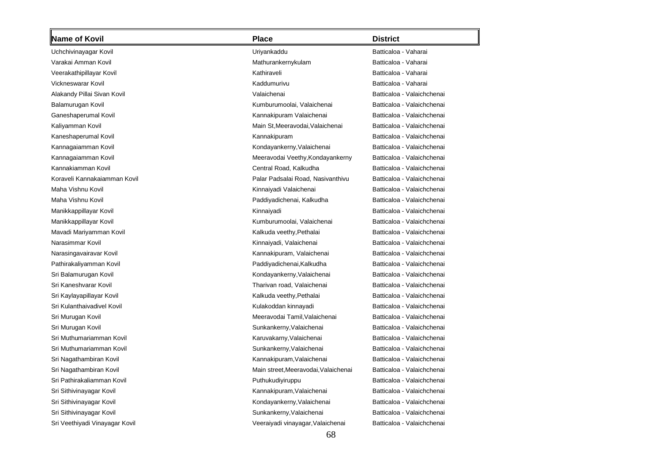| Name of Kovil                  | <b>Place</b>                         | <b>District</b>            |
|--------------------------------|--------------------------------------|----------------------------|
| Uchchivinayagar Kovil          | Uriyankaddu                          | Batticaloa - Vaharai       |
| Varakai Amman Kovil            | Mathurankernykulam                   | Batticaloa - Vaharai       |
| Veerakathipillayar Kovil       | Kathiraveli                          | Batticaloa - Vaharai       |
| <b>Vickneswarar Kovil</b>      | Kaddumurivu                          | Batticaloa - Vaharai       |
| Alakandy Pillai Sivan Kovil    | Valaichenai                          | Batticaloa - Valaichchenai |
| Balamurugan Kovil              | Kumburumoolai, Valaichenai           | Batticaloa - Valaichchenai |
| Ganeshaperumal Kovil           | Kannakipuram Valaichenai             | Batticaloa - Valaichchenai |
| Kaliyamman Kovil               | Main St, Meeravodai, Valaichenai     | Batticaloa - Valaichchenai |
| Kaneshaperumal Kovil           | Kannakipuram                         | Batticaloa - Valaichchenai |
| Kannagaiamman Kovil            | Kondayankerny, Valaichenai           | Batticaloa - Valaichchenai |
| Kannagaiamman Kovil            | Meeravodai Veethy, Kondayankerny     | Batticaloa - Valaichchenai |
| Kannakiamman Kovil             | Central Road, Kalkudha               | Batticaloa - Valaichchenai |
| Koraveli Kannakaiamman Kovil   | Palar Padsalai Road, Nasivanthivu    | Batticaloa - Valaichchenai |
| Maha Vishnu Kovil              | Kinnaiyadi Valaichenai               | Batticaloa - Valaichchenai |
| Maha Vishnu Kovil              | Paddiyadichenai, Kalkudha            | Batticaloa - Valaichchenai |
| Manikkappillayar Kovil         | Kinnaiyadi                           | Batticaloa - Valaichchenai |
| Manikkappillayar Kovil         | Kumburumoolai, Valaichenai           | Batticaloa - Valaichchenai |
| Mavadi Mariyamman Kovil        | Kalkuda veethy, Pethalai             | Batticaloa - Valaichchenai |
| Narasimmar Kovil               | Kinnaiyadi, Valaichenai              | Batticaloa - Valaichchenai |
| Narasingavairavar Kovil        | Kannakipuram, Valaichenai            | Batticaloa - Valaichchenai |
| Pathirakaliyamman Kovil        | Paddiyadichenai, Kalkudha            | Batticaloa - Valaichchenai |
| Sri Balamurugan Kovil          | Kondayankerny, Valaichenai           | Batticaloa - Valaichchenai |
| Sri Kaneshvarar Kovil          | Tharivan road, Valaichenai           | Batticaloa - Valaichchenai |
| Sri Kaylayapillayar Kovil      | Kalkuda veethy, Pethalai             | Batticaloa - Valaichchenai |
| Sri Kulanthaivadivel Kovil     | Kulakoddan kinnayadi                 | Batticaloa - Valaichchenai |
| Sri Murugan Kovil              | Meeravodai Tamil, Valaichenai        | Batticaloa - Valaichchenai |
| Sri Murugan Kovil              | Sunkankerny, Valaichenai             | Batticaloa - Valaichchenai |
| Sri Muthumariamman Kovil       | Karuvakarny, Valaichenai             | Batticaloa - Valaichchenai |
| Sri Muthumariamman Kovil       | Sunkankerny, Valaichenai             | Batticaloa - Valaichchenai |
| Sri Nagathambiran Kovil        | Kannakipuram, Valaichenai            | Batticaloa - Valaichchenai |
| Sri Nagathambiran Kovil        | Main street, Meeravodai, Valaichenai | Batticaloa - Valaichchenai |
| Sri Pathirakaliamman Kovil     | Puthukudiyiruppu                     | Batticaloa - Valaichchenai |
| Sri Sithivinayagar Kovil       | Kannakipuram, Valaichenai            | Batticaloa - Valaichchenai |
| Sri Sithivinayagar Kovil       | Kondayankerny, Valaichenai           | Batticaloa - Valaichchenai |
| Sri Sithivinayagar Kovil       | Sunkankerny, Valaichenai             | Batticaloa - Valaichchenai |
| Sri Veethiyadi Vinayagar Kovil | Veeraiyadi vinayagar, Valaichenai    | Batticaloa - Valaichchenai |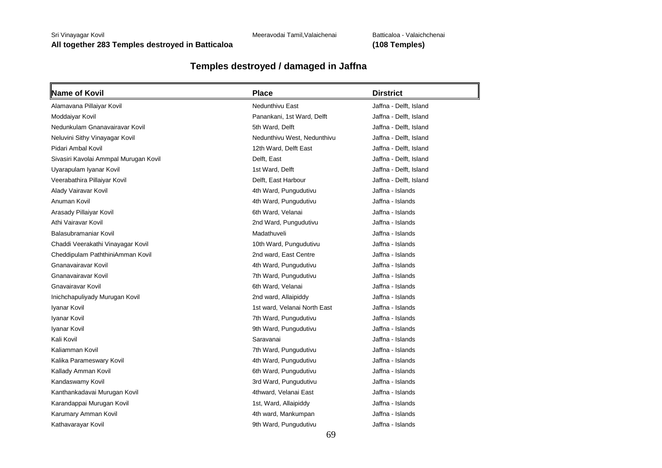### Sri Vinayagar Kovil **Meeravoodai Tamil,Valaichenai** Batticaloa - Valaichchenai Batticaloa - Valaichchenai **All together 283 Temples destroyed in Batticaloa (108 Temples)**

## **Temples destroyed / damaged in Jaffna**

| Name of Kovil                         | <b>Place</b>                 | <b>Dirstrict</b>       |
|---------------------------------------|------------------------------|------------------------|
| Alamavana Pillaiyar Kovil             | Nedunthivu East              | Jaffna - Delft, Island |
| Moddaiyar Kovil                       | Panankani, 1st Ward, Delft   | Jaffna - Delft, Island |
| Nedunkulam Gnanavairavar Kovil        | 5th Ward, Delft              | Jaffna - Delft, Island |
| Neluvini Sithy Vinayagar Kovil        | Nedunthivu West, Nedunthivu  | Jaffna - Delft, Island |
| Pidari Ambal Kovil                    | 12th Ward, Delft East        | Jaffna - Delft, Island |
| Sivasiri Kavolai Ammpal Murugan Kovil | Delft, East                  | Jaffna - Delft, Island |
| Uyarapulam Iyanar Kovil               | 1st Ward, Delft              | Jaffna - Delft, Island |
| Veerabathira Pillaiyar Kovil          | Delft, East Harbour          | Jaffna - Delft, Island |
| Alady Vairavar Kovil                  | 4th Ward, Pungudutivu        | Jaffna - Islands       |
| Anuman Kovil                          | 4th Ward, Pungudutivu        | Jaffna - Islands       |
| Arasady Pillaiyar Kovil               | 6th Ward, Velanai            | Jaffna - Islands       |
| Athi Vairavar Kovil                   | 2nd Ward, Pungudutivu        | Jaffna - Islands       |
| Balasubramaniar Kovil                 | Madathuveli                  | Jaffna - Islands       |
| Chaddi Veerakathi Vinayagar Kovil     | 10th Ward, Pungudutivu       | Jaffna - Islands       |
| Cheddipulam PaththiniAmman Kovil      | 2nd ward, East Centre        | Jaffna - Islands       |
| Gnanavairavar Kovil                   | 4th Ward, Pungudutivu        | Jaffna - Islands       |
| Gnanavairavar Kovil                   | 7th Ward, Pungudutivu        | Jaffna - Islands       |
| Gnavairavar Kovil                     | 6th Ward, Velanai            | Jaffna - Islands       |
| Inichchapuliyady Murugan Kovil        | 2nd ward, Allaipiddy         | Jaffna - Islands       |
| Iyanar Kovil                          | 1st ward, Velanai North East | Jaffna - Islands       |
| Iyanar Kovil                          | 7th Ward, Pungudutivu        | Jaffna - Islands       |
| Iyanar Kovil                          | 9th Ward, Pungudutivu        | Jaffna - Islands       |
| Kali Kovil                            | Saravanai                    | Jaffna - Islands       |
| Kaliamman Kovil                       | 7th Ward, Pungudutivu        | Jaffna - Islands       |
| Kalika Parameswary Kovil              | 4th Ward, Pungudutivu        | Jaffna - Islands       |
| Kallady Amman Kovil                   | 6th Ward, Pungudutivu        | Jaffna - Islands       |
| Kandaswamy Kovil                      | 3rd Ward, Pungudutivu        | Jaffna - Islands       |
| Kanthankadavai Murugan Kovil          | 4thward, Velanai East        | Jaffna - Islands       |
| Karandappai Murugan Kovil             | 1st, Ward, Allaipiddy        | Jaffna - Islands       |
| Karumary Amman Kovil                  | 4th ward, Mankumpan          | Jaffna - Islands       |
| Kathavarayar Kovil                    | 9th Ward, Pungudutivu        | Jaffna - Islands       |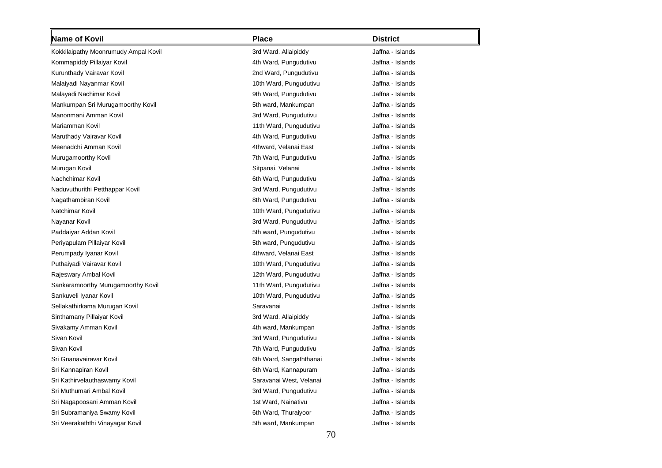| Name of Kovil                        | <b>Place</b>            | <b>District</b>  |
|--------------------------------------|-------------------------|------------------|
| Kokkilaipathy Moonrumudy Ampal Kovil | 3rd Ward. Allaipiddy    | Jaffna - Islands |
| Kommapiddy Pillaiyar Kovil           | 4th Ward, Pungudutivu   | Jaffna - Islands |
| Kurunthady Vairavar Kovil            | 2nd Ward, Pungudutivu   | Jaffna - Islands |
| Malaiyadi Nayanmar Kovil             | 10th Ward, Pungudutivu  | Jaffna - Islands |
| Malayadi Nachimar Kovil              | 9th Ward, Pungudutivu   | Jaffna - Islands |
| Mankumpan Sri Murugamoorthy Kovil    | 5th ward, Mankumpan     | Jaffna - Islands |
| Manonmani Amman Kovil                | 3rd Ward, Pungudutivu   | Jaffna - Islands |
| Mariamman Kovil                      | 11th Ward, Pungudutivu  | Jaffna - Islands |
| Maruthady Vairavar Kovil             | 4th Ward, Pungudutivu   | Jaffna - Islands |
| Meenadchi Amman Kovil                | 4thward, Velanai East   | Jaffna - Islands |
| Murugamoorthy Kovil                  | 7th Ward, Pungudutivu   | Jaffna - Islands |
| Murugan Kovil                        | Sitpanai, Velanai       | Jaffna - Islands |
| Nachchimar Kovil                     | 6th Ward, Pungudutivu   | Jaffna - Islands |
| Naduvuthurithi Petthappar Kovil      | 3rd Ward, Pungudutivu   | Jaffna - Islands |
| Nagathambiran Kovil                  | 8th Ward, Pungudutivu   | Jaffna - Islands |
| Natchimar Kovil                      | 10th Ward, Pungudutivu  | Jaffna - Islands |
| Nayanar Kovil                        | 3rd Ward, Pungudutivu   | Jaffna - Islands |
| Paddaiyar Addan Kovil                | 5th ward, Pungudutivu   | Jaffna - Islands |
| Periyapulam Pillaiyar Kovil          | 5th ward, Pungudutivu   | Jaffna - Islands |
| Perumpady Iyanar Kovil               | 4thward, Velanai East   | Jaffna - Islands |
| Puthaiyadi Vairavar Kovil            | 10th Ward, Pungudutivu  | Jaffna - Islands |
| Rajeswary Ambal Kovil                | 12th Ward, Pungudutivu  | Jaffna - Islands |
| Sankaramoorthy Murugamoorthy Kovil   | 11th Ward, Pungudutivu  | Jaffna - Islands |
| Sankuveli Iyanar Kovil               | 10th Ward, Pungudutivu  | Jaffna - Islands |
| Sellakathirkama Murugan Kovil        | Saravanai               | Jaffna - Islands |
| Sinthamany Pillaiyar Kovil           | 3rd Ward. Allaipiddy    | Jaffna - Islands |
| Sivakamy Amman Kovil                 | 4th ward, Mankumpan     | Jaffna - Islands |
| Sivan Kovil                          | 3rd Ward, Pungudutivu   | Jaffna - Islands |
| Sivan Kovil                          | 7th Ward, Pungudutivu   | Jaffna - Islands |
| Sri Gnanavairavar Kovil              | 6th Ward, Sangaththanai | Jaffna - Islands |
| Sri Kannapiran Kovil                 | 6th Ward, Kannapuram    | Jaffna - Islands |
| Sri Kathirvelauthaswamy Kovil        | Saravanai West, Velanai | Jaffna - Islands |
| Sri Muthumari Ambal Kovil            | 3rd Ward, Pungudutivu   | Jaffna - Islands |
| Sri Nagapoosani Amman Kovil          | 1st Ward, Nainativu     | Jaffna - Islands |
| Sri Subramaniya Swamy Kovil          | 6th Ward, Thuraiyoor    | Jaffna - Islands |
| Sri Veerakaththi Vinayagar Kovil     | 5th ward, Mankumpan     | Jaffna - Islands |
|                                      |                         |                  |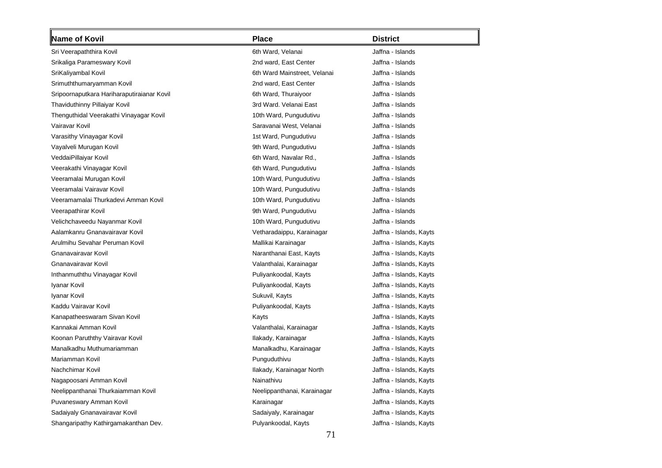| Name of Kovil                              | <b>Place</b>                 | <b>District</b>         |
|--------------------------------------------|------------------------------|-------------------------|
| Sri Veerapaththira Kovil                   | 6th Ward, Velanai            | Jaffna - Islands        |
| Srikaliga Parameswary Kovil                | 2nd ward, East Center        | Jaffna - Islands        |
| SriKaliyambal Kovil                        | 6th Ward Mainstreet, Velanai | Jaffna - Islands        |
| Srimuththumaryamman Kovil                  | 2nd ward, East Center        | Jaffna - Islands        |
| Sripoornaputkara Hariharaputiraianar Kovil | 6th Ward, Thuraiyoor         | Jaffna - Islands        |
| Thaviduthinny Pillaiyar Kovil              | 3rd Ward. Velanai East       | Jaffna - Islands        |
| Thenguthidal Veerakathi Vinayagar Kovil    | 10th Ward, Pungudutivu       | Jaffna - Islands        |
| Vairavar Kovil                             | Saravanai West, Velanai      | Jaffna - Islands        |
| Varasithy Vinayagar Kovil                  | 1st Ward, Pungudutivu        | Jaffna - Islands        |
| Vayalveli Murugan Kovil                    | 9th Ward, Pungudutivu        | Jaffna - Islands        |
| VeddaiPillaiyar Kovil                      | 6th Ward, Navalar Rd.,       | Jaffna - Islands        |
| Veerakathi Vinayagar Kovil                 | 6th Ward, Pungudutivu        | Jaffna - Islands        |
| Veeramalai Murugan Kovil                   | 10th Ward, Pungudutivu       | Jaffna - Islands        |
| Veeramalai Vairavar Kovil                  | 10th Ward, Pungudutivu       | Jaffna - Islands        |
| Veeramamalai Thurkadevi Amman Kovil        | 10th Ward, Pungudutivu       | Jaffna - Islands        |
| Veerapathirar Kovil                        | 9th Ward, Pungudutivu        | Jaffna - Islands        |
| Velichchaveedu Nayanmar Kovil              | 10th Ward, Pungudutivu       | Jaffna - Islands        |
| Aalamkanru Gnanavairavar Kovil             | Vetharadaippu, Karainagar    | Jaffna - Islands, Kayts |
| Arulmihu Sevahar Peruman Kovil             | Mallikai Karainagar          | Jaffna - Islands, Kayts |
| Gnanavairavar Kovil                        | Naranthanai East, Kayts      | Jaffna - Islands, Kayts |
| Gnanavairavar Kovil                        | Valanthalai, Karainagar      | Jaffna - Islands, Kayts |
| Inthanmuththu Vinayagar Kovil              | Puliyankoodal, Kayts         | Jaffna - Islands, Kayts |
| Iyanar Kovil                               | Puliyankoodal, Kayts         | Jaffna - Islands, Kayts |
| Iyanar Kovil                               | Sukuvil, Kayts               | Jaffna - Islands, Kayts |
| Kaddu Vairavar Kovil                       | Puliyankoodal, Kayts         | Jaffna - Islands, Kayts |
| Kanapatheeswaram Sivan Kovil               | Kayts                        | Jaffna - Islands, Kayts |
| Kannakai Amman Kovil                       | Valanthalai, Karainagar      | Jaffna - Islands, Kayts |
| Koonan Paruththy Vairavar Kovil            | Ilakady, Karainagar          | Jaffna - Islands, Kayts |
| Manalkadhu Muthumariamman                  | Manalkadhu, Karainagar       | Jaffna - Islands, Kayts |
| Mariamman Kovil                            | Punguduthivu                 | Jaffna - Islands, Kayts |
| Nachchimar Kovil                           | Ilakady, Karainagar North    | Jaffna - Islands, Kayts |
| Nagapoosani Amman Kovil                    | Nainathivu                   | Jaffna - Islands, Kayts |
| Neelippanthanai Thurkaiamman Kovil         | Neelippanthanai, Karainagar  | Jaffna - Islands, Kayts |
| Puvaneswary Amman Kovil                    | Karainagar                   | Jaffna - Islands, Kayts |
| Sadaiyaly Gnanavairavar Kovil              | Sadaiyaly, Karainagar        | Jaffna - Islands, Kayts |
| Shangaripathy Kathirgamakanthan Dev.       | Pulyankoodal, Kayts          | Jaffna - Islands, Kayts |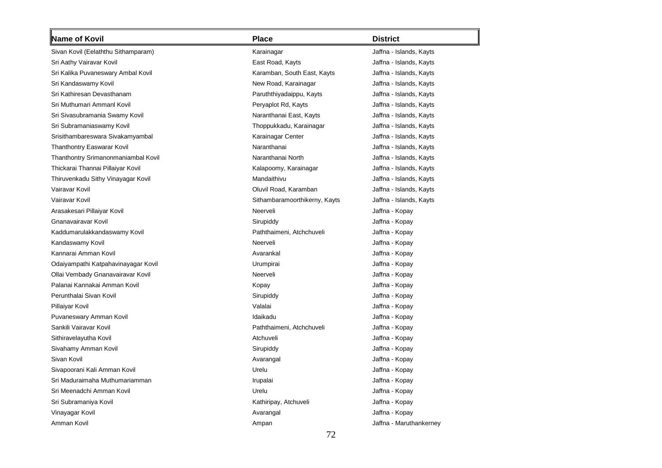| <b>Name of Kovil</b>                | <b>Place</b>                  | <b>District</b>         |
|-------------------------------------|-------------------------------|-------------------------|
| Sivan Kovil (Eelaththu Sithamparam) | Karainagar                    | Jaffna - Islands, Kayts |
| Sri Aathy Vairavar Kovil            | East Road, Kayts              | Jaffna - Islands, Kayts |
| Sri Kalika Puvaneswary Ambal Kovil  | Karamban, South East, Kayts   | Jaffna - Islands, Kayts |
| Sri Kandaswamy Kovil                | New Road, Karainagar          | Jaffna - Islands, Kayts |
| Sri Kathiresan Devasthanam          | Paruththiyadaippu, Kayts      | Jaffna - Islands, Kayts |
| Sri Muthumari Ammanl Kovil          | Peryaplot Rd, Kayts           | Jaffna - Islands, Kayts |
| Sri Sivasubramania Swamy Kovil      | Naranthanai East, Kayts       | Jaffna - Islands, Kayts |
| Sri Subramaniaswamy Kovil           | Thoppukkadu, Karainagar       | Jaffna - Islands, Kayts |
| Srisithambareswara Sivakamyambal    | Karainagar Center             | Jaffna - Islands, Kayts |
| Thanthontry Easwarar Kovil          | Naranthanai                   | Jaffna - Islands, Kayts |
| Thanthontry Srimanonmaniambal Kovil | Naranthanai North             | Jaffna - Islands, Kayts |
| Thickarai Thannai Pillaiyar Kovil   | Kalapoomy, Karainagar         | Jaffna - Islands, Kayts |
| Thiruvenkadu Sithy Vinayagar Kovil  | Mandaithivu                   | Jaffna - Islands, Kayts |
| Vairavar Kovil                      | Oluvil Road, Karamban         | Jaffna - Islands, Kayts |
| Vairavar Kovil                      | Sithambaramoorthikerny, Kayts | Jaffna - Islands, Kayts |
| Arasakesari Pillaiyar Kovil         | Neerveli                      | Jaffna - Kopay          |
| Gnanavairavar Kovil                 | Sirupiddy                     | Jaffna - Kopay          |
| Kaddumarulakkandaswamy Kovil        | Paththaimeni, Atchchuveli     | Jaffna - Kopay          |
| Kandaswamy Kovil                    | Neerveli                      | Jaffna - Kopay          |
| Kannarai Amman Kovil                | Avarankal                     | Jaffna - Kopay          |
| Odaiyampathi Katpahavinayagar Kovil | Urumpirai                     | Jaffna - Kopay          |
| Ollai Vembady Gnanavairavar Kovil   | Neerveli                      | Jaffna - Kopay          |
| Palanai Kannakai Amman Kovil        | Kopay                         | Jaffna - Kopay          |
| Perunthalai Sivan Kovil             | Sirupiddy                     | Jaffna - Kopay          |
| Pillaiyar Kovil                     | Valalai                       | Jaffna - Kopay          |
| Puvaneswary Amman Kovil             | Idaikadu                      | Jaffna - Kopay          |
| Sankili Vairavar Kovil              | Paththaimeni, Atchchuveli     | Jaffna - Kopay          |
| Sithiravelayutha Kovil              | Atchuveli                     | Jaffna - Kopay          |
| Sivahamy Amman Kovil                | Sirupiddy                     | Jaffna - Kopay          |
| Sivan Kovil                         | Avarangal                     | Jaffna - Kopay          |
| Sivapoorani Kali Amman Kovil        | Urelu                         | Jaffna - Kopay          |
| Sri Maduraimaha Muthumariamman      | Irupalai                      | Jaffna - Kopay          |
| Sri Meenadchi Amman Kovil           | Urelu                         | Jaffna - Kopay          |
| Sri Subramaniya Kovil               | Kathiripay, Atchuveli         | Jaffna - Kopay          |
| Vinayagar Kovil                     | Avarangal                     | Jaffna - Kopay          |
| Amman Kovil                         | Ampan                         | Jaffna - Maruthankerney |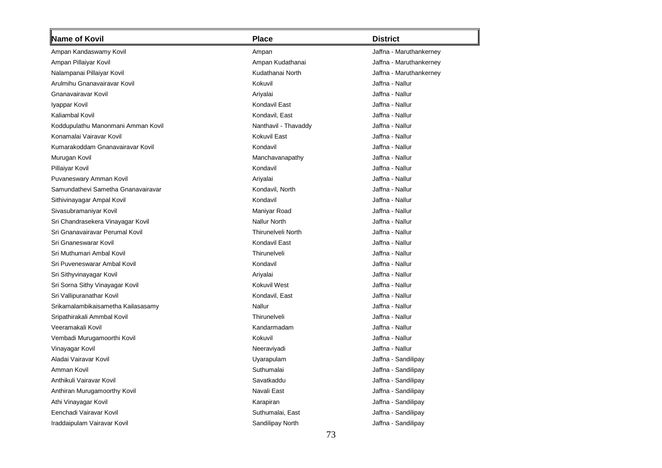| <b>Name of Kovil</b>               | <b>Place</b>              | <b>District</b>         |
|------------------------------------|---------------------------|-------------------------|
| Ampan Kandaswamy Kovil             | Ampan                     | Jaffna - Maruthankerney |
| Ampan Pillaiyar Kovil              | Ampan Kudathanai          | Jaffna - Maruthankerney |
| Nalampanai Pillaiyar Kovil         | Kudathanai North          | Jaffna - Maruthankerney |
| Arulmihu Gnanavairavar Kovil       | Kokuvil                   | Jaffna - Nallur         |
| Gnanavairavar Kovil                | Ariyalai                  | Jaffna - Nallur         |
| Iyappar Kovil                      | Kondavil East             | Jaffna - Nallur         |
| Kaliambal Kovil                    | Kondavil, East            | Jaffna - Nallur         |
| Koddupulathu Manonmani Amman Kovil | Nanthavil - Thavaddy      | Jaffna - Nallur         |
| Konamalai Vairavar Kovil           | <b>Kokuvil East</b>       | Jaffna - Nallur         |
| Kumarakoddam Gnanavairavar Kovil   | Kondavil                  | Jaffna - Nallur         |
| Murugan Kovil                      | Manchavanapathy           | Jaffna - Nallur         |
| Pillaiyar Kovil                    | Kondavil                  | Jaffna - Nallur         |
| Puvaneswary Amman Kovil            | Ariyalai                  | Jaffna - Nallur         |
| Samundathevi Sametha Gnanavairavar | Kondavil, North           | Jaffna - Nallur         |
| Sithivinayagar Ampal Kovil         | Kondavil                  | Jaffna - Nallur         |
| Sivasubramaniyar Kovil             | Maniyar Road              | Jaffna - Nallur         |
| Sri Chandrasekera Vinayagar Kovil  | <b>Nallur North</b>       | Jaffna - Nallur         |
| Sri Gnanavairavar Perumal Kovil    | <b>Thirunelveli North</b> | Jaffna - Nallur         |
| Sri Gnaneswarar Kovil              | Kondavil East             | Jaffna - Nallur         |
| Sri Muthumari Ambal Kovil          | Thirunelveli              | Jaffna - Nallur         |
| Sri Puveneswarar Ambal Kovil       | Kondavil                  | Jaffna - Nallur         |
| Sri Sithyvinayagar Kovil           | Ariyalai                  | Jaffna - Nallur         |
| Sri Sorna Sithy Vinayagar Kovil    | <b>Kokuvil West</b>       | Jaffna - Nallur         |
| Sri Vallipuranathar Kovil          | Kondavil, East            | Jaffna - Nallur         |
| Srikamalambikaisametha Kailasasamy | Nallur                    | Jaffna - Nallur         |
| Sripathirakali Ammbal Kovil        | Thirunelveli              | Jaffna - Nallur         |
| Veeramakali Kovil                  | Kandarmadam               | Jaffna - Nallur         |
| Vembadi Murugamoorthi Kovil        | Kokuvil                   | Jaffna - Nallur         |
| Vinayagar Kovil                    | Neeraviyadi               | Jaffna - Nallur         |
| Aladai Vairavar Kovil              | Uyarapulam                | Jaffna - Sandilipay     |
| Amman Kovil                        | Suthumalai                | Jaffna - Sandilipay     |
| Anthikuli Vairavar Kovil           | Savatkaddu                | Jaffna - Sandilipay     |
| Anthiran Murugamoorthy Kovil       | Navali East               | Jaffna - Sandilipay     |
| Athi Vinayagar Kovil               | Karapiran                 | Jaffna - Sandilipay     |
| Eenchadi Vairavar Kovil            | Suthumalai, East          | Jaffna - Sandilipay     |
| Iraddaipulam Vairavar Kovil        | Sandilipay North          | Jaffna - Sandilipay     |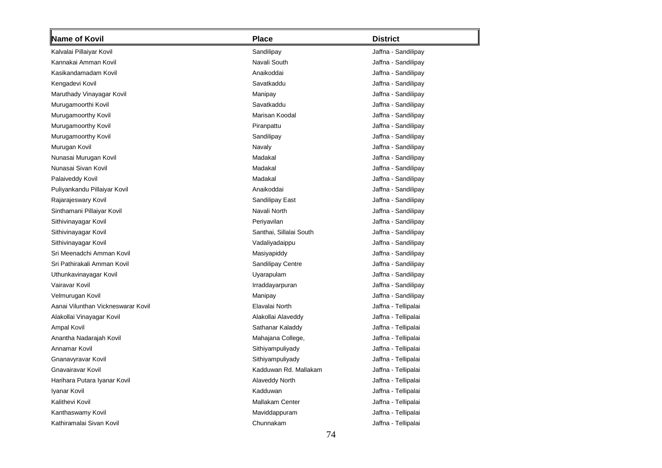| Name of Kovil                      | <b>Place</b>             | <b>District</b>     |
|------------------------------------|--------------------------|---------------------|
| Kalvalai Pillaiyar Kovil           | Sandilipay               | Jaffna - Sandilipay |
| Kannakai Amman Kovil               | Navali South             | Jaffna - Sandilipay |
| Kasikandamadam Kovil               | Anaikoddai               | Jaffna - Sandilipay |
| Kengadevi Kovil                    | Savatkaddu               | Jaffna - Sandilipay |
| Maruthady Vinayagar Kovil          | Manipay                  | Jaffna - Sandilipay |
| Murugamoorthi Kovil                | Savatkaddu               | Jaffna - Sandilipay |
| Murugamoorthy Kovil                | Marisan Koodal           | Jaffna - Sandilipay |
| Murugamoorthy Kovil                | Piranpattu               | Jaffna - Sandilipay |
| Murugamoorthy Kovil                | Sandilipay               | Jaffna - Sandilipay |
| Murugan Kovil                      | Navaly                   | Jaffna - Sandilipay |
| Nunasai Murugan Kovil              | Madakal                  | Jaffna - Sandilipay |
| Nunasai Sivan Kovil                | Madakal                  | Jaffna - Sandilipay |
| Palaiveddy Kovil                   | Madakal                  | Jaffna - Sandilipay |
| Puliyankandu Pillaiyar Kovil       | Anaikoddai               | Jaffna - Sandilipay |
| Rajarajeswary Kovil                | Sandilipay East          | Jaffna - Sandilipay |
| Sinthamani Pillaiyar Kovil         | Navali North             | Jaffna - Sandilipay |
| Sithivinayagar Kovil               | Periyavilan              | Jaffna - Sandilipay |
| Sithivinayagar Kovil               | Santhai, Sillalai South  | Jaffna - Sandilipay |
| Sithivinayagar Kovil               | Vadaliyadaippu           | Jaffna - Sandilipay |
| Sri Meenadchi Amman Kovil          | Masiyapiddy              | Jaffna - Sandilipay |
| Sri Pathirakali Amman Kovil        | <b>Sandilipay Centre</b> | Jaffna - Sandilipay |
| Uthunkavinayagar Kovil             | Uyarapulam               | Jaffna - Sandilipay |
| Vairavar Kovil                     | Irraddayarpuran          | Jaffna - Sandilipay |
| Velmurugan Kovil                   | Manipay                  | Jaffna - Sandilipay |
| Aanai Vilunthan Vickneswarar Kovil | Elavalai North           | Jaffna - Tellipalai |
| Alakollai Vinayagar Kovil          | Alakollai Alaveddy       | Jaffna - Tellipalai |
| Ampal Kovil                        | Sathanar Kaladdy         | Jaffna - Tellipalai |
| Anantha Nadarajah Kovil            | Mahajana College,        | Jaffna - Tellipalai |
| Annamar Kovil                      | Sithiyampuliyady         | Jaffna - Tellipalai |
| Gnanavyravar Kovil                 | Sithiyampuliyady         | Jaffna - Tellipalai |
| Gnavairavar Kovil                  | Kadduwan Rd. Mallakam    | Jaffna - Tellipalai |
| Harihara Putara Iyanar Kovil       | Alaveddy North           | Jaffna - Tellipalai |
| Iyanar Kovil                       | Kadduwan                 | Jaffna - Tellipalai |
| Kalithevi Kovil                    | Mallakam Center          | Jaffna - Tellipalai |
| Kanthaswamy Kovil                  | Maviddappuram            | Jaffna - Tellipalai |
| Kathiramalai Sivan Kovil           | Chunnakam                | Jaffna - Tellipalai |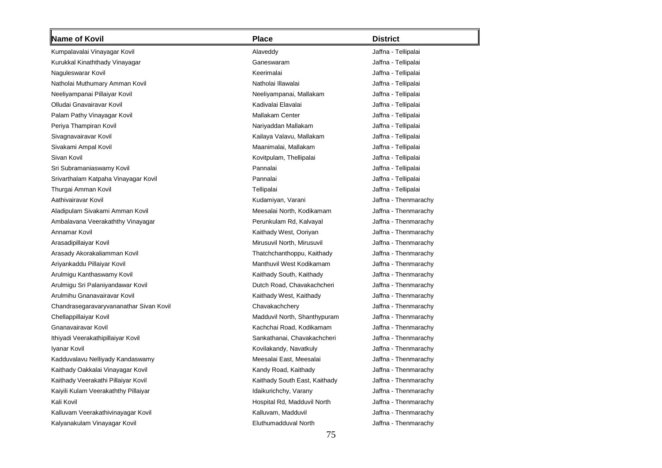| Name of Kovil                           | Place                         | <b>District</b>      |
|-----------------------------------------|-------------------------------|----------------------|
| Kumpalavalai Vinayagar Kovil            | Alaveddy                      | Jaffna - Tellipalai  |
| Kurukkal Kinaththady Vinayagar          | Ganeswaram                    | Jaffna - Tellipalai  |
| Naguleswarar Kovil                      | Keerimalai                    | Jaffna - Tellipalai  |
| Natholai Muthumary Amman Kovil          | Natholai Illawalai            | Jaffna - Tellipalai  |
| Neeliyampanai Pillaiyar Kovil           | Neeliyampanai, Mallakam       | Jaffna - Tellipalai  |
| Olludai Gnavairavar Kovil               | Kadivalai Elavalai            | Jaffna - Tellipalai  |
| Palam Pathy Vinayagar Kovil             | <b>Mallakam Center</b>        | Jaffna - Tellipalai  |
| Periya Thampiran Kovil                  | Nariyaddan Mallakam           | Jaffna - Tellipalai  |
| Sivagnavairavar Kovil                   | Kailaya Valavu, Mallakam      | Jaffna - Tellipalai  |
| Sivakami Ampal Kovil                    | Maanimalai, Mallakam          | Jaffna - Tellipalai  |
| Sivan Kovil                             | Kovitpulam, Thellipalai       | Jaffna - Tellipalai  |
| Sri Subramaniaswamy Kovil               | Pannalai                      | Jaffna - Tellipalai  |
| Srivarthalam Katpaha Vinayagar Kovil    | Pannalai                      | Jaffna - Tellipalai  |
| Thurgai Amman Kovil                     | Tellipalai                    | Jaffna - Tellipalai  |
| Aathivairavar Kovil                     | Kudamiyan, Varani             | Jaffna - Thenmarachy |
| Aladipulam Sivakami Amman Kovil         | Meesalai North, Kodikamam     | Jaffna - Thenmarachy |
| Ambalavana Veerakaththy Vinayagar       | Perunkulam Rd, Kalvayal       | Jaffna - Thenmarachy |
| Annamar Kovil                           | Kaithady West, Ooriyan        | Jaffna - Thenmarachy |
| Arasadipillaiyar Kovil                  | Mirusuvil North, Mirusuvil    | Jaffna - Thenmarachy |
| Arasady Akorakaliamman Kovil            | Thatchchanthoppu, Kaithady    | Jaffna - Thenmarachy |
| Ariyankaddu Pillaiyar Kovil             | Manthuvil West Kodikamam      | Jaffna - Thenmarachy |
| Arulmigu Kanthaswamy Kovil              | Kaithady South, Kaithady      | Jaffna - Thenmarachy |
| Arulmigu Sri Palaniyandawar Kovil       | Dutch Road, Chavakachcheri    | Jaffna - Thenmarachy |
| Arulmihu Gnanavairavar Kovil            | Kaithady West, Kaithady       | Jaffna - Thenmarachy |
| Chandrasegaravaryvananathar Sivan Kovil | Chavakachchery                | Jaffna - Thenmarachy |
| Chellappillaiyar Kovil                  | Madduvil North, Shanthypuram  | Jaffna - Thenmarachy |
| Gnanavairavar Kovil                     | Kachchai Road, Kodikamam      | Jaffna - Thenmarachy |
| Ithiyadi Veerakathipillaiyar Kovil      | Sankathanai, Chavakachcheri   | Jaffna - Thenmarachy |
| Iyanar Kovil                            | Kovilakandy, Navatkuly        | Jaffna - Thenmarachy |
| Kadduvalavu Nelliyady Kandaswamy        | Meesalai East, Meesalai       | Jaffna - Thenmarachy |
| Kaithady Oakkalai Vinayagar Kovil       | Kandy Road, Kaithady          | Jaffna - Thenmarachy |
| Kaithady Veerakathi Pillaiyar Kovil     | Kaithady South East, Kaithady | Jaffna - Thenmarachy |
| Kaiyili Kulam Veerakaththy Pillaiyar    | Idaikurichchy, Varany         | Jaffna - Thenmarachy |
| Kali Kovil                              | Hospital Rd, Madduvil North   | Jaffna - Thenmarachy |
| Kalluvam Veerakathivinayagar Kovil      | Kalluvam, Madduvil            | Jaffna - Thenmarachy |
| Kalyanakulam Vinayagar Kovil            | Eluthumadduval North          | Jaffna - Thenmarachy |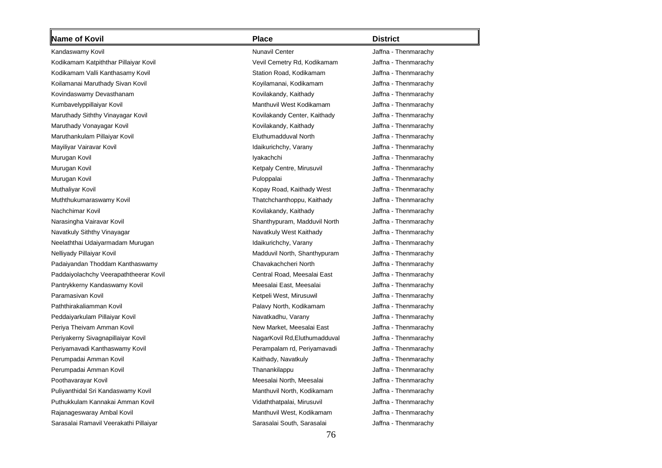| Name of Kovil                          | <b>Place</b>                  | <b>District</b>      |
|----------------------------------------|-------------------------------|----------------------|
| Kandaswamy Kovil                       | <b>Nunavil Center</b>         | Jaffna - Thenmarachy |
| Kodikamam Katpiththar Pillaiyar Kovil  | Vevil Cemetry Rd, Kodikamam   | Jaffna - Thenmarachy |
| Kodikamam Valli Kanthasamy Kovil       | Station Road, Kodikamam       | Jaffna - Thenmarachy |
| Koilamanai Maruthady Sivan Kovil       | Koyilamanai, Kodikamam        | Jaffna - Thenmarachy |
| Kovindaswamy Devasthanam               | Kovilakandy, Kaithady         | Jaffna - Thenmarachy |
| Kumbavelyppillaiyar Kovil              | Manthuvil West Kodikamam      | Jaffna - Thenmarachy |
| Maruthady Siththy Vinayagar Kovil      | Kovilakandy Center, Kaithady  | Jaffna - Thenmarachy |
| Maruthady Vonayagar Kovil              | Kovilakandy, Kaithady         | Jaffna - Thenmarachy |
| Maruthankulam Pillaiyar Kovil          | Eluthumadduval North          | Jaffna - Thenmarachy |
| Mayiliyar Vairavar Kovil               | Idaikurichchy, Varany         | Jaffna - Thenmarachy |
| Murugan Kovil                          | lyakachchi                    | Jaffna - Thenmarachy |
| Murugan Kovil                          | Ketpaly Centre, Mirusuvil     | Jaffna - Thenmarachy |
| Murugan Kovil                          | Puloppalai                    | Jaffna - Thenmarachy |
| Muthaliyar Kovil                       | Kopay Road, Kaithady West     | Jaffna - Thenmarachy |
| Muththukumaraswamy Kovil               | Thatchchanthoppu, Kaithady    | Jaffna - Thenmarachy |
| Nachchimar Kovil                       | Kovilakandy, Kaithady         | Jaffna - Thenmarachy |
| Narasingha Vairavar Kovil              | Shanthypuram, Madduvil North  | Jaffna - Thenmarachy |
| Navatkuly Siththy Vinayagar            | Navatkuly West Kaithady       | Jaffna - Thenmarachy |
| Neelaththai Udaiyarmadam Murugan       | Idaikurichchy, Varany         | Jaffna - Thenmarachy |
| Nelliyady Pillaiyar Kovil              | Madduvil North, Shanthypuram  | Jaffna - Thenmarachy |
| Padaiyandan Thoddam Kanthaswamy        | Chavakachcheri North          | Jaffna - Thenmarachy |
| Paddaiyolachchy Veerapaththeerar Kovil | Central Road, Meesalai East   | Jaffna - Thenmarachy |
| Pantrykkerny Kandaswamy Kovil          | Meesalai East, Meesalai       | Jaffna - Thenmarachy |
| Paramasivan Kovil                      | Ketpeli West, Mirusuwil       | Jaffna - Thenmarachy |
| Paththirakaliamman Kovil               | Palavy North, Kodikamam       | Jaffna - Thenmarachy |
| Peddaiyarkulam Pillaiyar Kovil         | Navatkadhu, Varany            | Jaffna - Thenmarachy |
| Periya Theivam Amman Kovil             | New Market, Meesalai East     | Jaffna - Thenmarachy |
| Periyakerny Sivagnapillaiyar Kovil     | NagarKovil Rd, Eluthumadduval | Jaffna - Thenmarachy |
| Periyamavadi Kanthaswamy Kovil         | Perampalam rd, Periyamavadi   | Jaffna - Thenmarachy |
| Perumpadai Amman Kovil                 | Kaithady, Navatkuly           | Jaffna - Thenmarachy |
| Perumpadai Amman Kovil                 | Thanankilappu                 | Jaffna - Thenmarachy |
| Poothavarayar Kovil                    | Meesalai North, Meesalai      | Jaffna - Thenmarachy |
| Puliyanthidal Sri Kandaswamy Kovil     | Manthuvil North, Kodikamam    | Jaffna - Thenmarachy |
| Puthukkulam Kannakai Amman Kovil       | Vidaththatpalai, Mirusuvil    | Jaffna - Thenmarachy |
| Rajanageswaray Ambal Kovil             | Manthuvil West, Kodikamam     | Jaffna - Thenmarachy |
| Sarasalai Ramavil Veerakathi Pillaiyar | Sarasalai South, Sarasalai    | Jaffna - Thenmarachy |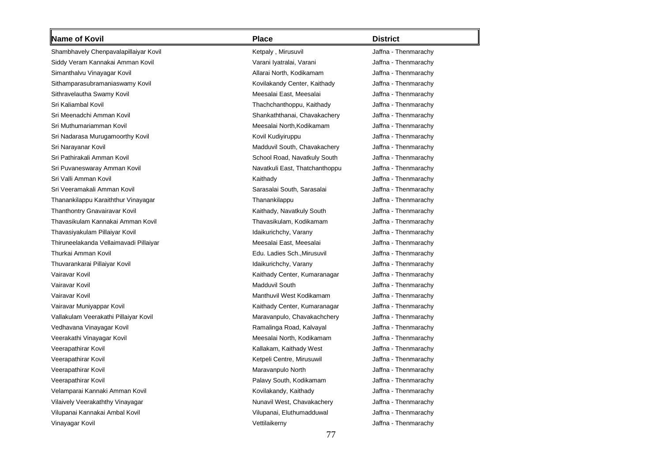| Name of Kovil                          | <b>Place</b>                   | <b>District</b>      |
|----------------------------------------|--------------------------------|----------------------|
| Shambhavely Chenpavalapillaiyar Kovil  | Ketpaly, Mirusuvil             | Jaffna - Thenmarachy |
| Siddy Veram Kannakai Amman Kovil       | Varani Iyatralai, Varani       | Jaffna - Thenmarachy |
| Simanthalvu Vinayagar Kovil            | Allarai North, Kodikamam       | Jaffna - Thenmarachy |
| Sithamparasubramaniaswamy Kovil        | Kovilakandy Center, Kaithady   | Jaffna - Thenmarachy |
| Sithravelautha Swamy Kovil             | Meesalai East, Meesalai        | Jaffna - Thenmarachy |
| Sri Kaliambal Kovil                    | Thachchanthoppu, Kaithady      | Jaffna - Thenmarachy |
| Sri Meenadchi Amman Kovil              | Shankaththanai, Chavakachery   | Jaffna - Thenmarachy |
| Sri Muthumariamman Kovil               | Meesalai North.Kodikamam       | Jaffna - Thenmarachy |
| Sri Nadarasa Murugamoorthy Kovil       | Kovil Kudiyiruppu              | Jaffna - Thenmarachy |
| Sri Narayanar Kovil                    | Madduvil South, Chavakachery   | Jaffna - Thenmarachy |
| Sri Pathirakali Amman Kovil            | School Road, Navatkuly South   | Jaffna - Thenmarachy |
| Sri Puvaneswaray Amman Kovil           | Navatkuli East, Thatchanthoppu | Jaffna - Thenmarachy |
| Sri Valli Amman Kovil                  | Kaithady                       | Jaffna - Thenmarachy |
| Sri Veeramakali Amman Kovil            | Sarasalai South, Sarasalai     | Jaffna - Thenmarachy |
| Thanankilappu Karaiththur Vinayagar    | Thanankilappu                  | Jaffna - Thenmarachy |
| Thanthontry Gnavairavar Kovil          | Kaithady, Navatkuly South      | Jaffna - Thenmarachy |
| Thavasikulam Kannakai Amman Kovil      | Thavasikulam, Kodikamam        | Jaffna - Thenmarachy |
| Thavasiyakulam Pillaiyar Kovil         | Idaikurichchy, Varany          | Jaffna - Thenmarachy |
| Thiruneelakanda Vellaimavadi Pillaiyar | Meesalai East, Meesalai        | Jaffna - Thenmarachy |
| Thurkai Amman Kovil                    | Edu. Ladies Sch., Mirusuvil    | Jaffna - Thenmarachy |
| Thuvarankarai Pillaiyar Kovil          | Idaikurichchy, Varany          | Jaffna - Thenmarachy |
| Vairavar Kovil                         | Kaithady Center, Kumaranagar   | Jaffna - Thenmarachy |
| Vairavar Kovil                         | <b>Madduvil South</b>          | Jaffna - Thenmarachy |
| Vairavar Kovil                         | Manthuvil West Kodikamam       | Jaffna - Thenmarachy |
| Vairavar Muniyappar Kovil              | Kaithady Center, Kumaranagar   | Jaffna - Thenmarachy |
| Vallakulam Veerakathi Pillaiyar Kovil  | Maravanpulo, Chavakachchery    | Jaffna - Thenmarachy |
| Vedhavana Vinayagar Kovil              | Ramalinga Road, Kalvayal       | Jaffna - Thenmarachy |
| Veerakathi Vinayagar Kovil             | Meesalai North, Kodikamam      | Jaffna - Thenmarachy |
| Veerapathirar Kovil                    | Kallakam, Kaithady West        | Jaffna - Thenmarachy |
| Veerapathirar Kovil                    | Ketpeli Centre, Mirusuwil      | Jaffna - Thenmarachy |
| Veerapathirar Kovil                    | Maravanpulo North              | Jaffna - Thenmarachy |
| Veerapathirar Kovil                    | Palavy South, Kodikamam        | Jaffna - Thenmarachy |
| Velamparai Kannaki Amman Kovil         | Kovilakandy, Kaithady          | Jaffna - Thenmarachy |
| Vilaively Veerakaththy Vinayagar       | Nunavil West, Chavakachery     | Jaffna - Thenmarachy |
| Vilupanai Kannakai Ambal Kovil         | Vilupanai, Eluthumadduwal      | Jaffna - Thenmarachy |
| Vinayagar Kovil                        | Vettilaikerny                  | Jaffna - Thenmarachy |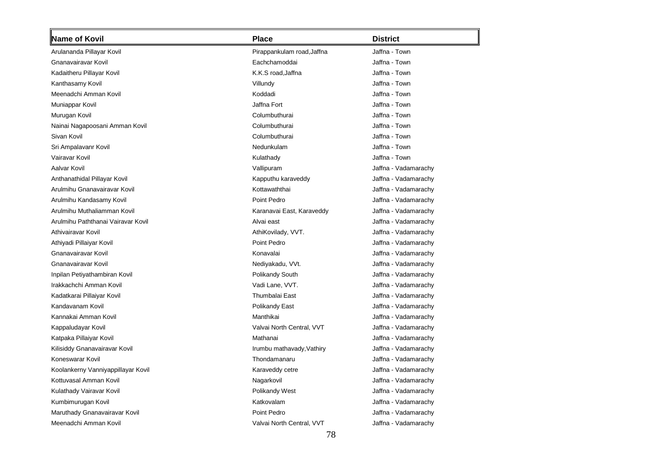| Name of Kovil                      | <b>Place</b>               | <b>District</b>      |
|------------------------------------|----------------------------|----------------------|
| Arulananda Pillayar Kovil          | Pirappankulam road, Jaffna | Jaffna - Town        |
| Gnanavairavar Kovil                | Eachchamoddai              | Jaffna - Town        |
| Kadaitheru Pillayar Kovil          | K.K.S road.Jaffna          | Jaffna - Town        |
| Kanthasamy Kovil                   | Villundy                   | Jaffna - Town        |
| Meenadchi Amman Kovil              | Koddadi                    | Jaffna - Town        |
| Muniappar Kovil                    | Jaffna Fort                | Jaffna - Town        |
| Murugan Kovil                      | Columbuthurai              | Jaffna - Town        |
| Nainai Nagapoosani Amman Kovil     | Columbuthurai              | Jaffna - Town        |
| Sivan Kovil                        | Columbuthurai              | Jaffna - Town        |
| Sri Ampalavanr Kovil               | Nedunkulam                 | Jaffna - Town        |
| Vairavar Kovil                     | Kulathady                  | Jaffna - Town        |
| Aalvar Kovil                       | Vallipuram                 | Jaffna - Vadamarachy |
| Anthanathidal Pillayar Kovil       | Kapputhu karaveddy         | Jaffna - Vadamarachy |
| Arulmihu Gnanavairavar Kovil       | Kottawaththai              | Jaffna - Vadamarachy |
| Arulmihu Kandasamy Kovil           | Point Pedro                | Jaffna - Vadamarachy |
| Arulmihu Muthaliamman Kovil        | Karanavai East, Karaveddy  | Jaffna - Vadamarachy |
| Arulmihu Paththanai Vairavar Kovil | Alvai east                 | Jaffna - Vadamarachy |
| Athivairavar Kovil                 | AthiKovilady, VVT.         | Jaffna - Vadamarachy |
| Athiyadi Pillaiyar Kovil           | Point Pedro                | Jaffna - Vadamarachy |
| Gnanavairavar Kovil                | Konavalai                  | Jaffna - Vadamarachy |
| Gnanavairavar Kovil                | Nediyakadu, VVt.           | Jaffna - Vadamarachy |
| Inpilan Petiyathambiran Kovil      | Polikandy South            | Jaffna - Vadamarachy |
| Irakkachchi Amman Kovil            | Vadi Lane, VVT.            | Jaffna - Vadamarachy |
| Kadatkarai Pillaiyar Kovil         | Thumbalai East             | Jaffna - Vadamarachy |
| Kandavanam Kovil                   | Polikandy East             | Jaffna - Vadamarachy |
| Kannakai Amman Kovil               | Manthikai                  | Jaffna - Vadamarachy |
| Kappaludayar Kovil                 | Valvai North Central, VVT  | Jaffna - Vadamarachy |
| Katpaka Pillaiyar Kovil            | Mathanai                   | Jaffna - Vadamarachy |
| Kilisiddy Gnanavairavar Kovil      | Irumbu mathavady, Vathiry  | Jaffna - Vadamarachy |
| Koneswarar Kovil                   | Thondamanaru               | Jaffna - Vadamarachy |
| Koolankerny Vanniyappillayar Kovil | Karaveddy cetre            | Jaffna - Vadamarachy |
| Kottuvasal Amman Kovil             | Nagarkovil                 | Jaffna - Vadamarachy |
| Kulathady Vairavar Kovil           | Polikandy West             | Jaffna - Vadamarachy |
| Kumbimurugan Kovil                 | Katkovalam                 | Jaffna - Vadamarachy |
| Maruthady Gnanavairavar Kovil      | Point Pedro                | Jaffna - Vadamarachy |
| Meenadchi Amman Kovil              | Valvai North Central, VVT  | Jaffna - Vadamarachy |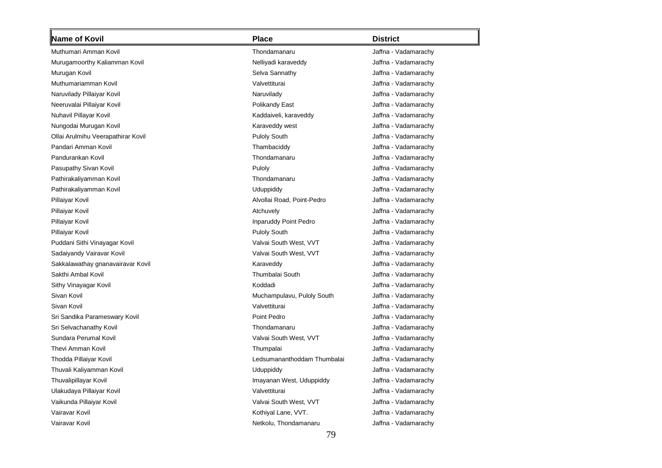| Name of Kovil                      | <b>Place</b>                | <b>District</b>      |
|------------------------------------|-----------------------------|----------------------|
| Muthumari Amman Kovil              | Thondamanaru                | Jaffna - Vadamarachy |
| Murugamoorthy Kaliamman Kovil      | Nelliyadi karaveddy         | Jaffna - Vadamarachy |
| Murugan Kovil                      | Selva Sannathy              | Jaffna - Vadamarachy |
| Muthumariamman Kovil               | Valvettiturai               | Jaffna - Vadamarachy |
| Naruvilady Pillaiyar Kovil         | Naruvilady                  | Jaffna - Vadamarachy |
| Neeruvalai Pillaiyar Kovil         | Polikandy East              | Jaffna - Vadamarachy |
| Nuhavil Pillayar Kovil             | Kaddaiveli, karaveddy       | Jaffna - Vadamarachy |
| Nungodai Murugan Kovil             | Karaveddy west              | Jaffna - Vadamarachy |
| Ollai Arulmihu Veerapathirar Kovil | <b>Puloly South</b>         | Jaffna - Vadamarachy |
| Pandari Amman Kovil                | Thambaciddy                 | Jaffna - Vadamarachy |
| Pandurankan Kovil                  | Thondamanaru                | Jaffna - Vadamarachy |
| Pasupathy Sivan Kovil              | Puloly                      | Jaffna - Vadamarachy |
| Pathirakaliyamman Kovil            | Thondamanaru                | Jaffna - Vadamarachy |
| Pathirakaliyamman Kovil            | Uduppiddy                   | Jaffna - Vadamarachy |
| Pillaiyar Kovil                    | Alvollai Road, Point-Pedro  | Jaffna - Vadamarachy |
| Pillaiyar Kovil                    | Atchuvely                   | Jaffna - Vadamarachy |
| Pillaiyar Kovil                    | Inparuddy Point Pedro       | Jaffna - Vadamarachy |
| Pillaiyar Kovil                    | <b>Puloly South</b>         | Jaffna - Vadamarachy |
| Puddani Sithi Vinayagar Kovil      | Valvai South West, VVT      | Jaffna - Vadamarachy |
| Sadaiyandy Vairavar Kovil          | Valvai South West, VVT      | Jaffna - Vadamarachy |
| Sakkalawathay gnanavairavar Kovil  | Karaveddy                   | Jaffna - Vadamarachy |
| Sakthi Ambal Kovil                 | <b>Thumbalai South</b>      | Jaffna - Vadamarachy |
| Sithy Vinayagar Kovil              | Koddadi                     | Jaffna - Vadamarachy |
| Sivan Kovil                        | Muchampulavu, Puloly South  | Jaffna - Vadamarachy |
| Sivan Kovil                        | Valvettiturai               | Jaffna - Vadamarachy |
| Sri Sandika Parameswary Kovil      | Point Pedro                 | Jaffna - Vadamarachy |
| Sri Selvachanathy Kovil            | Thondamanaru                | Jaffna - Vadamarachy |
| Sundara Perumal Kovil              | Valvai South West, VVT      | Jaffna - Vadamarachy |
| Thevi Amman Kovil                  | Thumpalai                   | Jaffna - Vadamarachy |
| Thodda Pillaiyar Kovil             | Ledsumananthoddam Thumbalai | Jaffna - Vadamarachy |
| Thuvali Kaliyamman Kovil           | <b>Uduppiddy</b>            | Jaffna - Vadamarachy |
| Thuvalipillayar Kovil              | Imayanan West, Uduppiddy    | Jaffna - Vadamarachy |
| Ulakudaya Pillaiyar Kovil          | Valvettiturai               | Jaffna - Vadamarachy |
| Vaikunda Pillaiyar Kovil           | Valvai South West, VVT      | Jaffna - Vadamarachy |
| Vairavar Kovil                     | Kothiyal Lane, VVT.         | Jaffna - Vadamarachy |
| Vairavar Kovil                     | Netkolu, Thondamanaru       | Jaffna - Vadamarachy |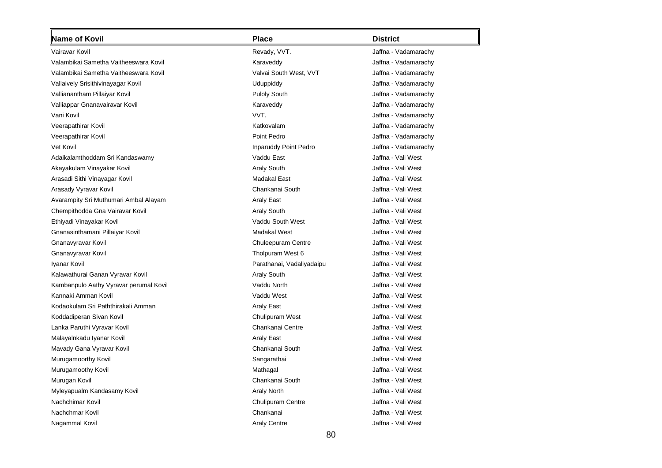| Name of Kovil                          | <b>Place</b>              | <b>District</b>      |
|----------------------------------------|---------------------------|----------------------|
| Vairavar Kovil                         | Revady, VVT.              | Jaffna - Vadamarachy |
| Valambikai Sametha Vaitheeswara Kovil  | Karaveddy                 | Jaffna - Vadamarachy |
| Valambikai Sametha Vaitheeswara Kovil  | Valvai South West, VVT    | Jaffna - Vadamarachy |
| Vallaively Srisithivinayagar Kovil     | Uduppiddy                 | Jaffna - Vadamarachy |
| Vallianantham Pillaiyar Kovil          | <b>Puloly South</b>       | Jaffna - Vadamarachy |
| Valliappar Gnanavairavar Kovil         | Karaveddy                 | Jaffna - Vadamarachy |
| Vani Kovil                             | VVT.                      | Jaffna - Vadamarachy |
| Veerapathirar Kovil                    | Katkovalam                | Jaffna - Vadamarachy |
| Veerapathirar Kovil                    | Point Pedro               | Jaffna - Vadamarachy |
| Vet Kovil                              | Inparuddy Point Pedro     | Jaffna - Vadamarachy |
| Adaikalamthoddam Sri Kandaswamy        | Vaddu East                | Jaffna - Vali West   |
| Akayakulam Vinayakar Kovil             | <b>Araly South</b>        | Jaffna - Vali West   |
| Arasadi Sithi Vinayagar Kovil          | <b>Madakal East</b>       | Jaffna - Vali West   |
| Arasady Vyravar Kovil                  | Chankanai South           | Jaffna - Vali West   |
| Avarampity Sri Muthumari Ambal Alayam  | <b>Araly East</b>         | Jaffna - Vali West   |
| Chempithodda Gna Vairavar Kovil        | <b>Araly South</b>        | Jaffna - Vali West   |
| Ethiyadi Vinayakar Kovil               | Vaddu South West          | Jaffna - Vali West   |
| Gnanasinthamani Pillaiyar Kovil        | Madakal West              | Jaffna - Vali West   |
| Gnanavyravar Kovil                     | Chuleepuram Centre        | Jaffna - Vali West   |
| Gnanavyravar Kovil                     | Tholpuram West 6          | Jaffna - Vali West   |
| Iyanar Kovil                           | Parathanai, Vadaliyadaipu | Jaffna - Vali West   |
| Kalawathurai Ganan Vyravar Kovil       | <b>Araly South</b>        | Jaffna - Vali West   |
| Kambanpulo Aathy Vyravar perumal Kovil | Vaddu North               | Jaffna - Vali West   |
| Kannaki Amman Kovil                    | Vaddu West                | Jaffna - Vali West   |
| Kodaokulam Sri Paththirakali Amman     | <b>Araly East</b>         | Jaffna - Vali West   |
| Koddadiperan Sivan Kovil               | Chulipuram West           | Jaffna - Vali West   |
| Lanka Paruthi Vyravar Kovil            | Chankanai Centre          | Jaffna - Vali West   |
| Malayalnkadu Iyanar Kovil              | <b>Araly East</b>         | Jaffna - Vali West   |
| Mavady Gana Vyravar Kovil              | Chankanai South           | Jaffna - Vali West   |
| Murugamoorthy Kovil                    | Sangarathai               | Jaffna - Vali West   |
| Murugamoothy Kovil                     | Mathagal                  | Jaffna - Vali West   |
| Murugan Kovil                          | Chankanai South           | Jaffna - Vali West   |
| Myleyapualm Kandasamy Kovil            | <b>Araly North</b>        | Jaffna - Vali West   |
| Nachchimar Kovil                       | <b>Chulipuram Centre</b>  | Jaffna - Vali West   |
| Nachchmar Kovil                        | Chankanai                 | Jaffna - Vali West   |
| Nagammal Kovil                         | <b>Araly Centre</b>       | Jaffna - Vali West   |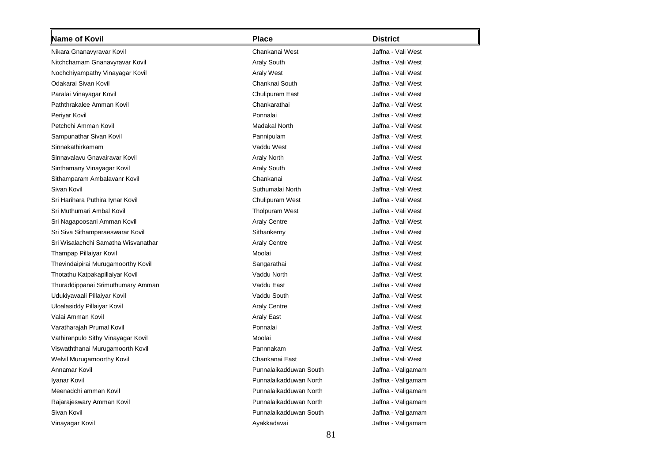| <b>Name of Kovil</b>                | <b>Place</b>           | <b>District</b>    |
|-------------------------------------|------------------------|--------------------|
| Nikara Gnanavyravar Kovil           | Chankanai West         | Jaffna - Vali West |
| Nitchchamam Gnanavyravar Kovil      | <b>Araly South</b>     | Jaffna - Vali West |
| Nochchiyampathy Vinayagar Kovil     | <b>Araly West</b>      | Jaffna - Vali West |
| Odakarai Sivan Kovil                | Chanknai South         | Jaffna - Vali West |
| Paralai Vinayagar Kovil             | Chulipuram East        | Jaffna - Vali West |
| Paththrakalee Amman Kovil           | Chankarathai           | Jaffna - Vali West |
| Periyar Kovil                       | Ponnalai               | Jaffna - Vali West |
| Petchchi Amman Kovil                | Madakal North          | Jaffna - Vali West |
| Sampunathar Sivan Kovil             | Pannipulam             | Jaffna - Vali West |
| Sinnakathirkamam                    | Vaddu West             | Jaffna - Vali West |
| Sinnavalavu Gnavairavar Kovil       | <b>Araly North</b>     | Jaffna - Vali West |
| Sinthamany Vinayagar Kovil          | <b>Araly South</b>     | Jaffna - Vali West |
| Sithamparam Ambalavanr Kovil        | Chankanai              | Jaffna - Vali West |
| Sivan Kovil                         | Suthumalai North       | Jaffna - Vali West |
| Sri Harihara Puthira Iynar Kovil    | Chulipuram West        | Jaffna - Vali West |
| Sri Muthumari Ambal Kovil           | <b>Tholpuram West</b>  | Jaffna - Vali West |
| Sri Nagapoosani Amman Kovil         | <b>Araly Centre</b>    | Jaffna - Vali West |
| Sri Siva Sithamparaeswarar Kovil    | Sithankerny            | Jaffna - Vali West |
| Sri Wisalachchi Samatha Wisvanathar | <b>Araly Centre</b>    | Jaffna - Vali West |
| Thampap Pillaiyar Kovil             | Moolai                 | Jaffna - Vali West |
| Thevindaipirai Murugamoorthy Kovil  | Sangarathai            | Jaffna - Vali West |
| Thotathu Katpakapillaiyar Kovil     | Vaddu North            | Jaffna - Vali West |
| Thuraddippanai Srimuthumary Amman   | Vaddu East             | Jaffna - Vali West |
| Udukiyavaali Pillaiyar Kovil        | Vaddu South            | Jaffna - Vali West |
| Uloalasiddy Pillaiyar Kovil         | <b>Araly Centre</b>    | Jaffna - Vali West |
| Valai Amman Kovil                   | <b>Araly East</b>      | Jaffna - Vali West |
| Varatharajah Prumal Kovil           | Ponnalai               | Jaffna - Vali West |
| Vathiranpulo Sithy Vinayagar Kovil  | Moolai                 | Jaffna - Vali West |
| Viswaththanai Murugamoorth Kovil    | Pannnakam              | Jaffna - Vali West |
| Welvil Murugamoorthy Kovil          | Chankanai East         | Jaffna - Vali West |
| Annamar Kovil                       | Punnalaikadduwan South | Jaffna - Valigamam |
| Iyanar Kovil                        | Punnalaikadduwan North | Jaffna - Valigamam |
| Meenadchi amman Kovil               | Punnalaikadduwan North | Jaffna - Valigamam |
| Rajarajeswary Amman Kovil           | Punnalaikadduwan North | Jaffna - Valigamam |
| Sivan Kovil                         | Punnalaikadduwan South | Jaffna - Valigamam |
| Vinayagar Kovil                     | Ayakkadavai            | Jaffna - Valigamam |
|                                     |                        |                    |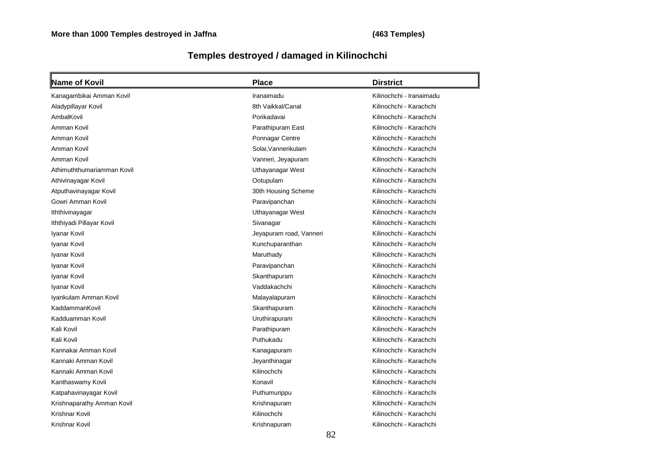### **More than 1000 Temples destroyed in Jaffna (463 Temples)**

# **Temples destroyed / damaged in Kilinochchi**

| Name of Kovil              | <b>Place</b>            | <b>Dirstrict</b>         |
|----------------------------|-------------------------|--------------------------|
| Kanagambikai Amman Kovil   | Iranaimadu              | Kilinochchi - Iranaimadu |
| Aladypillayar Kovil        | 8th Vaikkal/Canal       | Kilinochchi - Karachchi  |
| AmbalKovil                 | Porikadavai             | Kilinochchi - Karachchi  |
| Amman Kovil                | Parathipuram East       | Kilinochchi - Karachchi  |
| Amman Kovil                | Ponnagar Centre         | Kilinochchi - Karachchi  |
| Amman Kovil                | Solai, Vannerikulam     | Kilinochchi - Karachchi  |
| Amman Kovil                | Vanneri, Jeyapuram      | Kilinochchi - Karachchi  |
| Athimuththumariamman Kovil | Uthayanagar West        | Kilinochchi - Karachchi  |
| Athivinayagar Kovil        | Ootupulam               | Kilinochchi - Karachchi  |
| Atputhavinayagar Kovil     | 30th Housing Scheme     | Kilinochchi - Karachchi  |
| Gowri Amman Kovil          | Paravipanchan           | Kilinochchi - Karachchi  |
| Iththivinayagar            | Uthayanagar West        | Kilinochchi - Karachchi  |
| Iththiyadi Pillayar Kovil  | Sivanagar               | Kilinochchi - Karachchi  |
| Iyanar Kovil               | Jeyapuram road, Vanneri | Kilinochchi - Karachchi  |
| Iyanar Kovil               | Kunchuparanthan         | Kilinochchi - Karachchi  |
| Iyanar Kovil               | Maruthady               | Kilinochchi - Karachchi  |
| Iyanar Kovil               | Paravipanchan           | Kilinochchi - Karachchi  |
| Iyanar Kovil               | Skanthapuram            | Kilinochchi - Karachchi  |
| Iyanar Kovil               | Vaddakachchi            | Kilinochchi - Karachchi  |
| Iyankulam Amman Kovil      | Malayalapuram           | Kilinochchi - Karachchi  |
| KaddammanKovil             | Skanthapuram            | Kilinochchi - Karachchi  |
| Kadduamman Kovil           | Uruthirapuram           | Kilinochchi - Karachchi  |
| Kali Kovil                 | Parathipuram            | Kilinochchi - Karachchi  |
| Kali Kovil                 | Puthukadu               | Kilinochchi - Karachchi  |
| Kannakai Amman Kovil       | Kanagapuram             | Kilinochchi - Karachchi  |
| Kannaki Amman Kovil        | Jeyanthinagar           | Kilinochchi - Karachchi  |
| Kannaki Amman Kovil        | Kilinochchi             | Kilinochchi - Karachchi  |
| Kanthaswamy Kovil          | Konavil                 | Kilinochchi - Karachchi  |
| Katpahavinayagar Kovil     | Puthumurippu            | Kilinochchi - Karachchi  |
| Krishnaparathy Amman Kovil | Krishnapuram            | Kilinochchi - Karachchi  |
| <b>Krishnar Kovil</b>      | Kilinochchi             | Kilinochchi - Karachchi  |
| Krishnar Kovil             | Krishnapuram            | Kilinochchi - Karachchi  |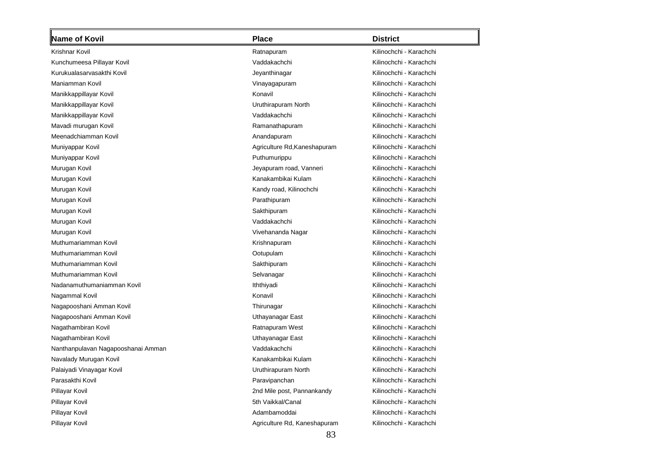| Name of Kovil                      | <b>Place</b>                 | <b>District</b>         |
|------------------------------------|------------------------------|-------------------------|
| Krishnar Kovil                     | Ratnapuram                   | Kilinochchi - Karachchi |
| Kunchumeesa Pillayar Kovil         | Vaddakachchi                 | Kilinochchi - Karachchi |
| Kurukualasarvasakthi Kovil         | Jeyanthinagar                | Kilinochchi - Karachchi |
| Maniamman Kovil                    | Vinayagapuram                | Kilinochchi - Karachchi |
| Manikkappillayar Kovil             | Konavil                      | Kilinochchi - Karachchi |
| Manikkappillayar Kovil             | Uruthirapuram North          | Kilinochchi - Karachchi |
| Manikkappillayar Kovil             | Vaddakachchi                 | Kilinochchi - Karachchi |
| Mavadi murugan Kovil               | Ramanathapuram               | Kilinochchi - Karachchi |
| Meenadchiamman Kovil               | Anandapuram                  | Kilinochchi - Karachchi |
| Muniyappar Kovil                   | Agriculture Rd, Kaneshapuram | Kilinochchi - Karachchi |
| Muniyappar Kovil                   | Puthumurippu                 | Kilinochchi - Karachchi |
| Murugan Kovil                      | Jeyapuram road, Vanneri      | Kilinochchi - Karachchi |
| Murugan Kovil                      | Kanakambikai Kulam           | Kilinochchi - Karachchi |
| Murugan Kovil                      | Kandy road, Kilinochchi      | Kilinochchi - Karachchi |
| Murugan Kovil                      | Parathipuram                 | Kilinochchi - Karachchi |
| Murugan Kovil                      | Sakthipuram                  | Kilinochchi - Karachchi |
| Murugan Kovil                      | Vaddakachchi                 | Kilinochchi - Karachchi |
| Murugan Kovil                      | Vivehananda Nagar            | Kilinochchi - Karachchi |
| Muthumariamman Kovil               | Krishnapuram                 | Kilinochchi - Karachchi |
| Muthumariamman Kovil               | Ootupulam                    | Kilinochchi - Karachchi |
| Muthumariamman Kovil               | Sakthipuram                  | Kilinochchi - Karachchi |
| Muthumariamman Kovil               | Selvanagar                   | Kilinochchi - Karachchi |
| Nadanamuthumaniamman Kovil         | Iththiyadi                   | Kilinochchi - Karachchi |
| Nagammal Kovil                     | Konavil                      | Kilinochchi - Karachchi |
| Nagapooshani Amman Kovil           | Thirunagar                   | Kilinochchi - Karachchi |
| Nagapooshani Amman Kovil           | Uthayanagar East             | Kilinochchi - Karachchi |
| Nagathambiran Kovil                | Ratnapuram West              | Kilinochchi - Karachchi |
| Nagathambiran Kovil                | Uthayanagar East             | Kilinochchi - Karachchi |
| Nanthanpulavan Nagapooshanai Amman | Vaddakachchi                 | Kilinochchi - Karachchi |
| Navalady Murugan Kovil             | Kanakambikai Kulam           | Kilinochchi - Karachchi |
| Palaiyadi Vinayagar Kovil          | Uruthirapuram North          | Kilinochchi - Karachchi |
| Parasakthi Kovil                   | Paravipanchan                | Kilinochchi - Karachchi |
| Pillayar Kovil                     | 2nd Mile post, Pannankandy   | Kilinochchi - Karachchi |
| Pillayar Kovil                     | 5th Vaikkal/Canal            | Kilinochchi - Karachchi |
| Pillayar Kovil                     | Adambamoddai                 | Kilinochchi - Karachchi |
| Pillayar Kovil                     | Agriculture Rd, Kaneshapuram | Kilinochchi - Karachchi |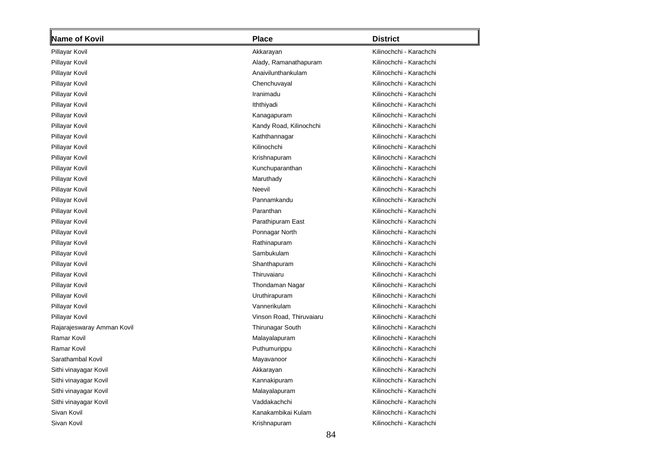| <b>Name of Kovil</b>       | <b>Place</b>             | <b>District</b>         |
|----------------------------|--------------------------|-------------------------|
| Pillayar Kovil             | Akkarayan                | Kilinochchi - Karachchi |
| Pillayar Kovil             | Alady, Ramanathapuram    | Kilinochchi - Karachchi |
| Pillayar Kovil             | Anaivilunthankulam       | Kilinochchi - Karachchi |
| Pillayar Kovil             | Chenchuvayal             | Kilinochchi - Karachchi |
| Pillayar Kovil             | Iranimadu                | Kilinochchi - Karachchi |
| Pillayar Kovil             | Iththiyadi               | Kilinochchi - Karachchi |
| Pillayar Kovil             | Kanagapuram              | Kilinochchi - Karachchi |
| Pillayar Kovil             | Kandy Road, Kilinochchi  | Kilinochchi - Karachchi |
| Pillayar Kovil             | Kaththannagar            | Kilinochchi - Karachchi |
| Pillayar Kovil             | Kilinochchi              | Kilinochchi - Karachchi |
| Pillayar Kovil             | Krishnapuram             | Kilinochchi - Karachchi |
| Pillayar Kovil             | Kunchuparanthan          | Kilinochchi - Karachchi |
| Pillayar Kovil             | Maruthady                | Kilinochchi - Karachchi |
| Pillayar Kovil             | Neevil                   | Kilinochchi - Karachchi |
| Pillayar Kovil             | Pannamkandu              | Kilinochchi - Karachchi |
| Pillayar Kovil             | Paranthan                | Kilinochchi - Karachchi |
| Pillayar Kovil             | Parathipuram East        | Kilinochchi - Karachchi |
| Pillayar Kovil             | Ponnagar North           | Kilinochchi - Karachchi |
| Pillayar Kovil             | Rathinapuram             | Kilinochchi - Karachchi |
| Pillayar Kovil             | Sambukulam               | Kilinochchi - Karachchi |
| Pillayar Kovil             | Shanthapuram             | Kilinochchi - Karachchi |
| Pillayar Kovil             | Thiruvaiaru              | Kilinochchi - Karachchi |
| Pillayar Kovil             | Thondaman Nagar          | Kilinochchi - Karachchi |
| Pillayar Kovil             | Uruthirapuram            | Kilinochchi - Karachchi |
| Pillayar Kovil             | Vannerikulam             | Kilinochchi - Karachchi |
| Pillayar Kovil             | Vinson Road, Thiruvaiaru | Kilinochchi - Karachchi |
| Rajarajeswaray Amman Kovil | <b>Thirunagar South</b>  | Kilinochchi - Karachchi |
| Ramar Kovil                | Malayalapuram            | Kilinochchi - Karachchi |
| Ramar Kovil                | Puthumurippu             | Kilinochchi - Karachchi |
| Sarathambal Kovil          | Mayavanoor               | Kilinochchi - Karachchi |
| Sithi vinayagar Kovil      | Akkarayan                | Kilinochchi - Karachchi |
| Sithi vinayagar Kovil      | Kannakipuram             | Kilinochchi - Karachchi |
| Sithi vinayagar Kovil      | Malayalapuram            | Kilinochchi - Karachchi |
| Sithi vinayagar Kovil      | Vaddakachchi             | Kilinochchi - Karachchi |
| Sivan Kovil                | Kanakambikai Kulam       | Kilinochchi - Karachchi |
| Sivan Kovil                | Krishnapuram             | Kilinochchi - Karachchi |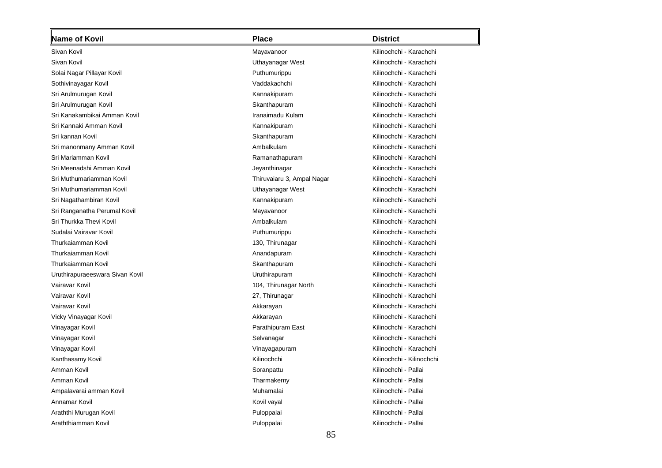| <b>Name of Kovil</b>            | <b>Place</b>               | <b>District</b>           |
|---------------------------------|----------------------------|---------------------------|
| Sivan Kovil                     | Mayavanoor                 | Kilinochchi - Karachchi   |
| Sivan Kovil                     | Uthayanagar West           | Kilinochchi - Karachchi   |
| Solai Nagar Pillayar Kovil      | Puthumurippu               | Kilinochchi - Karachchi   |
| Sothivinayagar Kovil            | Vaddakachchi               | Kilinochchi - Karachchi   |
| Sri Arulmurugan Kovil           | Kannakipuram               | Kilinochchi - Karachchi   |
| Sri Arulmurugan Kovil           | Skanthapuram               | Kilinochchi - Karachchi   |
| Sri Kanakambikai Amman Kovil    | Iranaimadu Kulam           | Kilinochchi - Karachchi   |
| Sri Kannaki Amman Kovil         | Kannakipuram               | Kilinochchi - Karachchi   |
| Sri kannan Kovil                | Skanthapuram               | Kilinochchi - Karachchi   |
| Sri manonmany Amman Kovil       | Ambalkulam                 | Kilinochchi - Karachchi   |
| Sri Mariamman Kovil             | Ramanathapuram             | Kilinochchi - Karachchi   |
| Sri Meenadshi Amman Kovil       | Jeyanthinagar              | Kilinochchi - Karachchi   |
| Sri Muthumariamman Kovil        | Thiruvaiaru 3, Ampal Nagar | Kilinochchi - Karachchi   |
| Sri Muthumariamman Kovil        | Uthayanagar West           | Kilinochchi - Karachchi   |
| Sri Nagathambiran Kovil         | Kannakipuram               | Kilinochchi - Karachchi   |
| Sri Ranganatha Perumal Kovil    | Mayavanoor                 | Kilinochchi - Karachchi   |
| Sri Thurkka Thevi Kovil         | Ambalkulam                 | Kilinochchi - Karachchi   |
| Sudalai Vairavar Kovil          | Puthumurippu               | Kilinochchi - Karachchi   |
| <b>Thurkaiamman Kovil</b>       | 130, Thirunagar            | Kilinochchi - Karachchi   |
| <b>Thurkaiamman Kovil</b>       | Anandapuram                | Kilinochchi - Karachchi   |
| <b>Thurkaiamman Kovil</b>       | Skanthapuram               | Kilinochchi - Karachchi   |
| Uruthirapuraeeswara Sivan Kovil | Uruthirapuram              | Kilinochchi - Karachchi   |
| Vairavar Kovil                  | 104, Thirunagar North      | Kilinochchi - Karachchi   |
| Vairavar Kovil                  | 27, Thirunagar             | Kilinochchi - Karachchi   |
| Vairavar Kovil                  | Akkarayan                  | Kilinochchi - Karachchi   |
| Vicky Vinayagar Kovil           | Akkarayan                  | Kilinochchi - Karachchi   |
| Vinayagar Kovil                 | Parathipuram East          | Kilinochchi - Karachchi   |
| Vinayagar Kovil                 | Selvanagar                 | Kilinochchi - Karachchi   |
| Vinayagar Kovil                 | Vinayagapuram              | Kilinochchi - Karachchi   |
| Kanthasamy Kovil                | Kilinochchi                | Kilinochchi - Kilinochchi |
| Amman Kovil                     | Soranpattu                 | Kilinochchi - Pallai      |
| Amman Kovil                     | Tharmakerny                | Kilinochchi - Pallai      |
| Ampalavarai amman Kovil         | Muhamalai                  | Kilinochchi - Pallai      |
| Annamar Kovil                   | Kovil vayal                | Kilinochchi - Pallai      |
| Araththi Murugan Kovil          | Puloppalai                 | Kilinochchi - Pallai      |
| Araththiamman Kovil             | Puloppalai                 | Kilinochchi - Pallai      |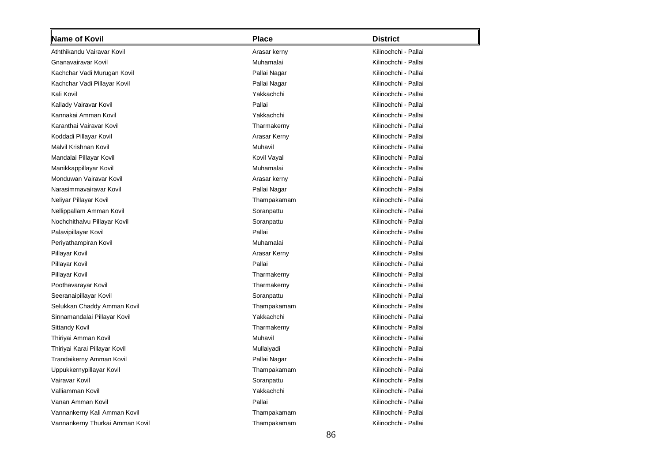| <b>Name of Kovil</b>            | <b>Place</b> | <b>District</b>      |
|---------------------------------|--------------|----------------------|
| Aththikandu Vairavar Kovil      | Arasar kerny | Kilinochchi - Pallai |
| Gnanavairavar Kovil             | Muhamalai    | Kilinochchi - Pallai |
| Kachchar Vadi Murugan Kovil     | Pallai Nagar | Kilinochchi - Pallai |
| Kachchar Vadi Pillayar Kovil    | Pallai Nagar | Kilinochchi - Pallai |
| Kali Kovil                      | Yakkachchi   | Kilinochchi - Pallai |
| Kallady Vairavar Kovil          | Pallai       | Kilinochchi - Pallai |
| Kannakai Amman Kovil            | Yakkachchi   | Kilinochchi - Pallai |
| Karanthai Vairavar Kovil        | Tharmakerny  | Kilinochchi - Pallai |
| Koddadi Pillayar Kovil          | Arasar Kerny | Kilinochchi - Pallai |
| Malvil Krishnan Kovil           | Muhavil      | Kilinochchi - Pallai |
| Mandalai Pillayar Kovil         | Kovil Vayal  | Kilinochchi - Pallai |
| Manikkappillayar Kovil          | Muhamalai    | Kilinochchi - Pallai |
| Monduwan Vairavar Kovil         | Arasar kerny | Kilinochchi - Pallai |
| Narasimmavairavar Kovil         | Pallai Nagar | Kilinochchi - Pallai |
| Neliyar Pillayar Kovil          | Thampakamam  | Kilinochchi - Pallai |
| Nellippallam Amman Kovil        | Soranpattu   | Kilinochchi - Pallai |
| Nochchithalvu Pillayar Kovil    | Soranpattu   | Kilinochchi - Pallai |
| Palavipillayar Kovil            | Pallai       | Kilinochchi - Pallai |
| Periyathampiran Kovil           | Muhamalai    | Kilinochchi - Pallai |
| Pillayar Kovil                  | Arasar Kerny | Kilinochchi - Pallai |
| Pillayar Kovil                  | Pallai       | Kilinochchi - Pallai |
| Pillayar Kovil                  | Tharmakerny  | Kilinochchi - Pallai |
| Poothavarayar Kovil             | Tharmakerny  | Kilinochchi - Pallai |
| Seeranaipillayar Kovil          | Soranpattu   | Kilinochchi - Pallai |
| Selukkan Chaddy Amman Kovil     | Thampakamam  | Kilinochchi - Pallai |
| Sinnamandalai Pillayar Kovil    | Yakkachchi   | Kilinochchi - Pallai |
| Sittandy Kovil                  | Tharmakerny  | Kilinochchi - Pallai |
| Thiriyai Amman Kovil            | Muhavil      | Kilinochchi - Pallai |
| Thiriyai Karai Pillayar Kovil   | Mullaiyadi   | Kilinochchi - Pallai |
| Trandaikerny Amman Kovil        | Pallai Nagar | Kilinochchi - Pallai |
| Uppukkernypillayar Kovil        | Thampakamam  | Kilinochchi - Pallai |
| Vairavar Kovil                  | Soranpattu   | Kilinochchi - Pallai |
| Valliamman Kovil                | Yakkachchi   | Kilinochchi - Pallai |
| Vanan Amman Kovil               | Pallai       | Kilinochchi - Pallai |
| Vannankerny Kali Amman Kovil    | Thampakamam  | Kilinochchi - Pallai |
| Vannankerny Thurkai Amman Kovil | Thampakamam  | Kilinochchi - Pallai |
|                                 |              |                      |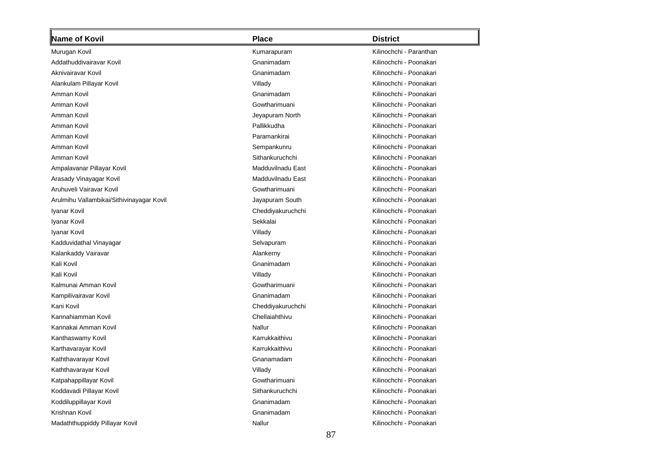| Name of Kovil                             | <b>Place</b>      | <b>District</b>         |
|-------------------------------------------|-------------------|-------------------------|
| Murugan Kovil                             | Kumarapuram       | Kilinochchi - Paranthan |
| Addathuddivairavar Kovil                  | Gnanimadam        | Kilinochchi - Poonakari |
| Aknivairavar Kovil                        | Gnanimadam        | Kilinochchi - Poonakari |
| Alankulam Pillayar Kovil                  | Villady           | Kilinochchi - Poonakari |
| Amman Kovil                               | Gnanimadam        | Kilinochchi - Poonakari |
| Amman Kovil                               | Gowtharimuani     | Kilinochchi - Poonakari |
| Amman Kovil                               | Jeyapuram North   | Kilinochchi - Poonakari |
| Amman Kovil                               | Pallikkudha       | Kilinochchi - Poonakari |
| Amman Kovil                               | Paramankirai      | Kilinochchi - Poonakari |
| Amman Kovil                               | Sempankunru       | Kilinochchi - Poonakari |
| Amman Kovil                               | Sithankuruchchi   | Kilinochchi - Poonakari |
| Ampalavanar Pillayar Kovil                | Madduvilnadu East | Kilinochchi - Poonakari |
| Arasady Vinayagar Kovil                   | Madduvilnadu East | Kilinochchi - Poonakari |
| Aruhuveli Vairavar Kovil                  | Gowtharimuani     | Kilinochchi - Poonakari |
| Arulmihu Vallambikai/Sithivinayagar Kovil | Jayapuram South   | Kilinochchi - Poonakari |
| Iyanar Kovil                              | Cheddiyakuruchchi | Kilinochchi - Poonakari |
| Iyanar Kovil                              | Sekkalai          | Kilinochchi - Poonakari |
| Iyanar Kovil                              | Villady           | Kilinochchi - Poonakari |
| Kadduvidathal Vinayagar                   | Selvapuram        | Kilinochchi - Poonakari |
| Kalankaddy Vairavar                       | Alankerny         | Kilinochchi - Poonakari |
| Kali Kovil                                | Gnanimadam        | Kilinochchi - Poonakari |
| Kali Kovil                                | Villady           | Kilinochchi - Poonakari |
| Kalmunai Amman Kovil                      | Gowtharimuani     | Kilinochchi - Poonakari |
| Kampilivairavar Kovil                     | Gnanimadam        | Kilinochchi - Poonakari |
| Kani Kovil                                | Cheddiyakuruchchi | Kilinochchi - Poonakari |
| Kannahiamman Kovil                        | Chellaiahthivu    | Kilinochchi - Poonakari |
| Kannakai Amman Kovil                      | Nallur            | Kilinochchi - Poonakari |
| Kanthaswamy Kovil                         | Karrukkaithivu    | Kilinochchi - Poonakari |
| Karthavarayar Kovil                       | Karrukkaithivu    | Kilinochchi - Poonakari |
| Kaththavarayar Kovil                      | Gnanamadam        | Kilinochchi - Poonakari |
| Kaththavarayar Kovil                      | Villady           | Kilinochchi - Poonakari |
| Katpahappillayar Kovil                    | Gowtharimuani     | Kilinochchi - Poonakari |
| Koddavadi Pillayar Kovil                  | Sithankuruchchi   | Kilinochchi - Poonakari |
| Koddiluppillayar Kovil                    | Gnanimadam        | Kilinochchi - Poonakari |
| Krishnan Kovil                            | Gnanimadam        | Kilinochchi - Poonakari |
| Madaththuppiddy Pillayar Kovil            | Nallur            | Kilinochchi - Poonakari |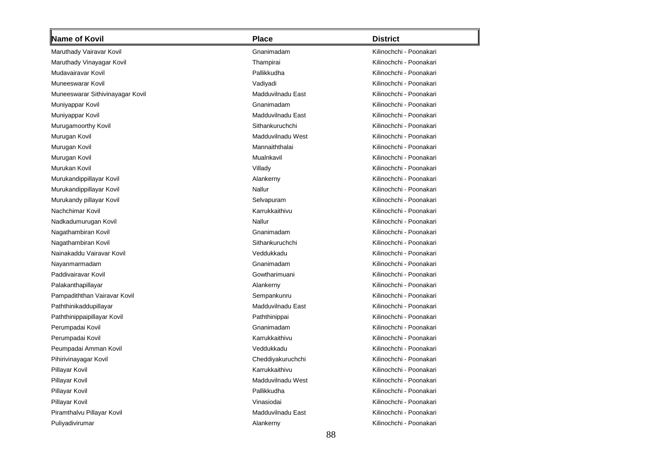| Name of Kovil                    | <b>Place</b>      | <b>District</b>         |
|----------------------------------|-------------------|-------------------------|
| Maruthady Vairavar Kovil         | Gnanimadam        | Kilinochchi - Poonakari |
| Maruthady Vinayagar Kovil        | Thampirai         | Kilinochchi - Poonakari |
| Mudavairavar Kovil               | Pallikkudha       | Kilinochchi - Poonakari |
| Muneeswarar Kovil                | Vadiyadi          | Kilinochchi - Poonakari |
| Muneeswarar Sithivinayagar Kovil | Madduvilnadu East | Kilinochchi - Poonakari |
| Muniyappar Kovil                 | Gnanimadam        | Kilinochchi - Poonakari |
| Muniyappar Kovil                 | Madduvilnadu East | Kilinochchi - Poonakari |
| Murugamoorthy Kovil              | Sithankuruchchi   | Kilinochchi - Poonakari |
| Murugan Kovil                    | Madduvilnadu West | Kilinochchi - Poonakari |
| Murugan Kovil                    | Mannaiththalai    | Kilinochchi - Poonakari |
| Murugan Kovil                    | Mualnkavil        | Kilinochchi - Poonakari |
| Murukan Kovil                    | Villady           | Kilinochchi - Poonakari |
| Murukandippillayar Kovil         | Alankerny         | Kilinochchi - Poonakari |
| Murukandippillayar Kovil         | Nallur            | Kilinochchi - Poonakari |
| Murukandy pillayar Kovil         | Selvapuram        | Kilinochchi - Poonakari |
| Nachchimar Kovil                 | Karrukkaithivu    | Kilinochchi - Poonakari |
| Nadkadumurugan Kovil             | Nallur            | Kilinochchi - Poonakari |
| Nagathambiran Kovil              | Gnanimadam        | Kilinochchi - Poonakari |
| Nagathambiran Kovil              | Sithankuruchchi   | Kilinochchi - Poonakari |
| Nainakaddu Vairavar Kovil        | Veddukkadu        | Kilinochchi - Poonakari |
| Nayanmarmadam                    | Gnanimadam        | Kilinochchi - Poonakari |
| Paddivairavar Kovil              | Gowtharimuani     | Kilinochchi - Poonakari |
| Palakanthapillayar               | Alankerny         | Kilinochchi - Poonakari |
| Pampadiththan Vairavar Kovil     | Sempankunru       | Kilinochchi - Poonakari |
| Paththinikaddupillayar           | Madduvilnadu East | Kilinochchi - Poonakari |
| Paththinippaipillayar Kovil      | Paththinippai     | Kilinochchi - Poonakari |
| Perumpadai Kovil                 | Gnanimadam        | Kilinochchi - Poonakari |
| Perumpadai Kovil                 | Karrukkaithivu    | Kilinochchi - Poonakari |
| Peumpadai Amman Kovil            | Veddukkadu        | Kilinochchi - Poonakari |
| Pihirivinayagar Kovil            | Cheddiyakuruchchi | Kilinochchi - Poonakari |
| Pillayar Kovil                   | Karrukkaithivu    | Kilinochchi - Poonakari |
| Pillayar Kovil                   | Madduvilnadu West | Kilinochchi - Poonakari |
| Pillayar Kovil                   | Pallikkudha       | Kilinochchi - Poonakari |
| Pillayar Kovil                   | Vinasiodai        | Kilinochchi - Poonakari |
| Piramthalvu Pillayar Kovil       | Madduvilnadu East | Kilinochchi - Poonakari |
| Puliyadivirumar                  | Alankerny         | Kilinochchi - Poonakari |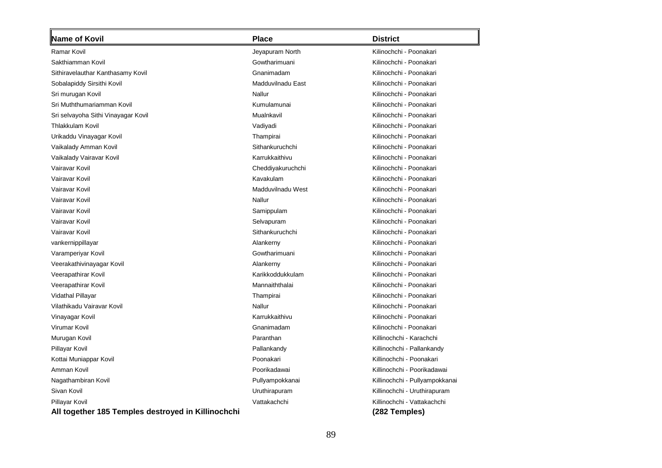| Name of Kovil                                      | <b>Place</b>      | <b>District</b>                |
|----------------------------------------------------|-------------------|--------------------------------|
| Ramar Kovil                                        | Jeyapuram North   | Kilinochchi - Poonakari        |
| Sakthiamman Kovil                                  | Gowtharimuani     | Kilinochchi - Poonakari        |
| Sithiravelauthar Kanthasamy Kovil                  | Gnanimadam        | Kilinochchi - Poonakari        |
| Sobalapiddy Sirsithi Kovil                         | Madduvilnadu East | Kilinochchi - Poonakari        |
| Sri murugan Kovil                                  | Nallur            | Kilinochchi - Poonakari        |
| Sri Muththumariamman Kovil                         | Kumulamunai       | Kilinochchi - Poonakari        |
| Sri selvayoha Sithi Vinayagar Kovil                | Mualnkavil        | Kilinochchi - Poonakari        |
| <b>Thlakkulam Kovil</b>                            | Vadiyadi          | Kilinochchi - Poonakari        |
| Urikaddu Vinayagar Kovil                           | Thampirai         | Kilinochchi - Poonakari        |
| Vaikalady Amman Kovil                              | Sithankuruchchi   | Kilinochchi - Poonakari        |
| Vaikalady Vairavar Kovil                           | Karrukkaithivu    | Kilinochchi - Poonakari        |
| Vairavar Kovil                                     | Cheddiyakuruchchi | Kilinochchi - Poonakari        |
| Vairavar Kovil                                     | Kavakulam         | Kilinochchi - Poonakari        |
| Vairavar Kovil                                     | Madduvilnadu West | Kilinochchi - Poonakari        |
| Vairavar Kovil                                     | Nallur            | Kilinochchi - Poonakari        |
| Vairavar Kovil                                     | Samippulam        | Kilinochchi - Poonakari        |
| Vairavar Kovil                                     | Selvapuram        | Kilinochchi - Poonakari        |
| Vairavar Kovil                                     | Sithankuruchchi   | Kilinochchi - Poonakari        |
| vankernippillayar                                  | Alankerny         | Kilinochchi - Poonakari        |
| Varamperiyar Kovil                                 | Gowtharimuani     | Kilinochchi - Poonakari        |
| Veerakathivinayagar Kovil                          | Alankerny         | Kilinochchi - Poonakari        |
| Veerapathirar Kovil                                | Karikkoddukkulam  | Kilinochchi - Poonakari        |
| Veerapathirar Kovil                                | Mannaiththalai    | Kilinochchi - Poonakari        |
| <b>Vidathal Pillayar</b>                           | Thampirai         | Kilinochchi - Poonakari        |
| Vilathikadu Vairavar Kovil                         | Nallur            | Kilinochchi - Poonakari        |
| Vinayagar Kovil                                    | Karrukkaithivu    | Kilinochchi - Poonakari        |
| Virumar Kovil                                      | Gnanimadam        | Kilinochchi - Poonakari        |
| Murugan Kovil                                      | Paranthan         | Killinochchi - Karachchi       |
| Pillayar Kovil                                     | Pallankandy       | Killinochchi - Pallankandy     |
| Kottai Muniappar Kovil                             | Poonakari         | Killinochchi - Poonakari       |
| Amman Kovil                                        | Poorikadawai      | Killinochchi - Poorikadawai    |
| Nagathambiran Kovil                                | Pullyampokkanai   | Killinochchi - Pullyampokkanai |
| Sivan Kovil                                        | Uruthirapuram     | Killinochchi - Uruthirapuram   |
| Pillayar Kovil                                     | Vattakachchi      | Killinochchi - Vattakachchi    |
| All together 185 Temples destroyed in Killinochchi |                   | (282 Temples)                  |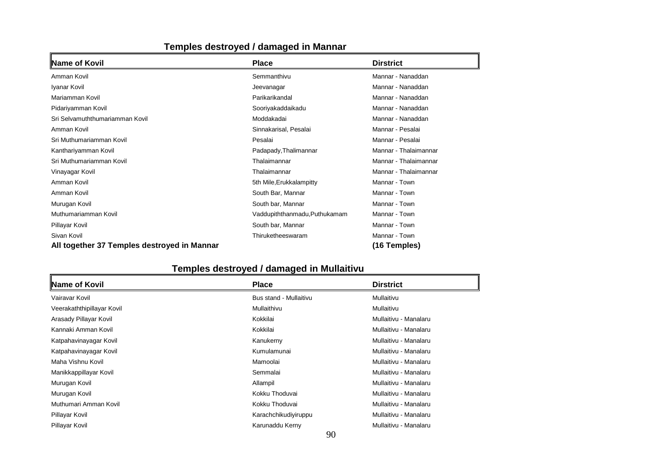| Name of Kovil                               | <b>Place</b>                  | <b>Dirstrict</b>      |  |
|---------------------------------------------|-------------------------------|-----------------------|--|
| Amman Kovil                                 | Semmanthivu                   | Mannar - Nanaddan     |  |
| Iyanar Kovil                                | Jeevanagar                    | Mannar - Nanaddan     |  |
| Mariamman Kovil                             | Parikarikandal                | Mannar - Nanaddan     |  |
| Pidariyamman Kovil                          | Sooriyakaddaikadu             | Mannar - Nanaddan     |  |
| Sri Selvamuththumariamman Kovil             | Moddakadai                    | Mannar - Nanaddan     |  |
| Amman Kovil                                 | Sinnakarisal, Pesalai         | Mannar - Pesalai      |  |
| Sri Muthumariamman Kovil                    | Pesalai                       | Mannar - Pesalai      |  |
| Kanthariyamman Kovil                        | Padapady, Thalimannar         | Mannar - Thalaimannar |  |
| Sri Muthumariamman Kovil                    | Thalaimannar                  | Mannar - Thalaimannar |  |
| Vinayagar Kovil                             | Thalaimannar                  | Mannar - Thalaimannar |  |
| Amman Kovil                                 | 5th Mile, Erukkalampitty      | Mannar - Town         |  |
| Amman Kovil                                 | South Bar, Mannar             | Mannar - Town         |  |
| Murugan Kovil                               | South bar, Mannar             | Mannar - Town         |  |
| Muthumariamman Kovil                        | Vaddupiththanmadu, Puthukamam | Mannar - Town         |  |
| Pillayar Kovil                              | South bar, Mannar             | Mannar - Town         |  |
| Sivan Kovil                                 | Thiruketheeswaram             | Mannar - Town         |  |
| All together 37 Temples destroyed in Mannar |                               | (16 Temples)          |  |

## **Temples destroyed / damaged in Mannar**

# **Temples destroyed / damaged in Mullaitivu**

| Name of Kovil              | <b>Place</b>           | <b>Dirstrict</b>      |
|----------------------------|------------------------|-----------------------|
| Vairavar Kovil             | Bus stand - Mullaitivu | Mullaitivu            |
| Veerakaththipillayar Kovil | Mullaithivu            | Mullaitivu            |
| Arasady Pillayar Kovil     | Kokkilai               | Mullaitivu - Manalaru |
| Kannaki Amman Kovil        | Kokkilai               | Mullaitivu - Manalaru |
| Katpahavinayagar Kovil     | Kanukerny              | Mullaitivu - Manalaru |
| Katpahavinayagar Kovil     | Kumulamunai            | Mullaitivu - Manalaru |
| Maha Vishnu Kovil          | Mamoolai               | Mullaitivu - Manalaru |
| Manikkappillayar Kovil     | Semmalai               | Mullaitivu - Manalaru |
| Murugan Kovil              | Allampil               | Mullaitivu - Manalaru |
| Murugan Kovil              | Kokku Thoduvai         | Mullaitivu - Manalaru |
| Muthumari Amman Kovil      | Kokku Thoduvai         | Mullaitivu - Manalaru |
| Pillayar Kovil             | Karachchikudiyiruppu   | Mullaitivu - Manalaru |
| Pillayar Kovil             | Karunaddu Kerny        | Mullaitivu - Manalaru |
|                            | $\sim$                 |                       |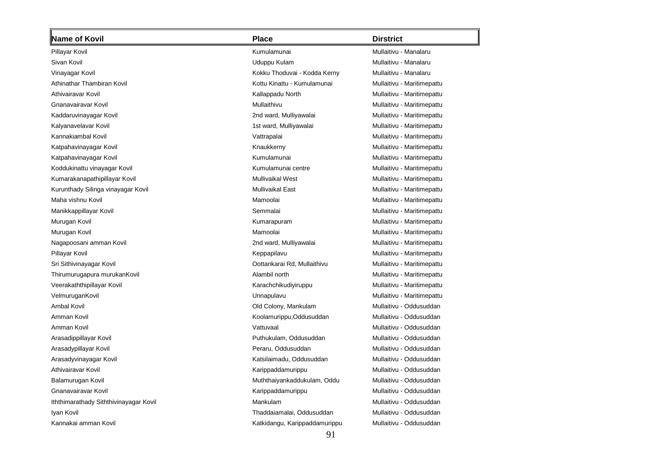| <b>Name of Kovil</b>                   | <b>Place</b>                  | <b>Dirstrict</b>           |
|----------------------------------------|-------------------------------|----------------------------|
| Pillayar Kovil                         | Kumulamunai                   | Mullaitivu - Manalaru      |
| Sivan Kovil                            | Uduppu Kulam                  | Mullaitivu - Manalaru      |
| Vinayagar Kovil                        | Kokku Thoduvai - Kodda Kerny  | Mullaitivu - Manalaru      |
| Athinathar Thambiran Kovil             | Kottu Kinattu - Kumulamunai   | Mullaitivu - Maritimepattu |
| Athivairavar Kovil                     | Kallappadu North              | Mullaitivu - Maritimepattu |
| Gnanavairavar Kovil                    | Mullaithivu                   | Mullaitivu - Maritimepattu |
| Kaddaruvinayagar Kovil                 | 2nd ward, Mulliyawalai        | Mullaitivu - Maritimepattu |
| Kalyanavelavar Kovil                   | 1st ward, Mulliyawalai        | Mullaitivu - Maritimepattu |
| Kannakiambal Kovil                     | Vattrapalai                   | Mullaitivu - Maritimepattu |
| Katpahavinayagar Kovil                 | Knaukkerny                    | Mullaitivu - Maritimepattu |
| Katpahavinayagar Kovil                 | Kumulamunai                   | Mullaitivu - Maritimepattu |
| Koddukinattu vinayagar Kovil           | Kumulamunai centre            | Mullaitivu - Maritimepattu |
| Kumarakanapathipillayar Kovil          | Mullivaikal West              | Mullaitivu - Maritimepattu |
| Kurunthady Silinga vinayagar Kovil     | Mullivaikal East              | Mullaitivu - Maritimepattu |
| Maha vishnu Kovil                      | Mamoolai                      | Mullaitivu - Maritimepattu |
| Manikkappillayar Kovil                 | Semmalai                      | Mullaitivu - Maritimepattu |
| Murugan Kovil                          | Kumarapuram                   | Mullaitivu - Maritimepattu |
| Murugan Kovil                          | Mamoolai                      | Mullaitivu - Maritimepattu |
| Nagapoosani amman Kovil                | 2nd ward, Mulliyawalai        | Mullaitivu - Maritimepattu |
| Pillayar Kovil                         | Keppapilavu                   | Mullaitivu - Maritimepattu |
| Sri Sithivinayagar Kovil               | Oottankarai Rd, Mullaithivu   | Mullaitivu - Maritimepattu |
| Thirumurugapura murukanKovil           | Alambil north                 | Mullaitivu - Maritimepattu |
| Veerakaththipillayar Kovil             | Karachchikudiyiruppu          | Mullaitivu - Maritimepattu |
| VelmuruganKovil                        | Unnapulavu                    | Mullaitivu - Maritimepattu |
| <b>Ambal Kovil</b>                     | Old Colony, Mankulam          | Mullaitivu - Oddusuddan    |
| Amman Kovil                            | Koolamurippu, Oddusuddan      | Mullaitivu - Oddusuddan    |
| Amman Kovil                            | Vattuvaal                     | Mullaitivu - Oddusuddan    |
| Arasadippillayar Kovil                 | Puthukulam, Oddusuddan        | Mullaitivu - Oddusuddan    |
| Arasadypillayar Kovil                  | Peraru, Oddusuddan            | Mullaitivu - Oddusuddan    |
| Arasadyvinayagar Kovil                 | Katsilaimadu, Oddusuddan      | Mullaitivu - Oddusuddan    |
| Athivairavar Kovil                     | Karippaddamurippu             | Mullaitivu - Oddusuddan    |
| Balamurugan Kovil                      | Muththaiyankaddukulam, Oddu   | Mullaitivu - Oddusuddan    |
| Gnanavairavar Kovil                    | Karippaddamurippu             | Mullaitivu - Oddusuddan    |
| Iththimarathady Siththivinayagar Kovil | Mankulam                      | Mullaitivu - Oddusuddan    |
| Iyan Kovil                             | Thaddaiamalai, Oddusuddan     | Mullaitivu - Oddusuddan    |
| Kannakai amman Kovil                   | Katkidangu, Karippaddamurippu | Mullaitivu - Oddusuddan    |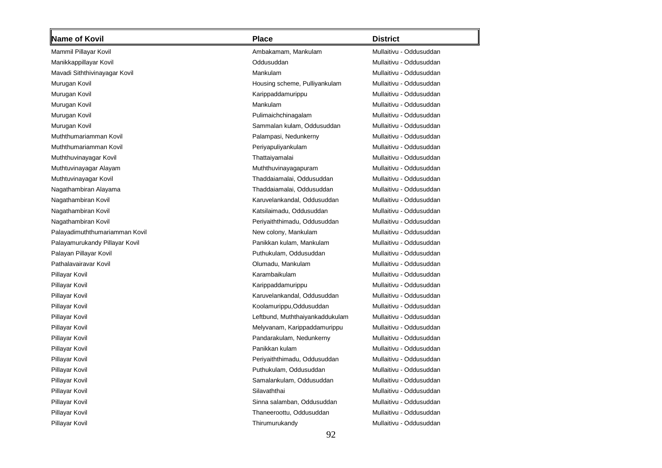| <b>Name of Kovil</b>           | <b>Place</b>                    | <b>District</b>         |
|--------------------------------|---------------------------------|-------------------------|
| Mammil Pillayar Kovil          | Ambakamam, Mankulam             | Mullaitivu - Oddusuddan |
| Manikkappillayar Kovil         | Oddusuddan                      | Mullaitivu - Oddusuddan |
| Mavadi Siththivinayagar Kovil  | Mankulam                        | Mullaitivu - Oddusuddan |
| Murugan Kovil                  | Housing scheme, Pulliyankulam   | Mullaitivu - Oddusuddan |
| Murugan Kovil                  | Karippaddamurippu               | Mullaitivu - Oddusuddan |
| Murugan Kovil                  | Mankulam                        | Mullaitivu - Oddusuddan |
| Murugan Kovil                  | Pulimaichchinagalam             | Mullaitivu - Oddusuddan |
| Murugan Kovil                  | Sammalan kulam, Oddusuddan      | Mullaitivu - Oddusuddan |
| Muththumariamman Kovil         | Palampasi, Nedunkerny           | Mullaitivu - Oddusuddan |
| Muththumariamman Kovil         | Periyapuliyankulam              | Mullaitivu - Oddusuddan |
| Muththuvinayagar Kovil         | Thattaiyamalai                  | Mullaitivu - Oddusuddan |
| Muthtuvinayagar Alayam         | Muththuvinayagapuram            | Mullaitivu - Oddusuddan |
| Muthtuvinayagar Kovil          | Thaddaiamalai, Oddusuddan       | Mullaitivu - Oddusuddan |
| Nagathambiran Alayama          | Thaddaiamalai, Oddusuddan       | Mullaitivu - Oddusuddan |
| Nagathambiran Kovil            | Karuvelankandal, Oddusuddan     | Mullaitivu - Oddusuddan |
| Nagathambiran Kovil            | Katsilaimadu, Oddusuddan        | Mullaitivu - Oddusuddan |
| Nagathambiran Kovil            | Periyaiththimadu, Oddusuddan    | Mullaitivu - Oddusuddan |
| Palayadimuththumariamman Kovil | New colony, Mankulam            | Mullaitivu - Oddusuddan |
| Palayamurukandy Pillayar Kovil | Panikkan kulam, Mankulam        | Mullaitivu - Oddusuddan |
| Palayan Pillayar Kovil         | Puthukulam, Oddusuddan          | Mullaitivu - Oddusuddan |
| Pathalavairavar Kovil          | Olumadu, Mankulam               | Mullaitivu - Oddusuddan |
| Pillayar Kovil                 | Karambaikulam                   | Mullaitivu - Oddusuddan |
| Pillayar Kovil                 | Karippaddamurippu               | Mullaitivu - Oddusuddan |
| Pillayar Kovil                 | Karuvelankandal, Oddusuddan     | Mullaitivu - Oddusuddan |
| Pillayar Kovil                 | Koolamurippu, Oddusuddan        | Mullaitivu - Oddusuddan |
| Pillayar Kovil                 | Leftbund, Muththaiyankaddukulam | Mullaitivu - Oddusuddan |
| Pillayar Kovil                 | Melyvanam, Karippaddamurippu    | Mullaitivu - Oddusuddan |
| Pillayar Kovil                 | Pandarakulam, Nedunkerny        | Mullaitivu - Oddusuddan |
| Pillayar Kovil                 | Panikkan kulam                  | Mullaitivu - Oddusuddan |
| Pillayar Kovil                 | Periyaiththimadu, Oddusuddan    | Mullaitivu - Oddusuddan |
| Pillayar Kovil                 | Puthukulam, Oddusuddan          | Mullaitivu - Oddusuddan |
| Pillayar Kovil                 | Samalankulam, Oddusuddan        | Mullaitivu - Oddusuddan |
| Pillayar Kovil                 | Silavaththai                    | Mullaitivu - Oddusuddan |
| Pillayar Kovil                 | Sinna salamban, Oddusuddan      | Mullaitivu - Oddusuddan |
| Pillayar Kovil                 | Thaneeroottu, Oddusuddan        | Mullaitivu - Oddusuddan |
| Pillayar Kovil                 | Thirumurukandy                  | Mullaitivu - Oddusuddan |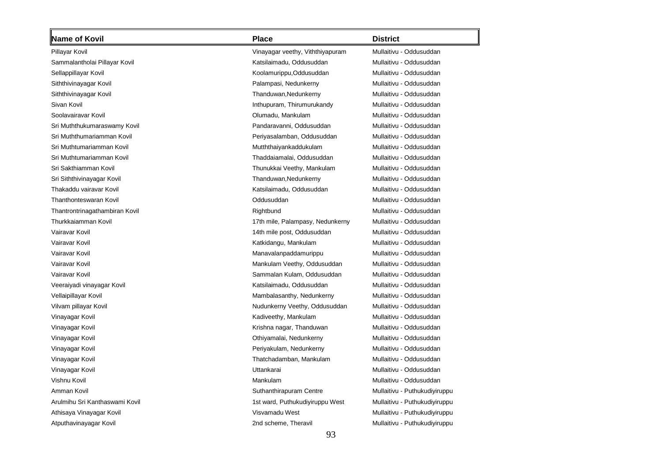| <b>Name of Kovil</b>           | <b>Place</b>                     | <b>District</b>               |
|--------------------------------|----------------------------------|-------------------------------|
| Pillayar Kovil                 | Vinayagar veethy, Viththiyapuram | Mullaitivu - Oddusuddan       |
| Sammalantholai Pillayar Kovil  | Katsilaimadu, Oddusuddan         | Mullaitivu - Oddusuddan       |
| Sellappillayar Kovil           | Koolamurippu, Oddusuddan         | Mullaitivu - Oddusuddan       |
| Siththivinayagar Kovil         | Palampasi, Nedunkerny            | Mullaitivu - Oddusuddan       |
| Siththivinayagar Kovil         | Thanduwan, Nedunkerny            | Mullaitivu - Oddusuddan       |
| Sivan Kovil                    | Inthupuram, Thirumurukandy       | Mullaitivu - Oddusuddan       |
| Soolavairavar Kovil            | Olumadu, Mankulam                | Mullaitivu - Oddusuddan       |
| Sri Muththukumaraswamy Kovil   | Pandaravanni, Oddusuddan         | Mullaitivu - Oddusuddan       |
| Sri Muththumariamman Kovil     | Periyasalamban, Oddusuddan       | Mullaitivu - Oddusuddan       |
| Sri Muthtumariamman Kovil      | Mutththaiyankaddukulam           | Mullaitivu - Oddusuddan       |
| Sri Muthtumariamman Kovil      | Thaddaiamalai, Oddusuddan        | Mullaitivu - Oddusuddan       |
| Sri Sakthiamman Kovil          | Thunukkai Veethy, Mankulam       | Mullaitivu - Oddusuddan       |
| Sri Siththivinayagar Kovil     | Thanduwan, Nedunkerny            | Mullaitivu - Oddusuddan       |
| Thakaddu vairavar Kovil        | Katsilaimadu, Oddusuddan         | Mullaitivu - Oddusuddan       |
| Thanthonteswaran Kovil         | Oddusuddan                       | Mullaitivu - Oddusuddan       |
| Thantrontrinagathambiran Kovil | Rightbund                        | Mullaitivu - Oddusuddan       |
| Thurkkaiamman Kovil            | 17th mile, Palampasy, Nedunkerny | Mullaitivu - Oddusuddan       |
| Vairavar Kovil                 | 14th mile post, Oddusuddan       | Mullaitivu - Oddusuddan       |
| Vairavar Kovil                 | Katkidangu, Mankulam             | Mullaitivu - Oddusuddan       |
| Vairavar Kovil                 | Manavalanpaddamurippu            | Mullaitivu - Oddusuddan       |
| Vairavar Kovil                 | Mankulam Veethy, Oddusuddan      | Mullaitivu - Oddusuddan       |
| Vairavar Kovil                 | Sammalan Kulam, Oddusuddan       | Mullaitivu - Oddusuddan       |
| Veeraiyadi vinayagar Kovil     | Katsilaimadu, Oddusuddan         | Mullaitivu - Oddusuddan       |
| Vellaipillayar Kovil           | Mambalasanthy, Nedunkerny        | Mullaitivu - Oddusuddan       |
| Vilvam pillayar Kovil          | Nudunkerny Veethy, Oddusuddan    | Mullaitivu - Oddusuddan       |
| Vinayagar Kovil                | Kadiveethy, Mankulam             | Mullaitivu - Oddusuddan       |
| Vinayagar Kovil                | Krishna nagar, Thanduwan         | Mullaitivu - Oddusuddan       |
| Vinayagar Kovil                | Othiyamalai, Nedunkerny          | Mullaitivu - Oddusuddan       |
| Vinayagar Kovil                | Periyakulam, Nedunkerny          | Mullaitivu - Oddusuddan       |
| Vinayagar Kovil                | Thatchadamban, Mankulam          | Mullaitivu - Oddusuddan       |
| Vinayagar Kovil                | Uttankarai                       | Mullaitivu - Oddusuddan       |
| Vishnu Kovil                   | Mankulam                         | Mullaitivu - Oddusuddan       |
| Amman Kovil                    | Suthanthirapuram Centre          | Mullaitivu - Puthukudiyiruppu |
| Arulmihu Sri Kanthaswami Kovil | 1st ward, Puthukudiyiruppu West  | Mullaitivu - Puthukudiyiruppu |
| Athisaya Vinayagar Kovil       | Visvamadu West                   | Mullaitivu - Puthukudiyiruppu |
| Atputhavinayagar Kovil         | 2nd scheme, Theravil             | Mullaitivu - Puthukudiyiruppu |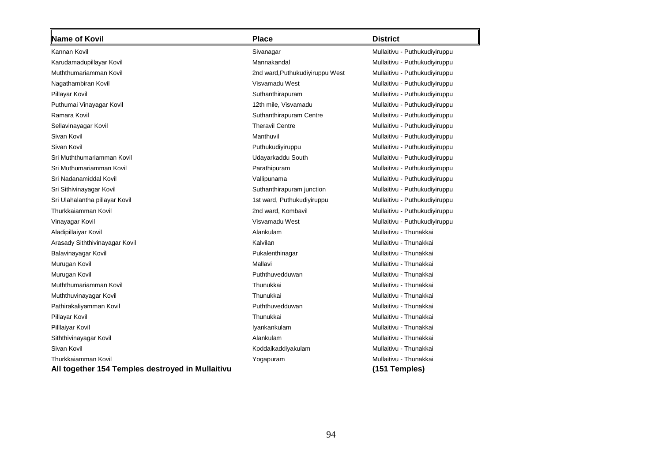| <b>Name of Kovil</b>                             | <b>Place</b>                    | <b>District</b>               |
|--------------------------------------------------|---------------------------------|-------------------------------|
| Kannan Kovil                                     | Sivanagar                       | Mullaitivu - Puthukudiyiruppu |
| Karudamadupillayar Kovil                         | Mannakandal                     | Mullaitivu - Puthukudiyiruppu |
| Muththumariamman Kovil                           | 2nd ward, Puthukudiyiruppu West | Mullaitivu - Puthukudiyiruppu |
| Nagathambiran Kovil                              | Visvamadu West                  | Mullaitivu - Puthukudiyiruppu |
| Pillayar Kovil                                   | Suthanthirapuram                | Mullaitivu - Puthukudiyiruppu |
| Puthumai Vinayagar Kovil                         | 12th mile, Visvamadu            | Mullaitivu - Puthukudiyiruppu |
| Ramara Kovil                                     | Suthanthirapuram Centre         | Mullaitivu - Puthukudiyiruppu |
| Sellavinayagar Kovil                             | <b>Theravil Centre</b>          | Mullaitivu - Puthukudiyiruppu |
| Sivan Kovil                                      | Manthuvil                       | Mullaitivu - Puthukudiyiruppu |
| Sivan Kovil                                      | Puthukudiyiruppu                | Mullaitivu - Puthukudiyiruppu |
| Sri Muththumariamman Kovil                       | Udayarkaddu South               | Mullaitivu - Puthukudiyiruppu |
| Sri Muthumariamman Kovil                         | Parathipuram                    | Mullaitivu - Puthukudiyiruppu |
| Sri Nadanamiddal Kovil                           | Vallipunama                     | Mullaitivu - Puthukudiyiruppu |
| Sri Sithivinayagar Kovil                         | Suthanthirapuram junction       | Mullaitivu - Puthukudiyiruppu |
| Sri Ulahalantha pillayar Kovil                   | 1st ward, Puthukudiyiruppu      | Mullaitivu - Puthukudiyiruppu |
| Thurkkaiamman Kovil                              | 2nd ward, Kombavil              | Mullaitivu - Puthukudiyiruppu |
| Vinayagar Kovil                                  | Visvamadu West                  | Mullaitivu - Puthukudiyiruppu |
| Aladipillaiyar Kovil                             | Alankulam                       | Mullaitivu - Thunakkai        |
| Arasady Siththivinayagar Kovil                   | Kalvilan                        | Mullaitivu - Thunakkai        |
| Balavinayagar Kovil                              | Pukalenthinagar                 | Mullaitivu - Thunakkai        |
| Murugan Kovil                                    | Mallavi                         | Mullaitivu - Thunakkai        |
| Murugan Kovil                                    | Puththuvedduwan                 | Mullaitivu - Thunakkai        |
| Muththumariamman Kovil                           | Thunukkai                       | Mullaitivu - Thunakkai        |
| Muththuvinayagar Kovil                           | Thunukkai                       | Mullaitivu - Thunakkai        |
| Pathirakaliyamman Kovil                          | Puththuvedduwan                 | Mullaitivu - Thunakkai        |
| Pillayar Kovil                                   | Thunukkai                       | Mullaitivu - Thunakkai        |
| Pilllaiyar Kovil                                 | Iyankankulam                    | Mullaitivu - Thunakkai        |
| Siththivinayagar Kovil                           | Alankulam                       | Mullaitivu - Thunakkai        |
| Sivan Kovil                                      | Koddaikaddiyakulam              | Mullaitivu - Thunakkai        |
| Thurkkaiamman Kovil                              | Yogapuram                       | Mullaitivu - Thunakkai        |
| All together 154 Temples destroyed in Mullaitivu |                                 | (151 Temples)                 |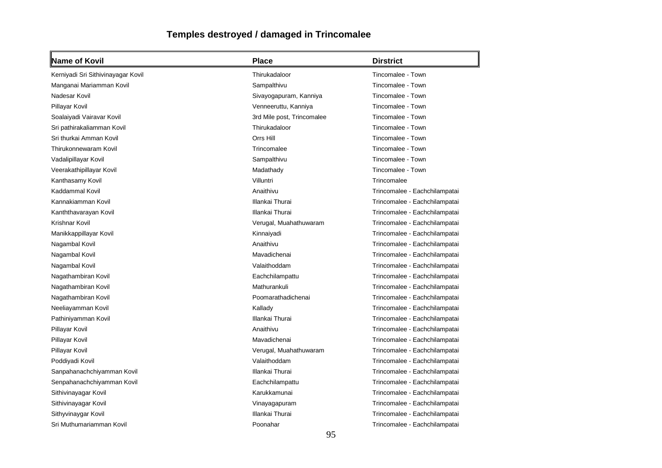# **Temples destroyed / damaged in Trincomalee**

| Name of Kovil                      | <b>Place</b>               | <b>Dirstrict</b>              |
|------------------------------------|----------------------------|-------------------------------|
| Kerniyadi Sri Sithivinayagar Kovil | Thirukadaloor              | Tincomalee - Town             |
| Manganai Mariamman Kovil           | Sampalthivu                | Tincomalee - Town             |
| Nadesar Kovil                      | Sivayogapuram, Kanniya     | Tincomalee - Town             |
| Pillayar Kovil                     | Venneeruttu, Kanniya       | Tincomalee - Town             |
| Soalaiyadi Vairavar Kovil          | 3rd Mile post, Trincomalee | Tincomalee - Town             |
| Sri pathirakaliamman Kovil         | Thirukadaloor              | Tincomalee - Town             |
| Sri thurkai Amman Kovil            | Orrs Hill                  | Tincomalee - Town             |
| Thirukonnewaram Kovil              | Trincomalee                | Tincomalee - Town             |
| Vadalipillayar Kovil               | Sampalthivu                | Tincomalee - Town             |
| Veerakathipillayar Kovil           | Madathady                  | Tincomalee - Town             |
| Kanthasamy Kovil                   | Villuntri                  | Trincomalee                   |
| Kaddammal Kovil                    | Anaithivu                  | Trincomalee - Eachchilampatai |
| Kannakiamman Kovil                 | Illankai Thurai            | Trincomalee - Eachchilampatai |
| Kanththavarayan Kovil              | Illankai Thurai            | Trincomalee - Eachchilampatai |
| Krishnar Kovil                     | Verugal, Muahathuwaram     | Trincomalee - Eachchilampatai |
| Manikkappillayar Kovil             | Kinnaiyadi                 | Trincomalee - Eachchilampatai |
| Nagambal Kovil                     | Anaithivu                  | Trincomalee - Eachchilampatai |
| Nagambal Kovil                     | Mavadichenai               | Trincomalee - Eachchilampatai |
| Nagambal Kovil                     | Valaithoddam               | Trincomalee - Eachchilampatai |
| Nagathambiran Kovil                | Eachchilampattu            | Trincomalee - Eachchilampatai |
| Nagathambiran Kovil                | Mathurankuli               | Trincomalee - Eachchilampatai |
| Nagathambiran Kovil                | Poomarathadichenai         | Trincomalee - Eachchilampatai |
| Neeliayamman Kovil                 | Kallady                    | Trincomalee - Eachchilampatai |
| Pathiniyamman Kovil                | Illankai Thurai            | Trincomalee - Eachchilampatai |
| Pillayar Kovil                     | Anaithivu                  | Trincomalee - Eachchilampatai |
| Pillayar Kovil                     | Mavadichenai               | Trincomalee - Eachchilampatai |
| Pillayar Kovil                     | Verugal, Muahathuwaram     | Trincomalee - Eachchilampatai |
| Poddiyadi Kovil                    | Valaithoddam               | Trincomalee - Eachchilampatai |
| Sanpahanachchiyamman Kovil         | Illankai Thurai            | Trincomalee - Eachchilampatai |
| Senpahanachchiyamman Kovil         | Eachchilampattu            | Trincomalee - Eachchilampatai |
| Sithivinayagar Kovil               | Karukkamunai               | Trincomalee - Eachchilampatai |
| Sithivinayagar Kovil               | Vinayagapuram              | Trincomalee - Eachchilampatai |
| Sithyvinaygar Kovil                | Illankai Thurai            | Trincomalee - Eachchilampatai |
| Sri Muthumariamman Kovil           | Poonahar                   | Trincomalee - Eachchilampatai |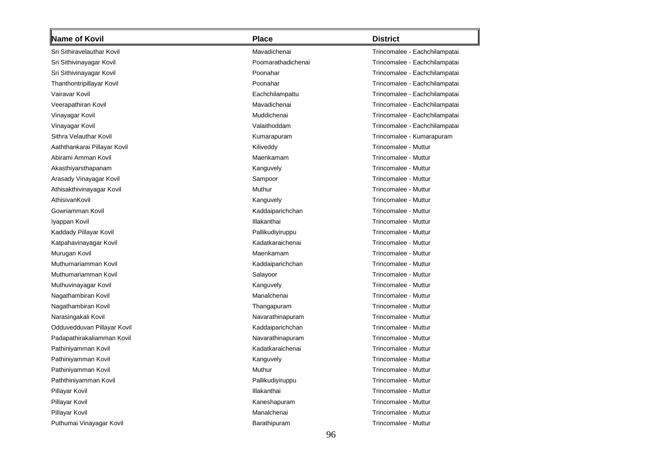| Name of Kovil                | <b>Place</b>       | <b>District</b>               |
|------------------------------|--------------------|-------------------------------|
| Sri Sithiravelauthar Kovil   | Mavadichenai       | Trincomalee - Eachchilampatai |
| Sri Sithivinayagar Kovil     | Poomarathadichenai | Trincomalee - Eachchilampatai |
| Sri Sithivinayagar Kovil     | Poonahar           | Trincomalee - Eachchilampatai |
| Thanthontripillayar Kovil    | Poonahar           | Trincomalee - Eachchilampatai |
| Vairavar Kovil               | Eachchilampattu    | Trincomalee - Eachchilampatai |
| Veerapathiran Kovil          | Mavadichenai       | Trincomalee - Eachchilampatai |
| Vinayagar Kovil              | Muddichenai        | Trincomalee - Eachchilampatai |
| Vinayagar Kovil              | Valaithoddam       | Trincomalee - Eachchilampatai |
| Sithra Velauthar Kovil       | Kumarapuram        | Trincomalee - Kumarapuram     |
| Aaththankarai Pillayar Kovil | Kiliveddy          | Trincomalee - Muttur          |
| Abirami Amman Kovil          | Maenkamam          | Trincomalee - Muttur          |
| Akasthiyarsthapanam          | Kanguvely          | Trincomalee - Muttur          |
| Arasady Vinayagar Kovil      | Sampoor            | Trincomalee - Muttur          |
| Athisakthivinayagar Kovil    | Muthur             | Trincomalee - Muttur          |
| AthisivanKovil               | Kanguvely          | Trincomalee - Muttur          |
| Gowriamman Kovil             | Kaddaiparichchan   | Trincomalee - Muttur          |
| Iyappan Kovil                | Illakanthai        | Trincomalee - Muttur          |
| Kaddady Pillayar Kovil       | Pallikudiyiruppu   | Trincomalee - Muttur          |
| Katpahavinayagar Kovil       | Kadatkaraichenai   | Trincomalee - Muttur          |
| Murugan Kovil                | Maenkamam          | Trincomalee - Muttur          |
| Muthumariamman Kovil         | Kaddaiparichchan   | Trincomalee - Muttur          |
| Muthumariamman Kovil         | Salayoor           | Trincomalee - Muttur          |
| Muthuvinayagar Kovil         | Kanguvely          | Trincomalee - Muttur          |
| Nagathambiran Kovil          | Manalchenai        | Trincomalee - Muttur          |
| Nagathambiran Kovil          | Thangapuram        | Trincomalee - Muttur          |
| Narasingakali Kovil          | Navarathinapuram   | Trincomalee - Muttur          |
| Odduvedduvan Pillayar Kovil  | Kaddaiparichchan   | Trincomalee - Muttur          |
| Padapathirakaliamman Kovil   | Navarathinapuram   | Trincomalee - Muttur          |
| Pathiniyamman Kovil          | Kadatkaraichenai   | Trincomalee - Muttur          |
| Pathiniyamman Kovil          | Kanguvely          | Trincomalee - Muttur          |
| Pathiniyamman Kovil          | Muthur             | Trincomalee - Muttur          |
| Paththiniyamman Kovil        | Pallikudiyiruppu   | Trincomalee - Muttur          |
| Pillayar Kovil               | Illakanthai        | Trincomalee - Muttur          |
| Pillayar Kovil               | Kaneshapuram       | Trincomalee - Muttur          |
| Pillayar Kovil               | Manalchenai        | Trincomalee - Muttur          |
| Puthumai Vinayagar Kovil     | Barathipuram       | Trincomalee - Muttur          |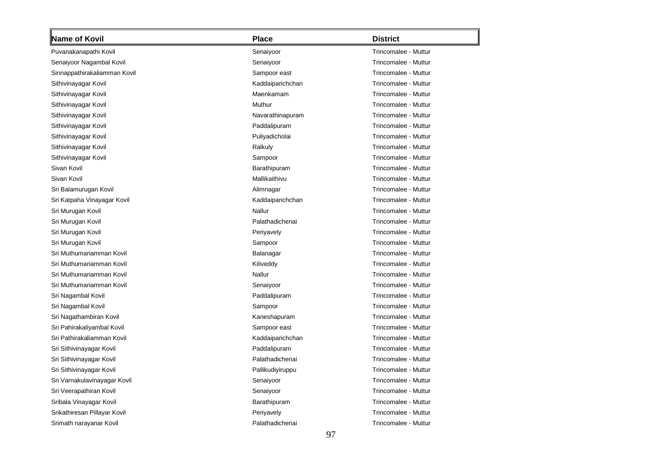| Name of Kovil                | <b>Place</b>     | <b>District</b>      |
|------------------------------|------------------|----------------------|
| Puvanakanapathi Kovil        | Senaiyoor        | Trincomalee - Muttur |
| Senaiyoor Nagambal Kovil     | Senaiyoor        | Trincomalee - Muttur |
| Sinnappathirakaliamman Kovil | Sampoor east     | Trincomalee - Muttur |
| Sithivinayagar Kovil         | Kaddaiparichchan | Trincomalee - Muttur |
| Sithivinayagar Kovil         | Maenkamam        | Trincomalee - Muttur |
| Sithivinayagar Kovil         | Muthur           | Trincomalee - Muttur |
| Sithivinayagar Kovil         | Navarathinapuram | Trincomalee - Muttur |
| Sithivinayagar Kovil         | Paddalipuram     | Trincomalee - Muttur |
| Sithivinayagar Kovil         | Puliyadicholai   | Trincomalee - Muttur |
| Sithivinayagar Kovil         | Ralkuly          | Trincomalee - Muttur |
| Sithivinayagar Kovil         | Sampoor          | Trincomalee - Muttur |
| Sivan Kovil                  | Barathipuram     | Trincomalee - Muttur |
| Sivan Kovil                  | Mallikaithivu    | Trincomalee - Muttur |
| Sri Balamurugan Kovil        | Alimnagar        | Trincomalee - Muttur |
| Sri Katpaha Vinayagar Kovil  | Kaddaiparichchan | Trincomalee - Muttur |
| Sri Murugan Kovil            | Nallur           | Trincomalee - Muttur |
| Sri Murugan Kovil            | Palathadichenai  | Trincomalee - Muttur |
| Sri Murugan Kovil            | Periyavely       | Trincomalee - Muttur |
| Sri Murugan Kovil            | Sampoor          | Trincomalee - Muttur |
| Sri Muthumariamman Kovil     | Balanagar        | Trincomalee - Muttur |
| Sri Muthumariamman Kovil     | Kiliveddy        | Trincomalee - Muttur |
| Sri Muthumariamman Kovil     | Nallur           | Trincomalee - Muttur |
| Sri Muthumariamman Kovil     | Senaiyoor        | Trincomalee - Muttur |
| Sri Nagambal Kovil           | Paddalipuram     | Trincomalee - Muttur |
| Sri Nagambal Kovil           | Sampoor          | Trincomalee - Muttur |
| Sri Nagathambiran Kovil      | Kaneshapuram     | Trincomalee - Muttur |
| Sri Pahirakaliyambal Kovil   | Sampoor east     | Trincomalee - Muttur |
| Sri Pathirakaliamman Kovil   | Kaddaiparichchan | Trincomalee - Muttur |
| Sri Sithivinayagar Kovil     | Paddalipuram     | Trincomalee - Muttur |
| Sri Sithivinayagar Kovil     | Palathadichenai  | Trincomalee - Muttur |
| Sri Sithivinayagar Kovil     | Pallikudiyiruppu | Trincomalee - Muttur |
| Sri Varnakulavinayagar Kovil | Senaiyoor        | Trincomalee - Muttur |
| Sri Veerapathiran Kovil      | Senaiyoor        | Trincomalee - Muttur |
| Sribala Vinayagar Kovil      | Barathipuram     | Trincomalee - Muttur |
| Srikathiresan Pillayar Kovil | Periyavely       | Trincomalee - Muttur |
| Srimath narayanar Kovil      | Palathadichenai  | Trincomalee - Muttur |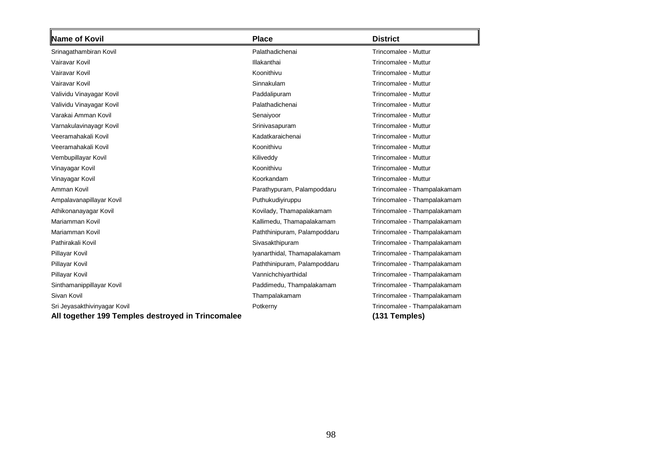| Name of Kovil                                     | <b>Place</b>                 | <b>District</b>             |
|---------------------------------------------------|------------------------------|-----------------------------|
| Srinagathambiran Kovil                            | Palathadichenai              | Trincomalee - Muttur        |
| Vairavar Kovil                                    | Illakanthai                  | Trincomalee - Muttur        |
| Vairavar Kovil                                    | Koonithivu                   | Trincomalee - Muttur        |
| Vairavar Kovil                                    | Sinnakulam                   | Trincomalee - Muttur        |
| Valividu Vinayagar Kovil                          | Paddalipuram                 | Trincomalee - Muttur        |
| Valividu Vinayagar Kovil                          | Palathadichenai              | Trincomalee - Muttur        |
| Varakai Amman Kovil                               | Senaiyoor                    | Trincomalee - Muttur        |
| Varnakulavinayagr Kovil                           | Srinivasapuram               | Trincomalee - Muttur        |
| Veeramahakali Kovil                               | Kadatkaraichenai             | Trincomalee - Muttur        |
| Veeramahakali Kovil                               | Koonithivu                   | Trincomalee - Muttur        |
| Vembupillayar Kovil                               | Kiliveddy                    | Trincomalee - Muttur        |
| Vinayagar Kovil                                   | Koonithivu                   | Trincomalee - Muttur        |
| Vinayagar Kovil                                   | Koorkandam                   | Trincomalee - Muttur        |
| Amman Kovil                                       | Parathypuram, Palampoddaru   | Trincomalee - Thampalakamam |
| Ampalavanapillayar Kovil                          | Puthukudiyiruppu             | Trincomalee - Thampalakamam |
| Athikonanayagar Kovil                             | Kovilady, Thamapalakamam     | Trincomalee - Thampalakamam |
| Mariamman Kovil                                   | Kallimedu, Thamapalakamam    | Trincomalee - Thampalakamam |
| Mariamman Kovil                                   | Paththinipuram, Palampoddaru | Trincomalee - Thampalakamam |
| Pathirakali Kovil                                 | Sivasakthipuram              | Trincomalee - Thampalakamam |
| Pillayar Kovil                                    | Iyanarthidal, Thamapalakamam | Trincomalee - Thampalakamam |
| Pillayar Kovil                                    | Paththinipuram, Palampoddaru | Trincomalee - Thampalakamam |
| Pillayar Kovil                                    | Vannichchiyarthidal          | Trincomalee - Thampalakamam |
| Sinthamanippillayar Kovil                         | Paddimedu, Thampalakamam     | Trincomalee - Thampalakamam |
| Sivan Kovil                                       | Thampalakamam                | Trincomalee - Thampalakamam |
| Sri Jeyasakthivinyagar Kovil                      | Potkerny                     | Trincomalee - Thampalakamam |
| All together 199 Temples destroyed in Trincomalee |                              | (131 Temples)               |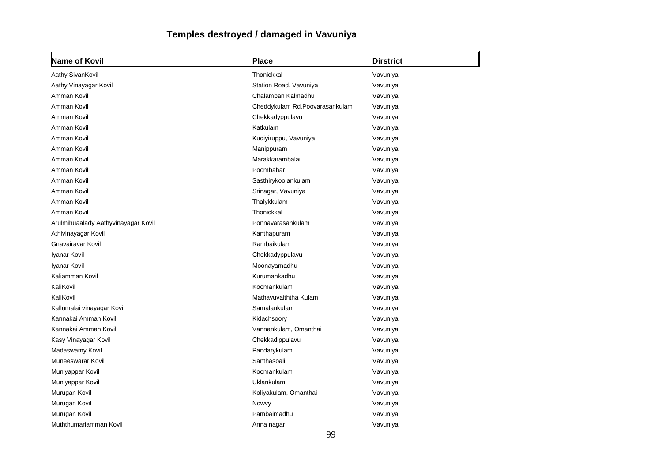# **Temples destroyed / damaged in Vavuniya**

| Name of Kovil                       | <b>Place</b>                    | <b>Dirstrict</b> |
|-------------------------------------|---------------------------------|------------------|
| Aathy SivanKovil                    | Thonickkal                      | Vavuniya         |
| Aathy Vinayagar Kovil               | Station Road, Vavuniya          | Vavuniya         |
| Amman Kovil                         | Chalamban Kalmadhu              | Vavuniya         |
| Amman Kovil                         | Cheddykulam Rd, Poovarasankulam | Vavuniya         |
| Amman Kovil                         | Chekkadyppulavu                 | Vavuniya         |
| Amman Kovil                         | Katkulam                        | Vavuniya         |
| Amman Kovil                         | Kudiyiruppu, Vavuniya           | Vavuniya         |
| Amman Kovil                         | Manippuram                      | Vavuniya         |
| Amman Kovil                         | Marakkarambalai                 | Vavuniya         |
| Amman Kovil                         | Poombahar                       | Vavuniya         |
| Amman Kovil                         | Sasthirykoolankulam             | Vavuniya         |
| Amman Kovil                         | Srinagar, Vavuniya              | Vavuniya         |
| Amman Kovil                         | Thalykkulam                     | Vavuniya         |
| Amman Kovil                         | Thonickkal                      | Vavuniya         |
| Arulmihuaalady Aathyvinayagar Kovil | Ponnavarasankulam               | Vavuniya         |
| Athivinayagar Kovil                 | Kanthapuram                     | Vavuniya         |
| Gnavairavar Kovil                   | Rambaikulam                     | Vavuniya         |
| Iyanar Kovil                        | Chekkadyppulavu                 | Vavuniya         |
| Iyanar Kovil                        | Moonayamadhu                    | Vavuniya         |
| Kaliamman Kovil                     | Kurumankadhu                    | Vavuniya         |
| KaliKovil                           | Koomankulam                     | Vavuniya         |
| KaliKovil                           | Mathavuvaiththa Kulam           | Vavuniya         |
| Kallumalai vinayagar Kovil          | Samalankulam                    | Vavuniya         |
| Kannakai Amman Kovil                | Kidachsoory                     | Vavuniya         |
| Kannakai Amman Kovil                | Vannankulam, Omanthai           | Vavuniya         |
| Kasy Vinayagar Kovil                | Chekkadippulavu                 | Vavuniya         |
| Madaswamy Kovil                     | Pandarykulam                    | Vavuniya         |
| Muneeswarar Kovil                   | Santhasoali                     | Vavuniya         |
| Muniyappar Kovil                    | Koomankulam                     | Vavuniya         |
| Muniyappar Kovil                    | Uklankulam                      | Vavuniya         |
| Murugan Kovil                       | Koliyakulam, Omanthai           | Vavuniya         |
| Murugan Kovil                       | Nowvy                           | Vavuniya         |
| Murugan Kovil                       | Pambaimadhu                     | Vavuniya         |
| Muththumariamman Kovil              | Anna nagar                      | Vavuniya         |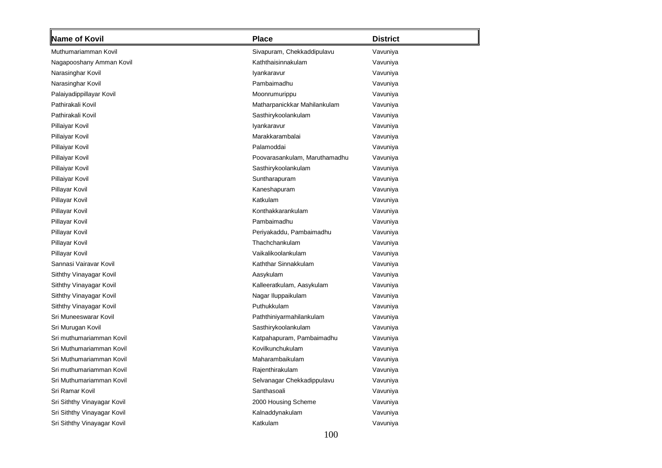| Name of Kovil               | <b>Place</b>                  | <b>District</b> |
|-----------------------------|-------------------------------|-----------------|
| Muthumariamman Kovil        | Sivapuram, Chekkaddipulavu    | Vavuniya        |
| Nagapooshany Amman Kovil    | Kaththaisinnakulam            | Vavuniya        |
| Narasinghar Kovil           | Iyankaravur                   | Vavuniya        |
| Narasinghar Kovil           | Pambaimadhu                   | Vavuniya        |
| Palaiyadippillayar Kovil    | Moonrumurippu                 | Vavuniya        |
| Pathirakali Kovil           | Matharpanickkar Mahilankulam  | Vavuniya        |
| Pathirakali Kovil           | Sasthirykoolankulam           | Vavuniya        |
| Pillaiyar Kovil             | Iyankaravur                   | Vavuniya        |
| Pillaiyar Kovil             | Marakkarambalai               | Vavuniya        |
| Pillaiyar Kovil             | Palamoddai                    | Vavuniya        |
| Pillaiyar Kovil             | Poovarasankulam, Maruthamadhu | Vavuniya        |
| Pillaiyar Kovil             | Sasthirykoolankulam           | Vavuniya        |
| Pillaiyar Kovil             | Suntharapuram                 | Vavuniya        |
| Pillayar Kovil              | Kaneshapuram                  | Vavuniya        |
| Pillayar Kovil              | Katkulam                      | Vavuniya        |
| Pillayar Kovil              | Konthakkarankulam             | Vavuniya        |
| Pillayar Kovil              | Pambaimadhu                   | Vavuniya        |
| Pillayar Kovil              | Periyakaddu, Pambaimadhu      | Vavuniya        |
| Pillayar Kovil              | Thachchankulam                | Vavuniya        |
| Pillayar Kovil              | Vaikalikoolankulam            | Vavuniya        |
| Sannasi Vairavar Kovil      | Kaththar Sinnakkulam          | Vavuniya        |
| Siththy Vinayagar Kovil     | Aasykulam                     | Vavuniya        |
| Siththy Vinayagar Kovil     | Kalleeratkulam, Aasykulam     | Vavuniya        |
| Siththy Vinayagar Kovil     | Nagar Iluppaikulam            | Vavuniya        |
| Siththy Vinayagar Kovil     | Puthukkulam                   | Vavuniya        |
| Sri Muneeswarar Kovil       | Paththiniyarmahilankulam      | Vavuniya        |
| Sri Murugan Kovil           | Sasthirykoolankulam           | Vavuniya        |
| Sri muthumariamman Kovil    | Katpahapuram, Pambaimadhu     | Vavuniya        |
| Sri Muthumariamman Kovil    | Kovilkunchukulam              | Vavuniya        |
| Sri Muthumariamman Kovil    | Maharambaikulam               | Vavuniya        |
| Sri muthumariamman Kovil    | Rajenthirakulam               | Vavuniya        |
| Sri Muthumariamman Kovil    | Selvanagar Chekkadippulavu    | Vavuniya        |
| Sri Ramar Kovil             | Santhasoali                   | Vavuniya        |
| Sri Siththy Vinayagar Kovil | 2000 Housing Scheme           | Vavuniya        |
| Sri Siththy Vinayagar Kovil | Kalnaddynakulam               | Vavuniya        |
| Sri Siththy Vinayagar Kovil | Katkulam                      | Vavuniya        |
|                             |                               |                 |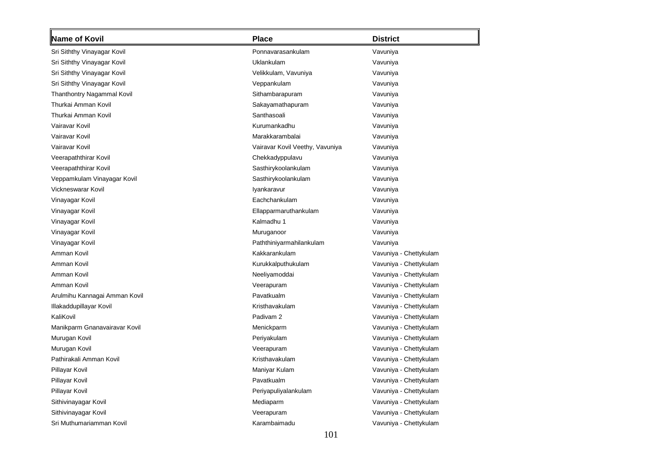| Name of Kovil                 | <b>Place</b>                    | District               |
|-------------------------------|---------------------------------|------------------------|
| Sri Siththy Vinayagar Kovil   | Ponnavarasankulam               | Vavuniya               |
| Sri Siththy Vinayagar Kovil   | Uklankulam                      | Vavuniya               |
| Sri Siththy Vinayagar Kovil   | Velikkulam, Vavuniya            | Vavuniya               |
| Sri Siththy Vinayagar Kovil   | Veppankulam                     | Vavuniya               |
| Thanthontry Nagammal Kovil    | Sithambarapuram                 | Vavuniya               |
| Thurkai Amman Kovil           | Sakayamathapuram                | Vavuniya               |
| Thurkai Amman Kovil           | Santhasoali                     | Vavuniya               |
| Vairavar Kovil                | Kurumankadhu                    | Vavuniya               |
| Vairavar Kovil                | Marakkarambalai                 | Vavuniya               |
| Vairavar Kovil                | Vairavar Kovil Veethy, Vavuniya | Vavuniya               |
| Veerapaththirar Kovil         | Chekkadyppulavu                 | Vavuniya               |
| Veerapaththirar Kovil         | Sasthirykoolankulam             | Vavuniya               |
| Veppamkulam Vinayagar Kovil   | Sasthirykoolankulam             | Vavuniya               |
| Vickneswarar Kovil            | Iyankaravur                     | Vavuniya               |
| Vinayagar Kovil               | Eachchankulam                   | Vavuniya               |
| Vinayagar Kovil               | Ellapparmaruthankulam           | Vavuniya               |
| Vinayagar Kovil               | Kalmadhu 1                      | Vavuniya               |
| Vinayagar Kovil               | Muruganoor                      | Vavuniya               |
| Vinayagar Kovil               | Paththiniyarmahilankulam        | Vavuniya               |
| Amman Kovil                   | Kakkarankulam                   | Vavuniya - Chettykulam |
| Amman Kovil                   | Kurukkalputhukulam              | Vavuniya - Chettykulam |
| Amman Kovil                   | Neeliyamoddai                   | Vavuniya - Chettykulam |
| Amman Kovil                   | Veerapuram                      | Vavuniya - Chettykulam |
| Arulmihu Kannagai Amman Kovil | Pavatkualm                      | Vavuniya - Chettykulam |
| Illakaddupillayar Kovil       | Kristhavakulam                  | Vavuniya - Chettykulam |
| KaliKovil                     | Padivam <sub>2</sub>            | Vavuniya - Chettykulam |
| Manikparm Gnanavairavar Kovil | Menickparm                      | Vavuniya - Chettykulam |
| Murugan Kovil                 | Periyakulam                     | Vavuniya - Chettykulam |
| Murugan Kovil                 | Veerapuram                      | Vavuniya - Chettykulam |
| Pathirakali Amman Kovil       | Kristhavakulam                  | Vavuniya - Chettykulam |
| Pillayar Kovil                | Maniyar Kulam                   | Vavuniya - Chettykulam |
| Pillayar Kovil                | Pavatkualm                      | Vavuniya - Chettykulam |
| Pillayar Kovil                | Periyapuliyalankulam            | Vavuniya - Chettykulam |
| Sithivinayagar Kovil          | Mediaparm                       | Vavuniya - Chettykulam |
| Sithivinayagar Kovil          | Veerapuram                      | Vavuniya - Chettykulam |
| Sri Muthumariamman Kovil      | Karambaimadu                    | Vavuniya - Chettykulam |
|                               |                                 |                        |